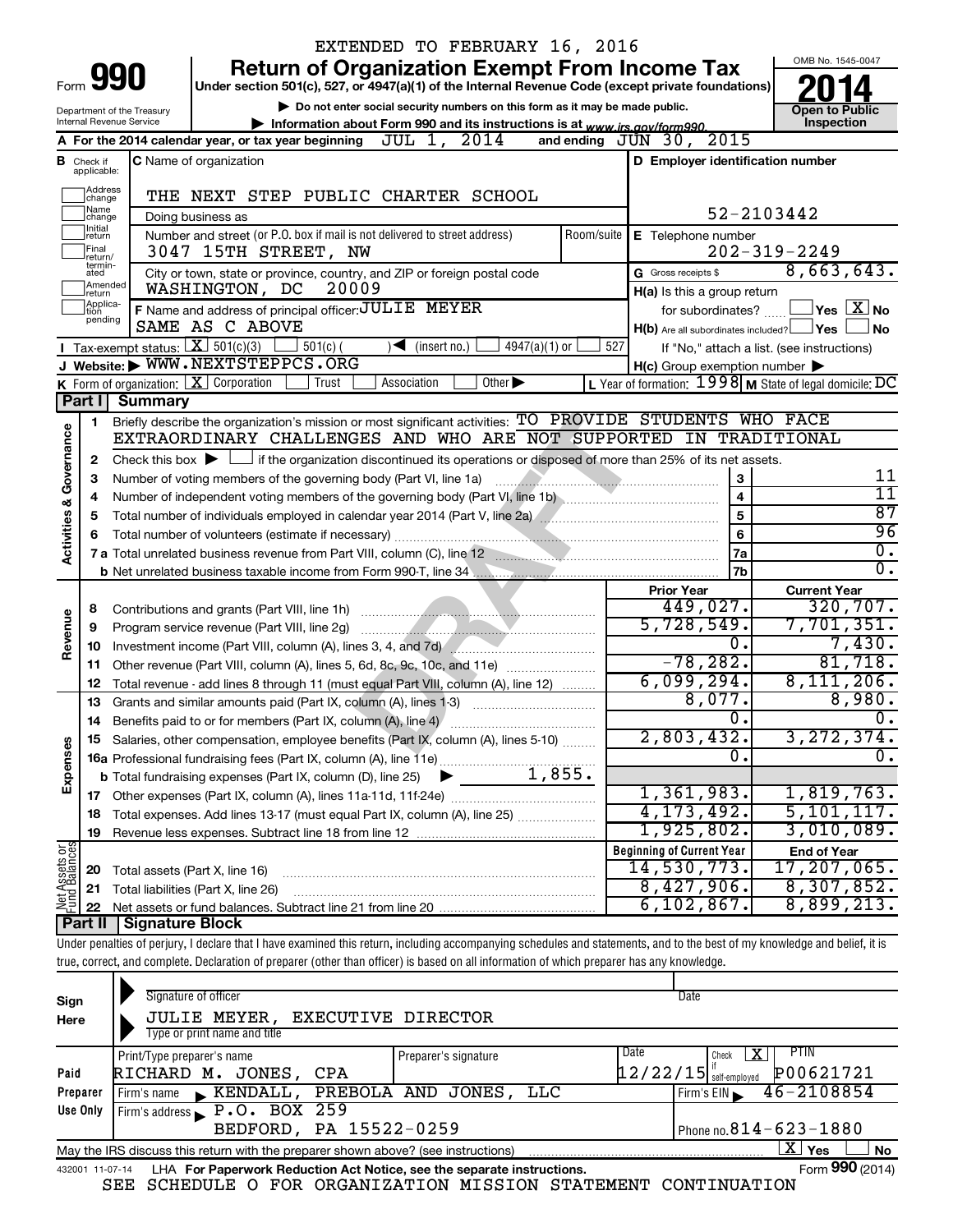|                                                                                               |                               |                                | EXTENDED TO FEBRUARY 16, 2016                                                                                                                                              |                                                         |                                            |  |
|-----------------------------------------------------------------------------------------------|-------------------------------|--------------------------------|----------------------------------------------------------------------------------------------------------------------------------------------------------------------------|---------------------------------------------------------|--------------------------------------------|--|
|                                                                                               |                               |                                | <b>Return of Organization Exempt From Income Tax</b>                                                                                                                       |                                                         | OMB No. 1545-0047                          |  |
|                                                                                               |                               | Form 990                       | Under section 501(c), 527, or 4947(a)(1) of the Internal Revenue Code (except private foundations)                                                                         |                                                         |                                            |  |
|                                                                                               |                               | Department of the Treasury     | Do not enter social security numbers on this form as it may be made public.                                                                                                |                                                         | <b>Open to Public</b>                      |  |
|                                                                                               |                               | Internal Revenue Service       | Information about Form 990 and its instructions is at www.irs.gov/form990.                                                                                                 |                                                         | Inspection                                 |  |
|                                                                                               |                               |                                | A For the 2014 calendar year, or tax year beginning JUL 1, 2014                                                                                                            | 2015<br>and ending $JUN$ 30,                            |                                            |  |
|                                                                                               | <b>B</b> Check if applicable: |                                | <b>C</b> Name of organization                                                                                                                                              | D Employer identification number                        |                                            |  |
|                                                                                               | Address                       |                                | THE NEXT STEP PUBLIC CHARTER SCHOOL                                                                                                                                        |                                                         |                                            |  |
|                                                                                               | change<br>Name                |                                |                                                                                                                                                                            |                                                         | 52-2103442                                 |  |
|                                                                                               | change<br>Initial             |                                | Doing business as<br>Number and street (or P.O. box if mail is not delivered to street address)                                                                            | Room/suite   E Telephone number                         |                                            |  |
|                                                                                               | return<br>Final               |                                | 3047 15TH STREET, NW                                                                                                                                                       |                                                         | $202 - 319 - 2249$                         |  |
|                                                                                               | return/<br>termin-<br>ated    |                                | City or town, state or province, country, and ZIP or foreign postal code                                                                                                   | G Gross receipts \$                                     | 8,663,643.                                 |  |
|                                                                                               | Amended<br>Ireturn            |                                | 20009<br>WASHINGTON, DC                                                                                                                                                    | H(a) Is this a group return                             |                                            |  |
| Applica-<br>F Name and address of principal officer: JULIE MEYER<br>for subordinates?<br>tion |                               |                                |                                                                                                                                                                            |                                                         |                                            |  |
|                                                                                               | pending                       | SAME AS C ABOVE                | $H(b)$ Are all subordinates included? $\Box$ Yes                                                                                                                           | $\Box$ Yes $\Box X$ No<br>No                            |                                            |  |
|                                                                                               |                               |                                | Tax-exempt status: $X \overline{X}$ 501(c)(3)<br>$501(c)$ (<br>$4947(a)(1)$ or<br>$\sqrt{\bullet}$ (insert no.)                                                            | 527                                                     | If "No," attach a list. (see instructions) |  |
|                                                                                               |                               |                                | J Website: WWW.NEXTSTEPPCS.ORG                                                                                                                                             | $H(c)$ Group exemption number $\blacktriangleright$     |                                            |  |
|                                                                                               |                               |                                | K Form of organization: $X$ Corporation<br>Association<br>Other $\blacktriangleright$<br>Trust                                                                             | L Year of formation: 1998 M State of legal domicile: DC |                                            |  |
|                                                                                               | Part I                        | <b>Summary</b>                 |                                                                                                                                                                            |                                                         |                                            |  |
|                                                                                               | 1                             |                                | Briefly describe the organization's mission or most significant activities: TO PROVIDE STUDENTS WHO FACE                                                                   |                                                         |                                            |  |
| Governance                                                                                    |                               |                                | EXTRAORDINARY CHALLENGES AND WHO ARE NOT SUPPORTED IN TRADITIONAL                                                                                                          |                                                         |                                            |  |
|                                                                                               | 2                             |                                | Check this box $\blacktriangleright$ $\Box$ if the organization discontinued its operations or disposed of more than 25% of its net assets.                                |                                                         |                                            |  |
|                                                                                               | з                             |                                | Number of voting members of the governing body (Part VI, line 1a)                                                                                                          | 3                                                       | 11                                         |  |
|                                                                                               | 4                             |                                |                                                                                                                                                                            | $\overline{4}$                                          | $\overline{11}$                            |  |
|                                                                                               | 5                             |                                |                                                                                                                                                                            | $\overline{5}$                                          | 87                                         |  |
| <b>Activities &amp;</b>                                                                       | 6                             |                                |                                                                                                                                                                            | 6                                                       | 96<br>$\overline{0}$ .                     |  |
|                                                                                               |                               |                                | 7 a Total unrelated business revenue from Part VIII, column (C), line 12 <b>Column and Constant Constant Constant</b>                                                      | <b>7a</b>                                               | $\overline{0}$ .                           |  |
|                                                                                               |                               |                                |                                                                                                                                                                            | <b>7b</b><br><b>Prior Year</b>                          | <b>Current Year</b>                        |  |
|                                                                                               | 8                             |                                |                                                                                                                                                                            | 449,027.                                                | 320, 707.                                  |  |
|                                                                                               | 9                             |                                | Program service revenue (Part VIII, line 2g)                                                                                                                               | 5,728,549.                                              | 7,701,351.                                 |  |
| Revenue                                                                                       | 10                            |                                | Investment income (Part VIII, column (A), lines 3, 4, and 7d)                                                                                                              | 0.                                                      | 7,430.                                     |  |
|                                                                                               | 11                            |                                | Other revenue (Part VIII, column (A), lines 5, 6d, 8c, 9c, 10c, and 11e)                                                                                                   | $-78, 282.$                                             | 81,718.                                    |  |
|                                                                                               | 12                            |                                | Total revenue - add lines 8 through 11 (must equal Part VIII, column (A), line 12)                                                                                         | 6,099,294.                                              | 8,111,206.                                 |  |
|                                                                                               | 13                            |                                | Grants and similar amounts paid (Part IX, column (A), lines 1-3)                                                                                                           | 8,077.                                                  | 8,980.                                     |  |
|                                                                                               |                               |                                | 14 Benefits paid to or for members (Part IX, column (A), line 4)                                                                                                           | $\overline{0}$ .                                        | 0.                                         |  |
|                                                                                               |                               |                                | Salaries, other compensation, employee benefits (Part IX, column (A), lines 5-10)                                                                                          | 2,803,432.                                              | 3, 272, 374.                               |  |
| Expenses                                                                                      |                               |                                | 16a Professional fundraising fees (Part IX, column (A), line 11e)                                                                                                          | σ.                                                      | $\overline{0}$ .                           |  |
|                                                                                               |                               |                                | 1,855.<br><b>b</b> Total fundraising expenses (Part IX, column (D), line 25)                                                                                               |                                                         |                                            |  |
|                                                                                               |                               |                                |                                                                                                                                                                            | 1,361,983.                                              | 1,819,763.                                 |  |
|                                                                                               | 18                            |                                | Total expenses. Add lines 13-17 (must equal Part IX, column (A), line 25) <i></i>                                                                                          | 4, 173, 492.                                            | 5, 101, 117.                               |  |
|                                                                                               | 19                            |                                |                                                                                                                                                                            | 1,925,802.                                              | 3,010,089.                                 |  |
|                                                                                               |                               |                                |                                                                                                                                                                            | <b>Beginning of Current Year</b>                        | <b>End of Year</b>                         |  |
| Net Assets or                                                                                 | 20                            | Total assets (Part X, line 16) |                                                                                                                                                                            | 14,530,773.<br>8,427,906.                               | 17, 207, 065.<br>8,307,852.                |  |
|                                                                                               | 21                            |                                | Total liabilities (Part X, line 26)                                                                                                                                        | 6, 102, 867.                                            | 8,899,213.                                 |  |
|                                                                                               | 22                            | Part II   Signature Block      |                                                                                                                                                                            |                                                         |                                            |  |
|                                                                                               |                               |                                | Under penalties of perjury, I declare that I have examined this return, including accompanying schedules and statements, and to the best of my knowledge and belief, it is |                                                         |                                            |  |
|                                                                                               |                               |                                | true, correct, and complete. Declaration of preparer (other than officer) is based on all information of which preparer has any knowledge.                                 |                                                         |                                            |  |
|                                                                                               |                               |                                |                                                                                                                                                                            |                                                         |                                            |  |
| Sign                                                                                          |                               |                                | Signature of officer                                                                                                                                                       | Date                                                    |                                            |  |

| Sign                                                                                                                  | Signature of officer                                                                                         |                        | Date                                               |  |  |  |  |  |  |
|-----------------------------------------------------------------------------------------------------------------------|--------------------------------------------------------------------------------------------------------------|------------------------|----------------------------------------------------|--|--|--|--|--|--|
| Here                                                                                                                  | <b>JULIE MEYER,</b>                                                                                          | EXECUTIVE DIRECTOR     |                                                    |  |  |  |  |  |  |
|                                                                                                                       | Type or print name and title                                                                                 |                        |                                                    |  |  |  |  |  |  |
|                                                                                                                       | Print/Type preparer's name                                                                                   | Preparer's signature   | Date<br>PIIN<br>x<br>Check                         |  |  |  |  |  |  |
| Paid                                                                                                                  | RICHARD M.<br>JONES,<br>CPA                                                                                  |                        | P00621721<br>$\left[12/22/15\right]$ self-employed |  |  |  |  |  |  |
| Preparer                                                                                                              | Firm's name $\phantom{0}$ <b>KENDALL</b> ,                                                                   | PREBOLA AND JONES, LLC | $46 - 2108854$<br>Firm's EIN                       |  |  |  |  |  |  |
| Use Only                                                                                                              | Firm's address $\blacktriangleright$ P.O. BOX 259                                                            |                        |                                                    |  |  |  |  |  |  |
|                                                                                                                       | BEDFORD, PA 15522-0259                                                                                       |                        | Phone no. $814 - 623 - 1880$                       |  |  |  |  |  |  |
| $\mathbf{X}$<br><b>No</b><br>Yes<br>May the IRS discuss this return with the preparer shown above? (see instructions) |                                                                                                              |                        |                                                    |  |  |  |  |  |  |
|                                                                                                                       | Form 990 (2014)<br>LHA For Paperwork Reduction Act Notice, see the separate instructions.<br>432001 11-07-14 |                        |                                                    |  |  |  |  |  |  |

|  |  |  |  | SEE SCHEDULE O FOR ORGANIZATION MISSION STATEMENT CONTINUATION |  |  |  |
|--|--|--|--|----------------------------------------------------------------|--|--|--|
|--|--|--|--|----------------------------------------------------------------|--|--|--|

**990**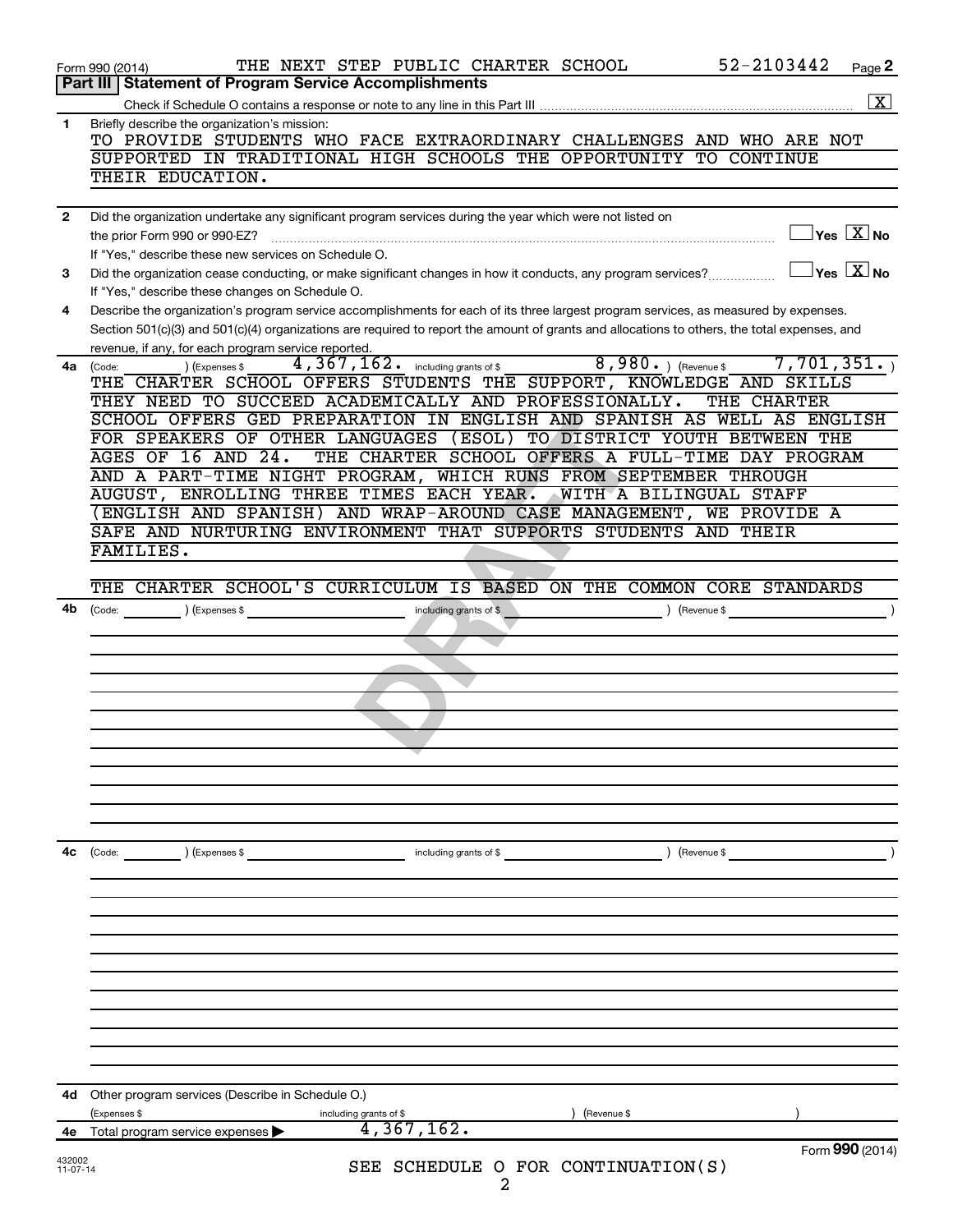|              | 52-2103442<br>THE NEXT STEP PUBLIC CHARTER SCHOOL<br>Page 2<br>Form 990 (2014)                                                                                                                          |
|--------------|---------------------------------------------------------------------------------------------------------------------------------------------------------------------------------------------------------|
|              | Part III   Statement of Program Service Accomplishments                                                                                                                                                 |
|              | $\boxed{\textbf{X}}$                                                                                                                                                                                    |
| $\mathbf{1}$ | Briefly describe the organization's mission:<br>TO PROVIDE STUDENTS WHO FACE EXTRAORDINARY CHALLENGES AND WHO ARE NOT                                                                                   |
|              | SUPPORTED IN TRADITIONAL HIGH SCHOOLS THE OPPORTUNITY TO CONTINUE<br>THEIR EDUCATION.                                                                                                                   |
| $\mathbf{2}$ | Did the organization undertake any significant program services during the year which were not listed on                                                                                                |
|              | $\exists$ Yes $\boxed{\text{X}}$ No<br>the prior Form 990 or 990-EZ?<br>If "Yes," describe these new services on Schedule O.                                                                            |
| 3            | $\exists$ Yes $\sqrt{\mathrm{X}}$ No<br>Did the organization cease conducting, or make significant changes in how it conducts, any program services?<br>If "Yes," describe these changes on Schedule O. |
| 4            | Describe the organization's program service accomplishments for each of its three largest program services, as measured by expenses.                                                                    |
|              | Section 501(c)(3) and 501(c)(4) organizations are required to report the amount of grants and allocations to others, the total expenses, and<br>revenue, if any, for each program service reported.     |
| 4a           | 4, 367, 162. including grants of \$ 4, 980. The Revenue \$<br>7,701,351.<br>(Expenses \$<br>(Code:                                                                                                      |
|              | THE CHARTER SCHOOL OFFERS STUDENTS THE SUPPORT, KNOWLEDGE AND SKILLS                                                                                                                                    |
|              | THEY NEED TO SUCCEED ACADEMICALLY AND PROFESSIONALLY.<br>THE CHARTER                                                                                                                                    |
|              | SCHOOL OFFERS GED PREPARATION IN ENGLISH AND SPANISH AS WELL AS ENGLISH                                                                                                                                 |
|              | FOR SPEAKERS OF OTHER LANGUAGES (ESOL) TO DISTRICT YOUTH BETWEEN THE                                                                                                                                    |
|              | <b>AGES OF 16 AND 24.</b><br>THE CHARTER SCHOOL OFFERS A FULL-TIME DAY PROGRAM                                                                                                                          |
|              | AND A PART-TIME NIGHT PROGRAM, WHICH RUNS FROM SEPTEMBER THROUGH                                                                                                                                        |
|              | AUGUST, ENROLLING THREE TIMES EACH YEAR.<br>WITH A BILINGUAL STAFF                                                                                                                                      |
|              | (ENGLISH AND SPANISH) AND WRAP-AROUND CASE MANAGEMENT, WE PROVIDE A                                                                                                                                     |
|              | SAFE AND NURTURING ENVIRONMENT THAT SUPPORTS STUDENTS AND THEIR<br>FAMILIES.                                                                                                                            |
|              |                                                                                                                                                                                                         |
|              | THE CHARTER SCHOOL'S CURRICULUM IS BASED ON THE COMMON CORE STANDARDS                                                                                                                                   |
| 4b           | including grants of \$<br>) (Expenses \$<br>(Revenue \$<br>(Code:                                                                                                                                       |
|              |                                                                                                                                                                                                         |
|              |                                                                                                                                                                                                         |
|              |                                                                                                                                                                                                         |
|              |                                                                                                                                                                                                         |
|              |                                                                                                                                                                                                         |
|              |                                                                                                                                                                                                         |
|              |                                                                                                                                                                                                         |
|              |                                                                                                                                                                                                         |
|              |                                                                                                                                                                                                         |
|              |                                                                                                                                                                                                         |
|              |                                                                                                                                                                                                         |
|              |                                                                                                                                                                                                         |
| 4с           | (Code: ) (Expenses \$<br>including grants of \$<br>(Revenue \$                                                                                                                                          |
|              |                                                                                                                                                                                                         |
|              |                                                                                                                                                                                                         |
|              |                                                                                                                                                                                                         |
|              |                                                                                                                                                                                                         |
|              |                                                                                                                                                                                                         |
|              |                                                                                                                                                                                                         |
|              |                                                                                                                                                                                                         |
|              |                                                                                                                                                                                                         |
|              |                                                                                                                                                                                                         |
|              |                                                                                                                                                                                                         |
|              |                                                                                                                                                                                                         |
| 4d           | Other program services (Describe in Schedule O.)                                                                                                                                                        |
|              | (Expenses \$<br>including grants of \$<br>(Revenue \$                                                                                                                                                   |
| 4e           | 4,367,162.<br>Total program service expenses                                                                                                                                                            |
| 432002       | Form 990 (2014)                                                                                                                                                                                         |
| $11-07-14$   | SEE SCHEDULE O FOR CONTINUATION(S)                                                                                                                                                                      |
|              | 2                                                                                                                                                                                                       |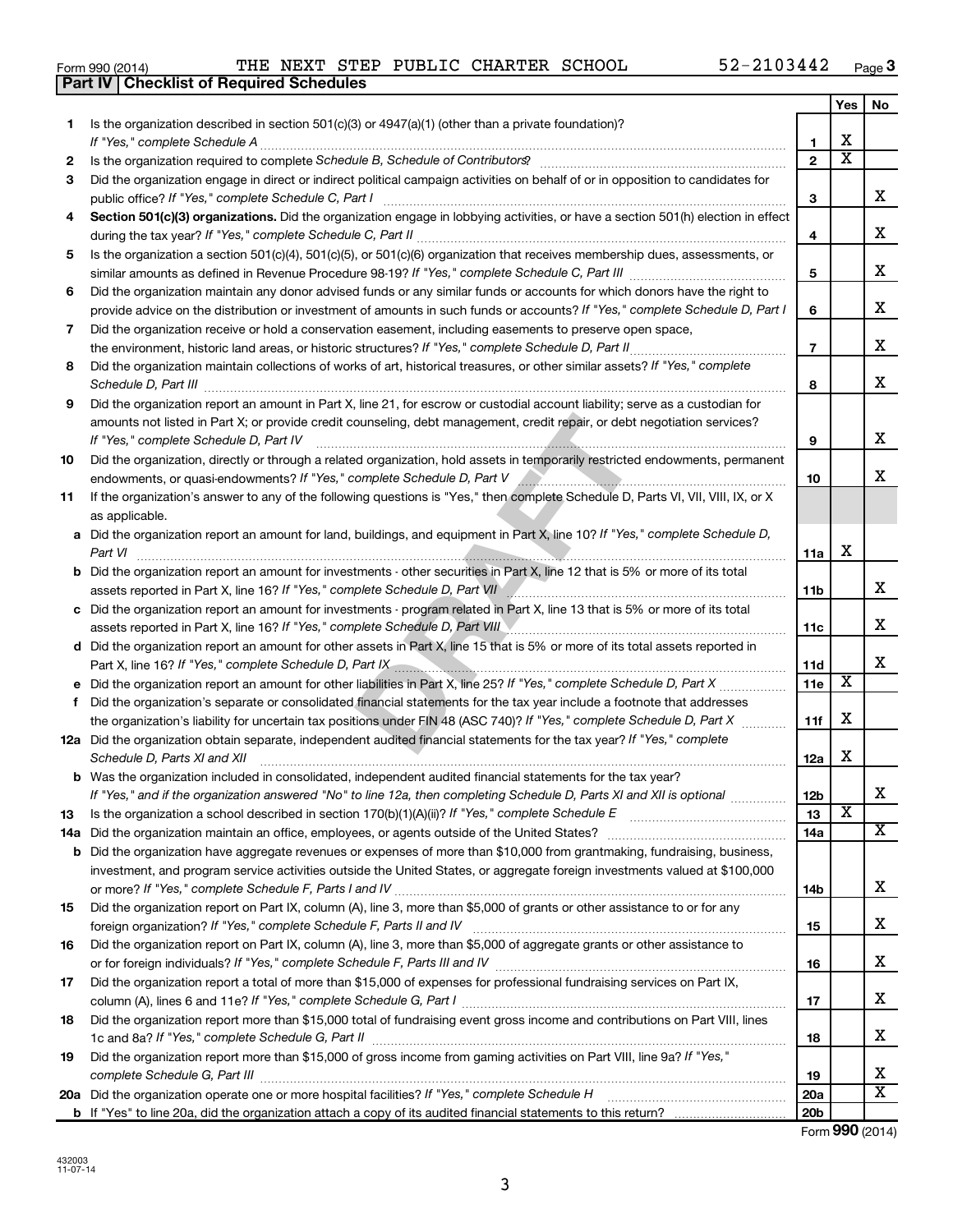|  | Form 990 (2014) |
|--|-----------------|
|  |                 |

**Part IV Checklist of Required Schedules**

|    |                                                                                                                                                                                                                                                    |                 | Yes                   | No                      |
|----|----------------------------------------------------------------------------------------------------------------------------------------------------------------------------------------------------------------------------------------------------|-----------------|-----------------------|-------------------------|
| 1. | Is the organization described in section $501(c)(3)$ or $4947(a)(1)$ (other than a private foundation)?                                                                                                                                            |                 |                       |                         |
|    | If "Yes," complete Schedule A                                                                                                                                                                                                                      | 1               | X                     |                         |
| 2  |                                                                                                                                                                                                                                                    | $\overline{2}$  | $\overline{\text{x}}$ |                         |
| 3  | Did the organization engage in direct or indirect political campaign activities on behalf of or in opposition to candidates for                                                                                                                    | 3               |                       | X.                      |
| 4  | Section 501(c)(3) organizations. Did the organization engage in lobbying activities, or have a section 501(h) election in effect                                                                                                                   |                 |                       |                         |
|    |                                                                                                                                                                                                                                                    | 4               |                       | x                       |
| 5  | Is the organization a section 501(c)(4), 501(c)(5), or 501(c)(6) organization that receives membership dues, assessments, or                                                                                                                       |                 |                       |                         |
|    |                                                                                                                                                                                                                                                    | 5               |                       | x                       |
| 6  | Did the organization maintain any donor advised funds or any similar funds or accounts for which donors have the right to                                                                                                                          |                 |                       |                         |
|    | provide advice on the distribution or investment of amounts in such funds or accounts? If "Yes," complete Schedule D, Part I                                                                                                                       | 6               |                       | х                       |
| 7  | Did the organization receive or hold a conservation easement, including easements to preserve open space,                                                                                                                                          |                 |                       |                         |
|    | the environment, historic land areas, or historic structures? If "Yes," complete Schedule D, Part II.                                                                                                                                              | $\overline{7}$  |                       | х                       |
| 8  | Did the organization maintain collections of works of art, historical treasures, or other similar assets? If "Yes," complete                                                                                                                       |                 |                       |                         |
|    | Schedule D, Part III                                                                                                                                                                                                                               | 8               |                       | X.                      |
| 9  | Did the organization report an amount in Part X, line 21, for escrow or custodial account liability; serve as a custodian for                                                                                                                      |                 |                       |                         |
|    | amounts not listed in Part X; or provide credit counseling, debt management, credit repair, or debt negotiation services?<br>If "Yes," complete Schedule D, Part IV                                                                                | 9               |                       | x.                      |
| 10 | Did the organization, directly or through a related organization, hold assets in temporarily restricted endowments, permanent                                                                                                                      |                 |                       |                         |
|    |                                                                                                                                                                                                                                                    | 10              |                       | x.                      |
| 11 | If the organization's answer to any of the following questions is "Yes," then complete Schedule D, Parts VI, VII, VIII, IX, or X                                                                                                                   |                 |                       |                         |
|    | as applicable.                                                                                                                                                                                                                                     |                 |                       |                         |
|    | a Did the organization report an amount for land, buildings, and equipment in Part X, line 10? If "Yes," complete Schedule D,                                                                                                                      |                 |                       |                         |
|    | Part VI                                                                                                                                                                                                                                            | 11a             | х                     |                         |
|    | <b>b</b> Did the organization report an amount for investments - other securities in Part X, line 12 that is 5% or more of its total                                                                                                               |                 |                       |                         |
|    | assets reported in Part X, line 16? If "Yes," complete Schedule D, Part VII [[[[[[[[[[[[[[[[[[[[[[[]]]]]]]]]]                                                                                                                                      | 11b             |                       | х                       |
|    | c Did the organization report an amount for investments - program related in Part X, line 13 that is 5% or more of its total                                                                                                                       |                 |                       |                         |
|    | assets reported in Part X, line 16? If "Yes," complete Schedule D, Part VIII                                                                                                                                                                       | 11c             |                       | x                       |
|    | d Did the organization report an amount for other assets in Part X, line 15 that is 5% or more of its total assets reported in                                                                                                                     |                 |                       | x                       |
|    | Part X, line 16? If "Yes," complete Schedule D, Part IX [19] Decreed and the content of the Schedule D, Part IX                                                                                                                                    | 11d             | $\overline{\text{X}}$ |                         |
| f  | e Did the organization report an amount for other liabilities in Part X, line 25? If "Yes," complete Schedule D, Part X<br>Did the organization's separate or consolidated financial statements for the tax year include a footnote that addresses | 11e             |                       |                         |
|    | the organization's liability for uncertain tax positions under FIN 48 (ASC 740)? If "Yes," complete Schedule D, Part X                                                                                                                             | 11f             | х                     |                         |
|    | 12a Did the organization obtain separate, independent audited financial statements for the tax year? If "Yes," complete                                                                                                                            |                 |                       |                         |
|    | Schedule D, Parts XI and XII                                                                                                                                                                                                                       | 12a             | х                     |                         |
|    | <b>b</b> Was the organization included in consolidated, independent audited financial statements for the tax year?                                                                                                                                 |                 |                       |                         |
|    | If "Yes," and if the organization answered "No" to line 12a, then completing Schedule D, Parts XI and XII is optional                                                                                                                              | 12b             |                       | A                       |
| 13 |                                                                                                                                                                                                                                                    | 13              | х                     |                         |
|    | 14a Did the organization maintain an office, employees, or agents outside of the United States?                                                                                                                                                    | 14a             |                       | x                       |
|    | <b>b</b> Did the organization have aggregate revenues or expenses of more than \$10,000 from grantmaking, fundraising, business,                                                                                                                   |                 |                       |                         |
|    | investment, and program service activities outside the United States, or aggregate foreign investments valued at \$100,000                                                                                                                         |                 |                       |                         |
|    |                                                                                                                                                                                                                                                    | 14b             |                       | х                       |
| 15 | Did the organization report on Part IX, column (A), line 3, more than \$5,000 of grants or other assistance to or for any                                                                                                                          |                 |                       |                         |
|    |                                                                                                                                                                                                                                                    | 15              |                       | х                       |
| 16 | Did the organization report on Part IX, column (A), line 3, more than \$5,000 of aggregate grants or other assistance to                                                                                                                           |                 |                       | х                       |
| 17 | Did the organization report a total of more than \$15,000 of expenses for professional fundraising services on Part IX,                                                                                                                            | 16              |                       |                         |
|    |                                                                                                                                                                                                                                                    | 17              |                       | х                       |
| 18 | Did the organization report more than \$15,000 total of fundraising event gross income and contributions on Part VIII, lines                                                                                                                       |                 |                       |                         |
|    |                                                                                                                                                                                                                                                    | 18              |                       | х                       |
| 19 | Did the organization report more than \$15,000 of gross income from gaming activities on Part VIII, line 9a? If "Yes,"                                                                                                                             |                 |                       |                         |
|    |                                                                                                                                                                                                                                                    | 19              |                       | x                       |
|    | 20a Did the organization operate one or more hospital facilities? If "Yes," complete Schedule H                                                                                                                                                    | 20a             |                       | $\overline{\mathbf{X}}$ |
|    |                                                                                                                                                                                                                                                    | 20 <sub>b</sub> |                       |                         |

Form (2014) **990**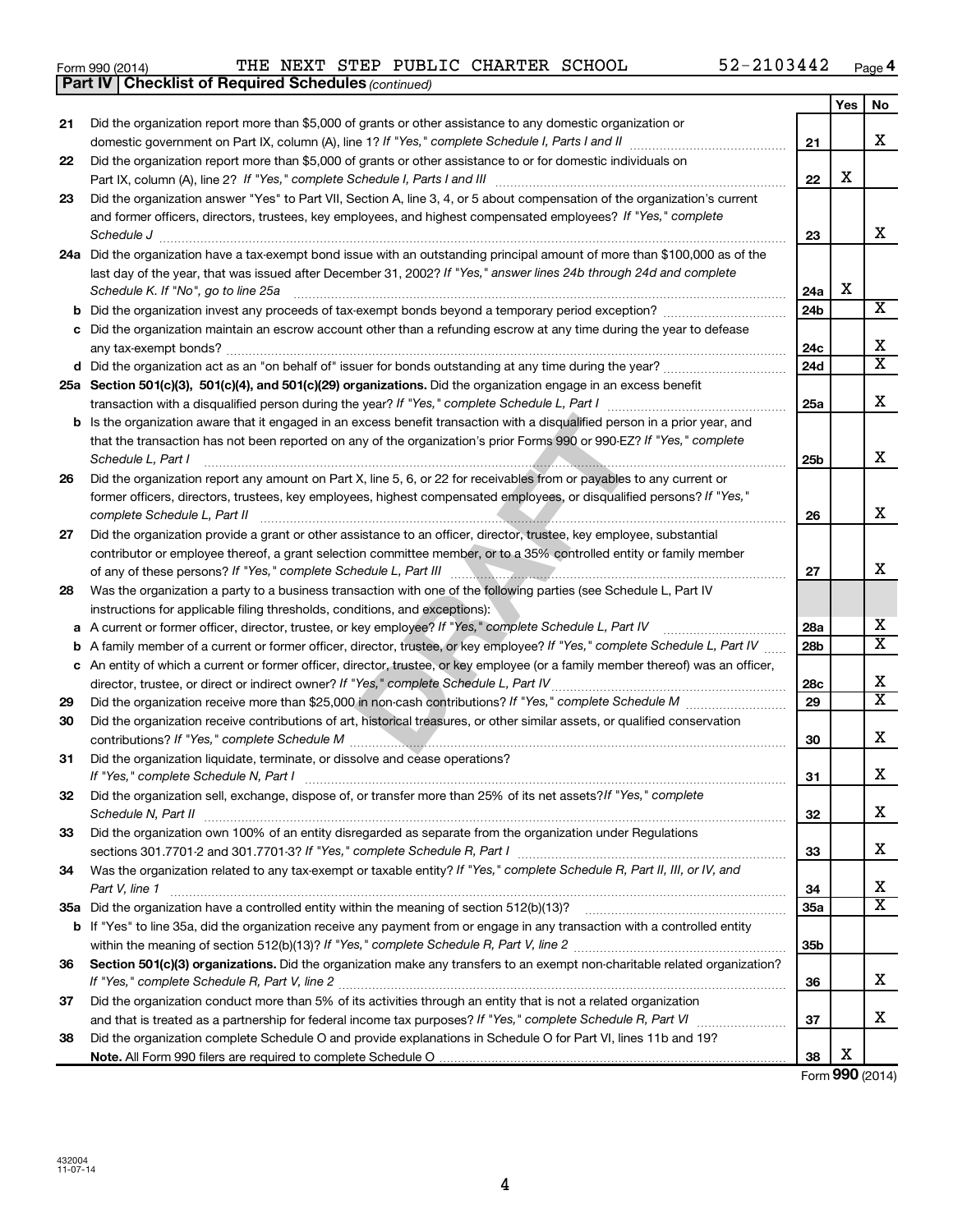| Form 990 (2014) | THE NEXT STEP PUBLIC CHARTER SCHOOL |  |  |  |  | 52-2103442 | Page |
|-----------------|-------------------------------------|--|--|--|--|------------|------|
|-----------------|-------------------------------------|--|--|--|--|------------|------|

|    | <b>Part IV   Checklist of Required Schedules (continued)</b>                                                                        |                 |     |                         |
|----|-------------------------------------------------------------------------------------------------------------------------------------|-----------------|-----|-------------------------|
|    |                                                                                                                                     |                 | Yes | No                      |
| 21 | Did the organization report more than \$5,000 of grants or other assistance to any domestic organization or                         |                 |     |                         |
|    |                                                                                                                                     | 21              |     | x                       |
| 22 | Did the organization report more than \$5,000 of grants or other assistance to or for domestic individuals on                       |                 |     |                         |
|    |                                                                                                                                     | 22              | X   |                         |
| 23 | Did the organization answer "Yes" to Part VII, Section A, line 3, 4, or 5 about compensation of the organization's current          |                 |     |                         |
|    | and former officers, directors, trustees, key employees, and highest compensated employees? If "Yes," complete                      |                 |     |                         |
|    | Schedule J <b>Execute Schedule J Execute Schedule J</b>                                                                             | 23              |     | x                       |
|    | 24a Did the organization have a tax-exempt bond issue with an outstanding principal amount of more than \$100,000 as of the         |                 |     |                         |
|    | last day of the year, that was issued after December 31, 2002? If "Yes," answer lines 24b through 24d and complete                  |                 |     |                         |
|    | Schedule K. If "No", go to line 25a                                                                                                 | 24a             | X   |                         |
| b  |                                                                                                                                     | 24b             |     | $\overline{\mathbf{X}}$ |
|    | c Did the organization maintain an escrow account other than a refunding escrow at any time during the year to defease              |                 |     |                         |
|    |                                                                                                                                     | 24c             |     | х                       |
|    |                                                                                                                                     | 24d             |     | $\overline{\text{X}}$   |
|    | 25a Section 501(c)(3), 501(c)(4), and 501(c)(29) organizations. Did the organization engage in an excess benefit                    |                 |     |                         |
|    |                                                                                                                                     | 25a             |     | x                       |
|    | <b>b</b> Is the organization aware that it engaged in an excess benefit transaction with a disqualified person in a prior year, and |                 |     |                         |
|    | that the transaction has not been reported on any of the organization's prior Forms 990 or 990-EZ? If "Yes," complete               |                 |     |                         |
|    | Schedule L, Part I                                                                                                                  | 25b             |     | x                       |
| 26 | Did the organization report any amount on Part X, line 5, 6, or 22 for receivables from or payables to any current or               |                 |     |                         |
|    | former officers, directors, trustees, key employees, highest compensated employees, or disqualified persons? If "Yes,"              |                 |     |                         |
|    | complete Schedule L, Part II                                                                                                        | 26              |     | x                       |
| 27 | Did the organization provide a grant or other assistance to an officer, director, trustee, key employee, substantial                |                 |     |                         |
|    | contributor or employee thereof, a grant selection committee member, or to a 35% controlled entity or family member                 |                 |     |                         |
|    |                                                                                                                                     | 27              |     | x                       |
| 28 | Was the organization a party to a business transaction with one of the following parties (see Schedule L, Part IV                   |                 |     |                         |
|    | instructions for applicable filing thresholds, conditions, and exceptions):                                                         |                 |     |                         |
| а  | A current or former officer, director, trustee, or key employee? If "Yes," complete Schedule L, Part IV                             | 28a             |     | x                       |
| b  | A family member of a current or former officer, director, trustee, or key employee? If "Yes," complete Schedule L, Part IV          | 28b             |     | $\overline{\mathtt{x}}$ |
|    | c An entity of which a current or former officer, director, trustee, or key employee (or a family member thereof) was an officer,   |                 |     |                         |
|    | director, trustee, or direct or indirect owner? If "Yes," complete Schedule L, Part IV                                              | 28c             |     | х                       |
| 29 |                                                                                                                                     | 29              |     | $\overline{\mathtt{x}}$ |
| 30 | Did the organization receive contributions of art, historical treasures, or other similar assets, or qualified conservation         |                 |     |                         |
|    |                                                                                                                                     | 30              |     | x                       |
| 31 | Did the organization liquidate, terminate, or dissolve and cease operations?                                                        |                 |     |                         |
|    | If "Yes," complete Schedule N, Part I                                                                                               | 31              |     | ᅀ                       |
| 32 | Did the organization sell, exchange, dispose of, or transfer more than 25% of its net assets?/f "Yes," complete                     |                 |     |                         |
|    | Schedule N, Part II                                                                                                                 | 32              |     | x                       |
| 33 | Did the organization own 100% of an entity disregarded as separate from the organization under Regulations                          |                 |     |                         |
|    |                                                                                                                                     | 33              |     | x                       |
| 34 | Was the organization related to any tax-exempt or taxable entity? If "Yes," complete Schedule R, Part II, III, or IV, and           |                 |     |                         |
|    | Part V, line 1                                                                                                                      | 34              |     | х                       |
|    |                                                                                                                                     | 35a             |     | $\overline{\mathtt{x}}$ |
|    | b If "Yes" to line 35a, did the organization receive any payment from or engage in any transaction with a controlled entity         |                 |     |                         |
|    |                                                                                                                                     | 35 <sub>b</sub> |     |                         |
| 36 | Section 501(c)(3) organizations. Did the organization make any transfers to an exempt non-charitable related organization?          |                 |     |                         |
|    |                                                                                                                                     | 36              |     | x                       |
| 37 | Did the organization conduct more than 5% of its activities through an entity that is not a related organization                    |                 |     | x                       |
|    |                                                                                                                                     | 37              |     |                         |
| 38 | Did the organization complete Schedule O and provide explanations in Schedule O for Part VI, lines 11b and 19?                      | 38              | х   |                         |
|    |                                                                                                                                     |                 |     |                         |

Form (2014) **990**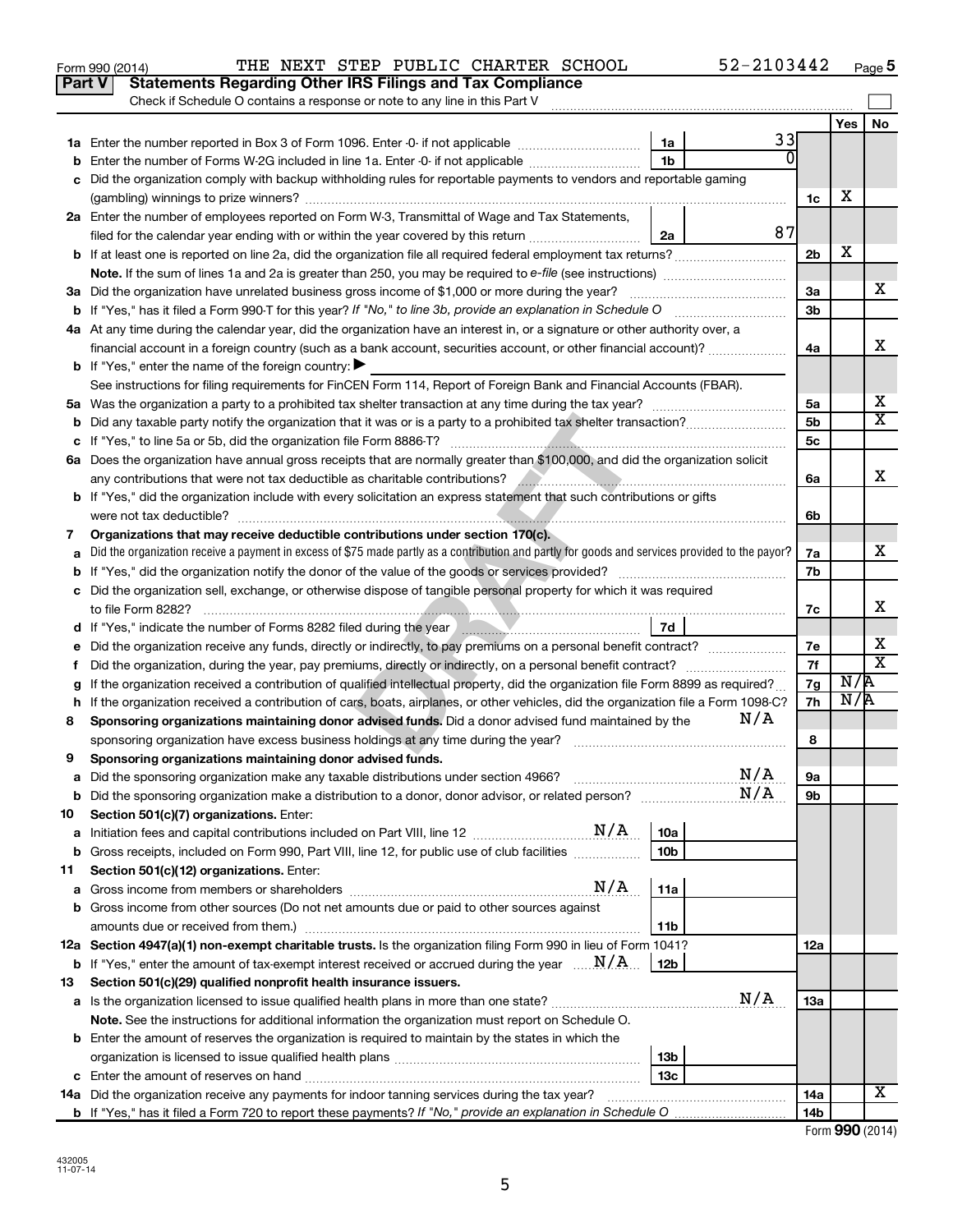|    | 52-2103442<br>THE NEXT STEP PUBLIC CHARTER SCHOOL<br>Form 990 (2014)                                                                                                                                                                 |                      |     | Page 5                  |
|----|--------------------------------------------------------------------------------------------------------------------------------------------------------------------------------------------------------------------------------------|----------------------|-----|-------------------------|
|    | <b>Statements Regarding Other IRS Filings and Tax Compliance</b><br><b>Part V</b>                                                                                                                                                    |                      |     |                         |
|    | Check if Schedule O contains a response or note to any line in this Part V                                                                                                                                                           |                      |     |                         |
|    |                                                                                                                                                                                                                                      |                      | Yes | No                      |
|    | 33<br>1a                                                                                                                                                                                                                             |                      |     |                         |
|    | O<br><b>b</b> Enter the number of Forms W-2G included in line 1a. Enter -0- if not applicable<br>1b                                                                                                                                  |                      |     |                         |
| c  | Did the organization comply with backup withholding rules for reportable payments to vendors and reportable gaming                                                                                                                   |                      |     |                         |
|    |                                                                                                                                                                                                                                      | 1c                   | х   |                         |
|    | 2a Enter the number of employees reported on Form W-3, Transmittal of Wage and Tax Statements,                                                                                                                                       |                      |     |                         |
|    | 87<br>filed for the calendar year ending with or within the year covered by this return<br>2a                                                                                                                                        |                      |     |                         |
|    |                                                                                                                                                                                                                                      | 2 <sub>b</sub>       | х   |                         |
|    | Note. If the sum of lines 1a and 2a is greater than 250, you may be required to e-file (see instructions) <i>managereroum</i>                                                                                                        |                      |     |                         |
|    | 3a Did the organization have unrelated business gross income of \$1,000 or more during the year?                                                                                                                                     | 3a                   |     | x                       |
|    | <b>b</b> If "Yes," has it filed a Form 990 T for this year? If "No," to line 3b, provide an explanation in Schedule O                                                                                                                | 3b                   |     |                         |
|    | 4a At any time during the calendar year, did the organization have an interest in, or a signature or other authority over, a                                                                                                         |                      |     |                         |
|    |                                                                                                                                                                                                                                      | 4a                   |     | x                       |
|    | financial account in a foreign country (such as a bank account, securities account, or other financial account)?<br><b>b</b> If "Yes," enter the name of the foreign country: $\blacktriangleright$                                  |                      |     |                         |
|    |                                                                                                                                                                                                                                      |                      |     |                         |
|    | See instructions for filing requirements for FinCEN Form 114, Report of Foreign Bank and Financial Accounts (FBAR).                                                                                                                  |                      |     | х                       |
|    |                                                                                                                                                                                                                                      | 5a<br>5 <sub>b</sub> |     | $\overline{\mathtt{x}}$ |
|    |                                                                                                                                                                                                                                      |                      |     |                         |
|    |                                                                                                                                                                                                                                      | 5c                   |     |                         |
|    | 6a Does the organization have annual gross receipts that are normally greater than \$100,000, and did the organization solicit                                                                                                       |                      |     | x                       |
|    | any contributions that were not tax deductible as charitable contributions?<br><u> 1988 - Januar Stein, Amerikaansk politiker (</u> † 1918)                                                                                          | 6a                   |     |                         |
|    | b If "Yes," did the organization include with every solicitation an express statement that such contributions or gifts                                                                                                               |                      |     |                         |
|    | were not tax deductible?                                                                                                                                                                                                             | 6b                   |     |                         |
| 7  | Organizations that may receive deductible contributions under section 170(c).                                                                                                                                                        |                      |     |                         |
| а  | Did the organization receive a payment in excess of \$75 made partly as a contribution and partly for goods and services provided to the payor?                                                                                      | 7a                   |     | x                       |
|    | <b>b</b> If "Yes," did the organization notify the donor of the value of the goods or services provided?                                                                                                                             | 7b                   |     |                         |
|    | c Did the organization sell, exchange, or otherwise dispose of tangible personal property for which it was required                                                                                                                  |                      |     |                         |
|    | to file Form 8282?                                                                                                                                                                                                                   | 7c                   |     | x                       |
|    | 7d<br>d If "Yes," indicate the number of Forms 8282 filed during the year manufactured in the set of the number of Forms 8282 filed during the year manufactured in the set of the set of the set of the set of the set of the set o |                      |     |                         |
| е  | Did the organization receive any funds, directly or indirectly, to pay premiums on a personal benefit contract?                                                                                                                      | 7е                   |     | х                       |
| f. | Did the organization, during the year, pay premiums, directly or indirectly, on a personal benefit contract?                                                                                                                         | 7f                   |     | $\overline{\mathbf{x}}$ |
| g  | If the organization received a contribution of qualified intellectual property, did the organization file Form 8899 as required?                                                                                                     | 7g                   | N/R |                         |
|    | h If the organization received a contribution of cars, boats, airplanes, or other vehicles, did the organization file a Form 1098-C?                                                                                                 | 7h                   | N/R |                         |
| 8  | N/A<br>Sponsoring organizations maintaining donor advised funds. Did a donor advised fund maintained by the                                                                                                                          |                      |     |                         |
|    | sponsoring organization have excess business holdings at any time during the year?                                                                                                                                                   | 8                    |     |                         |
| 9  | Sponsoring organizations maintaining donor advised funds.                                                                                                                                                                            |                      |     |                         |
| а  | N/A<br>Did the sponsoring organization make any taxable distributions under section 4966?                                                                                                                                            | 9а                   |     |                         |
| b  | N/A                                                                                                                                                                                                                                  | 9b                   |     |                         |
| 10 | Section 501(c)(7) organizations. Enter:                                                                                                                                                                                              |                      |     |                         |
| а  | 10a                                                                                                                                                                                                                                  |                      |     |                         |
| b  | Gross receipts, included on Form 990, Part VIII, line 12, for public use of club facilities<br>10 <sub>b</sub>                                                                                                                       |                      |     |                         |
| 11 | Section 501(c)(12) organizations. Enter:                                                                                                                                                                                             |                      |     |                         |
| а  | N/A<br>11a                                                                                                                                                                                                                           |                      |     |                         |
| b  | Gross income from other sources (Do not net amounts due or paid to other sources against                                                                                                                                             |                      |     |                         |
|    | 11b                                                                                                                                                                                                                                  |                      |     |                         |
|    | 12a Section 4947(a)(1) non-exempt charitable trusts. Is the organization filing Form 990 in lieu of Form 1041?                                                                                                                       | 12a                  |     |                         |
| b  | If "Yes," enter the amount of tax-exempt interest received or accrued during the year $\ldots$ $N/A$ .<br>12b                                                                                                                        |                      |     |                         |
| 13 | Section 501(c)(29) qualified nonprofit health insurance issuers.                                                                                                                                                                     |                      |     |                         |
|    | N/A                                                                                                                                                                                                                                  | 13a                  |     |                         |
|    | Note. See the instructions for additional information the organization must report on Schedule O.                                                                                                                                    |                      |     |                         |
|    | <b>b</b> Enter the amount of reserves the organization is required to maintain by the states in which the                                                                                                                            |                      |     |                         |
|    | 13 <sub>b</sub>                                                                                                                                                                                                                      |                      |     |                         |
|    | 13 <sub>c</sub>                                                                                                                                                                                                                      |                      |     |                         |
|    | <b>14a</b> Did the organization receive any payments for indoor tanning services during the tax year?                                                                                                                                | 14a                  |     | Х                       |
|    |                                                                                                                                                                                                                                      | 14b                  |     |                         |

| Form 990 (2014) |  |  |
|-----------------|--|--|
|-----------------|--|--|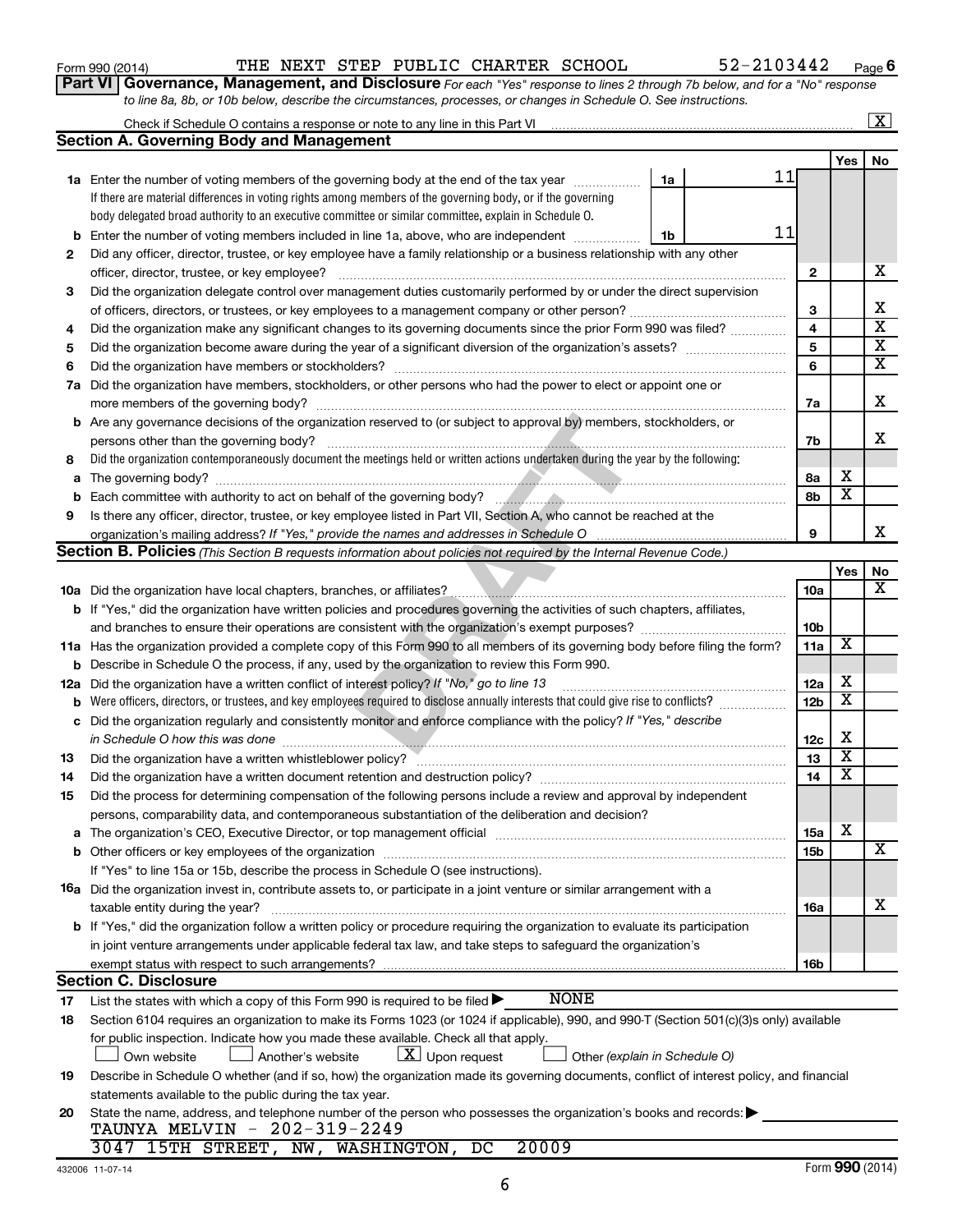| Form 990 (2014) |  |  |
|-----------------|--|--|
|-----------------|--|--|

### Form 990 (2014)  $\qquad$  THE NEXT STEP PUBLIC CHARTER SCHOOL  $\qquad \qquad$  52-2103442  $\qquad$  Page

**Part VI** Governance, Management, and Disclosure For each "Yes" response to lines 2 through 7b below, and for a "No" response *to line 8a, 8b, or 10b below, describe the circumstances, processes, or changes in Schedule O. See instructions.*

|             |                                                                                                                                                                                                                               |                               |    |                 |                         | $\overline{\text{X}}$   |
|-------------|-------------------------------------------------------------------------------------------------------------------------------------------------------------------------------------------------------------------------------|-------------------------------|----|-----------------|-------------------------|-------------------------|
|             | <b>Section A. Governing Body and Management</b>                                                                                                                                                                               |                               |    |                 |                         |                         |
|             |                                                                                                                                                                                                                               |                               |    |                 | Yes                     | No                      |
|             | <b>1a</b> Enter the number of voting members of the governing body at the end of the tax year                                                                                                                                 | 1a                            | 11 |                 |                         |                         |
|             | If there are material differences in voting rights among members of the governing body, or if the governing                                                                                                                   |                               |    |                 |                         |                         |
|             | body delegated broad authority to an executive committee or similar committee, explain in Schedule O.                                                                                                                         |                               |    |                 |                         |                         |
| b           | Enter the number of voting members included in line 1a, above, who are independent                                                                                                                                            | 1b                            | 11 |                 |                         |                         |
| 2           | Did any officer, director, trustee, or key employee have a family relationship or a business relationship with any other                                                                                                      |                               |    |                 |                         |                         |
|             | officer, director, trustee, or key employee?                                                                                                                                                                                  |                               |    | $\mathbf{2}$    |                         | х                       |
| 3           | Did the organization delegate control over management duties customarily performed by or under the direct supervision                                                                                                         |                               |    |                 |                         |                         |
|             |                                                                                                                                                                                                                               |                               |    | 3               |                         | х                       |
| 4           | Did the organization make any significant changes to its governing documents since the prior Form 990 was filed?                                                                                                              |                               |    | 4               |                         | $\overline{\textbf{x}}$ |
| 5           |                                                                                                                                                                                                                               |                               |    | 5               |                         | $\overline{\mathbf{x}}$ |
| 6           |                                                                                                                                                                                                                               |                               |    | 6               |                         | $\overline{\mathbf{x}}$ |
| 7a          | Did the organization have members, stockholders, or other persons who had the power to elect or appoint one or                                                                                                                |                               |    |                 |                         |                         |
|             |                                                                                                                                                                                                                               |                               |    | 7a              |                         | х                       |
| b           | Are any governance decisions of the organization reserved to (or subject to approval by) members, stockholders, or                                                                                                            |                               |    |                 |                         |                         |
|             | persons other than the governing body?                                                                                                                                                                                        |                               |    | 7b              |                         | x                       |
| 8           | Did the organization contemporaneously document the meetings held or written actions undertaken during the year by the following:                                                                                             |                               |    |                 |                         |                         |
| a           |                                                                                                                                                                                                                               |                               |    | 8а              | х                       |                         |
| $\mathbf b$ |                                                                                                                                                                                                                               |                               |    | 8b              | $\overline{\mathbf{x}}$ |                         |
| 9           | Is there any officer, director, trustee, or key employee listed in Part VII, Section A, who cannot be reached at the                                                                                                          |                               |    |                 |                         |                         |
|             |                                                                                                                                                                                                                               |                               |    | 9               |                         | x                       |
|             | Section B. Policies (This Section B requests information about policies not required by the Internal Revenue Code.)                                                                                                           |                               |    |                 |                         |                         |
|             |                                                                                                                                                                                                                               |                               |    |                 | Yes                     | No                      |
|             |                                                                                                                                                                                                                               |                               |    | 10a             |                         | x                       |
|             | b If "Yes," did the organization have written policies and procedures governing the activities of such chapters, affiliates,                                                                                                  |                               |    |                 |                         |                         |
|             | and branches to ensure their operations are consistent with the organization's exempt purposes? www.www.www.www.                                                                                                              |                               |    | 10 <sub>b</sub> |                         |                         |
| 11a         | Has the organization provided a complete copy of this Form 990 to all members of its governing body before filing the form?                                                                                                   |                               |    | 11a             | х                       |                         |
| b           | Describe in Schedule O the process, if any, used by the organization to review this Form 990.                                                                                                                                 |                               |    |                 |                         |                         |
| 12a         | Did the organization have a written conflict of interest policy? If "No," go to line 13                                                                                                                                       |                               |    | 12a             | X                       |                         |
| b           | Were officers, directors, or trustees, and key employees required to disclose annually interests that could give rise to conflicts?                                                                                           |                               |    | 12 <sub>b</sub> | $\overline{\textbf{x}}$ |                         |
| с           | Did the organization regularly and consistently monitor and enforce compliance with the policy? If "Yes," describe                                                                                                            |                               |    |                 |                         |                         |
|             | in Schedule O how this was done                                                                                                                                                                                               |                               |    | 12c             | X                       |                         |
| 13          |                                                                                                                                                                                                                               |                               |    | 13              | $\overline{\textbf{x}}$ |                         |
| 14          |                                                                                                                                                                                                                               |                               |    | 14              | $\overline{\mathbf{X}}$ |                         |
| 15          | Did the process for determining compensation of the following persons include a review and approval by independent                                                                                                            |                               |    |                 |                         |                         |
|             | persons, comparability data, and contemporaneous substantiation of the deliberation and decision?                                                                                                                             |                               |    |                 |                         |                         |
| a           | The organization's CEO, Executive Director, or top management official manufactured content of the organization's CEO, Executive Director, or top management official manufactured and the state of the state of the state of |                               |    | <b>15a</b>      | х                       |                         |
| b           |                                                                                                                                                                                                                               |                               |    | 15 <sub>b</sub> |                         | х                       |
|             | If "Yes" to line 15a or 15b, describe the process in Schedule O (see instructions).                                                                                                                                           |                               |    |                 |                         |                         |
|             | 16a Did the organization invest in, contribute assets to, or participate in a joint venture or similar arrangement with a                                                                                                     |                               |    |                 |                         |                         |
|             | taxable entity during the year?                                                                                                                                                                                               |                               |    | 16a             |                         | х                       |
|             | <b>b</b> If "Yes," did the organization follow a written policy or procedure requiring the organization to evaluate its participation                                                                                         |                               |    |                 |                         |                         |
|             | in joint venture arrangements under applicable federal tax law, and take steps to safeguard the organization's                                                                                                                |                               |    |                 |                         |                         |
|             | exempt status with respect to such arrangements?                                                                                                                                                                              |                               |    | 16b             |                         |                         |
|             | <b>Section C. Disclosure</b><br><b>NONE</b>                                                                                                                                                                                   |                               |    |                 |                         |                         |
| 17          | List the states with which a copy of this Form 990 is required to be filed >                                                                                                                                                  |                               |    |                 |                         |                         |
| 18          | Section 6104 requires an organization to make its Forms 1023 (or 1024 if applicable), 990, and 990-T (Section 501(c)(3)s only) available                                                                                      |                               |    |                 |                         |                         |
|             | for public inspection. Indicate how you made these available. Check all that apply.                                                                                                                                           |                               |    |                 |                         |                         |
|             | $\lfloor x \rfloor$ Upon request<br>Another's website<br>Own website                                                                                                                                                          | Other (explain in Schedule O) |    |                 |                         |                         |
| 19          | Describe in Schedule O whether (and if so, how) the organization made its governing documents, conflict of interest policy, and financial                                                                                     |                               |    |                 |                         |                         |
|             | statements available to the public during the tax year.                                                                                                                                                                       |                               |    |                 |                         |                         |
|             |                                                                                                                                                                                                                               |                               |    |                 |                         |                         |
| 20          | State the name, address, and telephone number of the person who possesses the organization's books and records:<br>TAUNYA MELVIN - 202-319-2249                                                                               |                               |    |                 |                         |                         |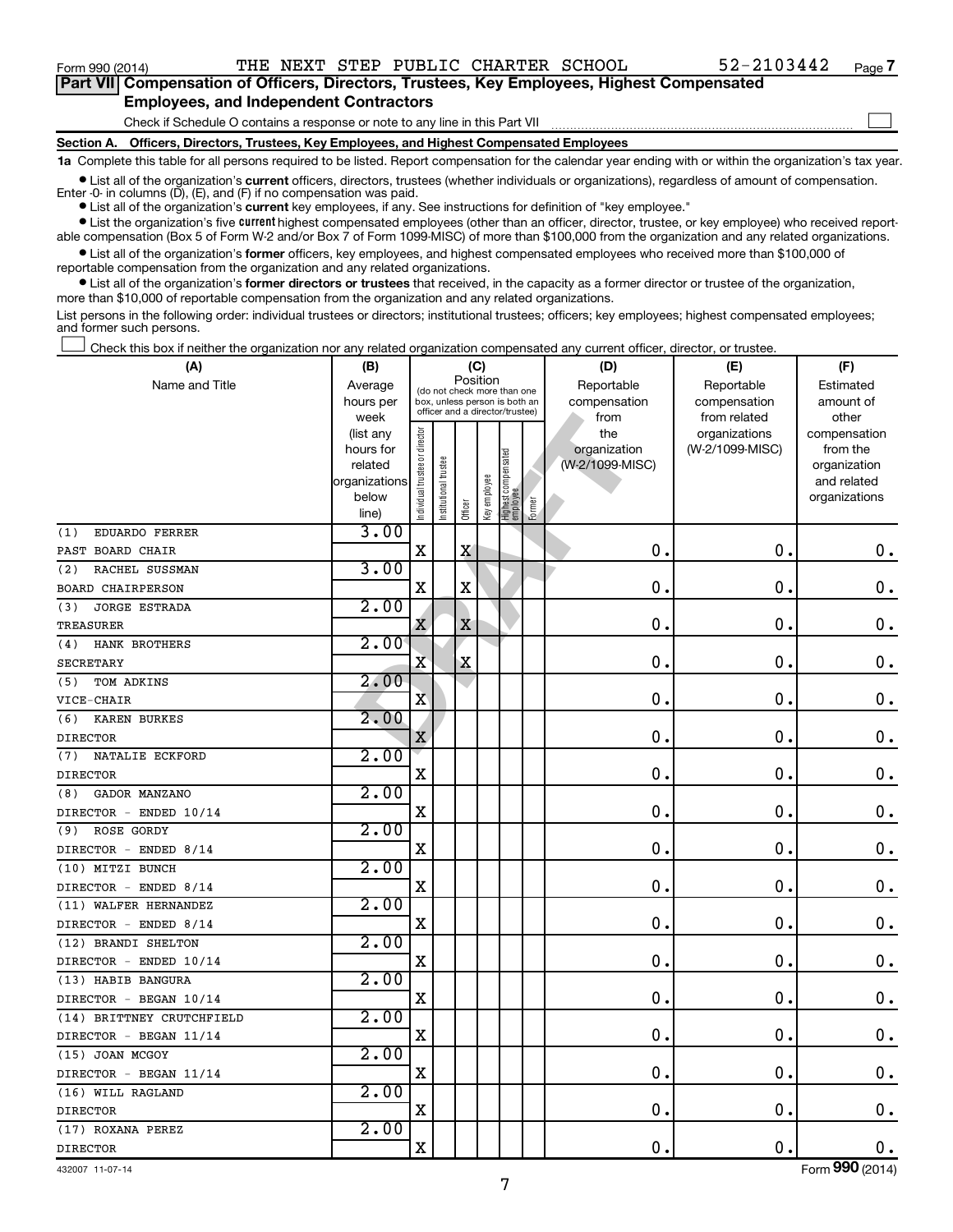$\Box$ 

| Part VII Compensation of Officers, Directors, Trustees, Key Employees, Highest Compensated |  |
|--------------------------------------------------------------------------------------------|--|
| <b>Employees, and Independent Contractors</b>                                              |  |

Check if Schedule O contains a response or note to any line in this Part VII

**Section A. Officers, Directors, Trustees, Key Employees, and Highest Compensated Employees**

**1a**  Complete this table for all persons required to be listed. Report compensation for the calendar year ending with or within the organization's tax year.

**•** List all of the organization's current officers, directors, trustees (whether individuals or organizations), regardless of amount of compensation. Enter -0- in columns  $(D)$ ,  $(E)$ , and  $(F)$  if no compensation was paid.

**•** List all of the organization's **current** key employees, if any. See instructions for definition of "key employee."

**•** List the organization's five current highest compensated employees (other than an officer, director, trustee, or key employee) who received reportable compensation (Box 5 of Form W-2 and/or Box 7 of Form 1099-MISC) of more than \$100,000 from the organization and any related organizations.

**•** List all of the organization's former officers, key employees, and highest compensated employees who received more than \$100,000 of reportable compensation from the organization and any related organizations.

**•** List all of the organization's former directors or trustees that received, in the capacity as a former director or trustee of the organization, more than \$10,000 of reportable compensation from the organization and any related organizations.

List persons in the following order: individual trustees or directors; institutional trustees; officers; key employees; highest compensated employees; and former such persons.

Check this box if neither the organization nor any related organization compensated any current officer, director, or trustee. †

| (A)<br>(B)                  |                        | (C)                           |                      |                                                                  | (D)          | (E)                             | (F)    |                     |                                  |                          |
|-----------------------------|------------------------|-------------------------------|----------------------|------------------------------------------------------------------|--------------|---------------------------------|--------|---------------------|----------------------------------|--------------------------|
| Name and Title              | Average                |                               |                      | Position<br>(do not check more than one                          |              |                                 |        | Reportable          | Reportable                       | Estimated                |
|                             | hours per              |                               |                      | box, unless person is both an<br>officer and a director/trustee) |              |                                 |        | compensation        | compensation                     | amount of                |
|                             | week                   |                               |                      |                                                                  |              |                                 |        | from                | from related                     | other                    |
|                             | (list any<br>hours for |                               |                      |                                                                  |              |                                 |        | the<br>organization | organizations<br>(W-2/1099-MISC) | compensation<br>from the |
|                             | related                |                               |                      |                                                                  |              |                                 |        | (W-2/1099-MISC)     |                                  | organization             |
|                             | organizations          |                               |                      |                                                                  |              |                                 |        |                     |                                  | and related              |
|                             | below                  | ndividual trustee or director | nstitutional trustee |                                                                  | Key employee | Highest compensated<br>employee |        |                     |                                  | organizations            |
|                             | line)                  |                               |                      | Officer                                                          |              |                                 | Former |                     |                                  |                          |
| EDUARDO FERRER<br>(1)       | 3.00                   |                               |                      |                                                                  |              |                                 |        |                     |                                  |                          |
| PAST BOARD CHAIR            |                        | $\mathbf X$                   |                      | $\mathbf X$                                                      |              |                                 |        | $\mathbf 0$         | $\mathbf 0$                      | $\mathbf 0$ .            |
| (2)<br>RACHEL SUSSMAN       | 3.00                   |                               |                      |                                                                  |              |                                 |        |                     |                                  |                          |
| <b>BOARD CHAIRPERSON</b>    |                        | $\mathbf X$                   |                      | $\mathbf X$                                                      |              |                                 |        | 0                   | $\mathbf 0$                      | $\mathbf 0$ .            |
| <b>JORGE ESTRADA</b><br>(3) | 2.00                   |                               |                      |                                                                  |              |                                 |        |                     |                                  |                          |
| <b>TREASURER</b>            |                        | х                             |                      | $\mathbf X$                                                      |              |                                 |        | $\mathbf 0$         | $\mathbf 0$                      | $\mathbf 0$ .            |
| HANK BROTHERS<br>(4)        | 2.00                   |                               |                      |                                                                  |              |                                 |        |                     |                                  |                          |
| <b>SECRETARY</b>            |                        | $\overline{\mathbf{X}}$       |                      | X                                                                |              |                                 |        | 0.                  | $\mathbf 0$                      | $\mathbf 0$ .            |
| TOM ADKINS<br>(5)           | 2.00                   |                               |                      |                                                                  |              |                                 |        |                     |                                  |                          |
| VICE-CHAIR                  |                        | X                             |                      |                                                                  |              |                                 |        | $\mathbf 0$ .       | $\mathbf 0$ .                    | $\mathbf 0$ .            |
| <b>KAREN BURKES</b><br>(6)  | 2.00                   |                               |                      |                                                                  |              |                                 |        |                     |                                  |                          |
| <b>DIRECTOR</b>             |                        | X                             |                      |                                                                  |              |                                 |        | 0                   | $\mathbf 0$ .                    | $\mathbf 0$ .            |
| NATALIE ECKFORD<br>(7)      | 2.00                   |                               |                      |                                                                  |              |                                 |        |                     |                                  |                          |
| <b>DIRECTOR</b>             |                        | $\mathbf X$                   |                      |                                                                  |              |                                 |        | $\mathbf 0$         | $\mathbf 0$ .                    | $\mathbf 0$ .            |
| GADOR MANZANO<br>(8)        | 2.00                   |                               |                      |                                                                  |              |                                 |        |                     |                                  |                          |
| DIRECTOR - ENDED 10/14      |                        | $\mathbf X$                   |                      |                                                                  |              |                                 |        | 0.                  | $\mathbf 0$ .                    | $\mathbf 0$ .            |
| <b>ROSE GORDY</b><br>(9)    | 2.00                   |                               |                      |                                                                  |              |                                 |        |                     |                                  |                          |
| DIRECTOR - ENDED 8/14       |                        | $\mathbf X$                   |                      |                                                                  |              |                                 |        | 0.                  | $\mathbf 0$ .                    | $\mathbf 0$ .            |
| (10) MITZI BUNCH            | 2.00                   |                               |                      |                                                                  |              |                                 |        |                     |                                  |                          |
| DIRECTOR - ENDED 8/14       |                        | $\mathbf X$                   |                      |                                                                  |              |                                 |        | 0                   | $\mathbf 0$ .                    | $\mathbf 0$ .            |
| (11) WALFER HERNANDEZ       | 2.00                   |                               |                      |                                                                  |              |                                 |        |                     |                                  |                          |
| DIRECTOR - ENDED 8/14       |                        | $\mathbf X$                   |                      |                                                                  |              |                                 |        | 0                   | $\mathbf 0$ .                    | $\mathbf 0$ .            |
| (12) BRANDI SHELTON         | 2.00                   |                               |                      |                                                                  |              |                                 |        |                     |                                  |                          |
| DIRECTOR - ENDED 10/14      |                        | $\mathbf X$                   |                      |                                                                  |              |                                 |        | 0.                  | $\mathbf 0$ .                    | $\mathbf 0$ .            |
| (13) HABIB BANGURA          | 2.00                   |                               |                      |                                                                  |              |                                 |        |                     |                                  |                          |
| DIRECTOR - BEGAN 10/14      |                        | $\mathbf X$                   |                      |                                                                  |              |                                 |        | 0.                  | $\mathbf 0$ .                    | $\mathbf 0$ .            |
| (14) BRITTNEY CRUTCHFIELD   | 2.00                   |                               |                      |                                                                  |              |                                 |        |                     |                                  |                          |
| DIRECTOR - BEGAN 11/14      |                        | $\mathbf X$                   |                      |                                                                  |              |                                 |        | $\mathbf 0$         | $\mathbf 0$ .                    | $\mathbf 0$ .            |
| (15) JOAN MCGOY             | 2.00                   |                               |                      |                                                                  |              |                                 |        |                     |                                  |                          |
| DIRECTOR - BEGAN 11/14      |                        | $\mathbf X$                   |                      |                                                                  |              |                                 |        | $\mathbf{0}$ .      | $\mathbf 0$ .                    | $\mathbf 0$ .            |
| (16) WILL RAGLAND           | 2.00                   |                               |                      |                                                                  |              |                                 |        |                     |                                  |                          |
| <b>DIRECTOR</b>             |                        | $\rm X$                       |                      |                                                                  |              |                                 |        | 0                   | $\mathbf 0$ .                    | 0.                       |
| (17) ROXANA PEREZ           | 2.00                   |                               |                      |                                                                  |              |                                 |        |                     |                                  |                          |
| <b>DIRECTOR</b>             |                        | $\rm X$                       |                      |                                                                  |              |                                 |        | 0.                  | $\mathbf 0$ .                    | $\mathbf 0$ .            |

432007 11-07-14

Form (2014) **990**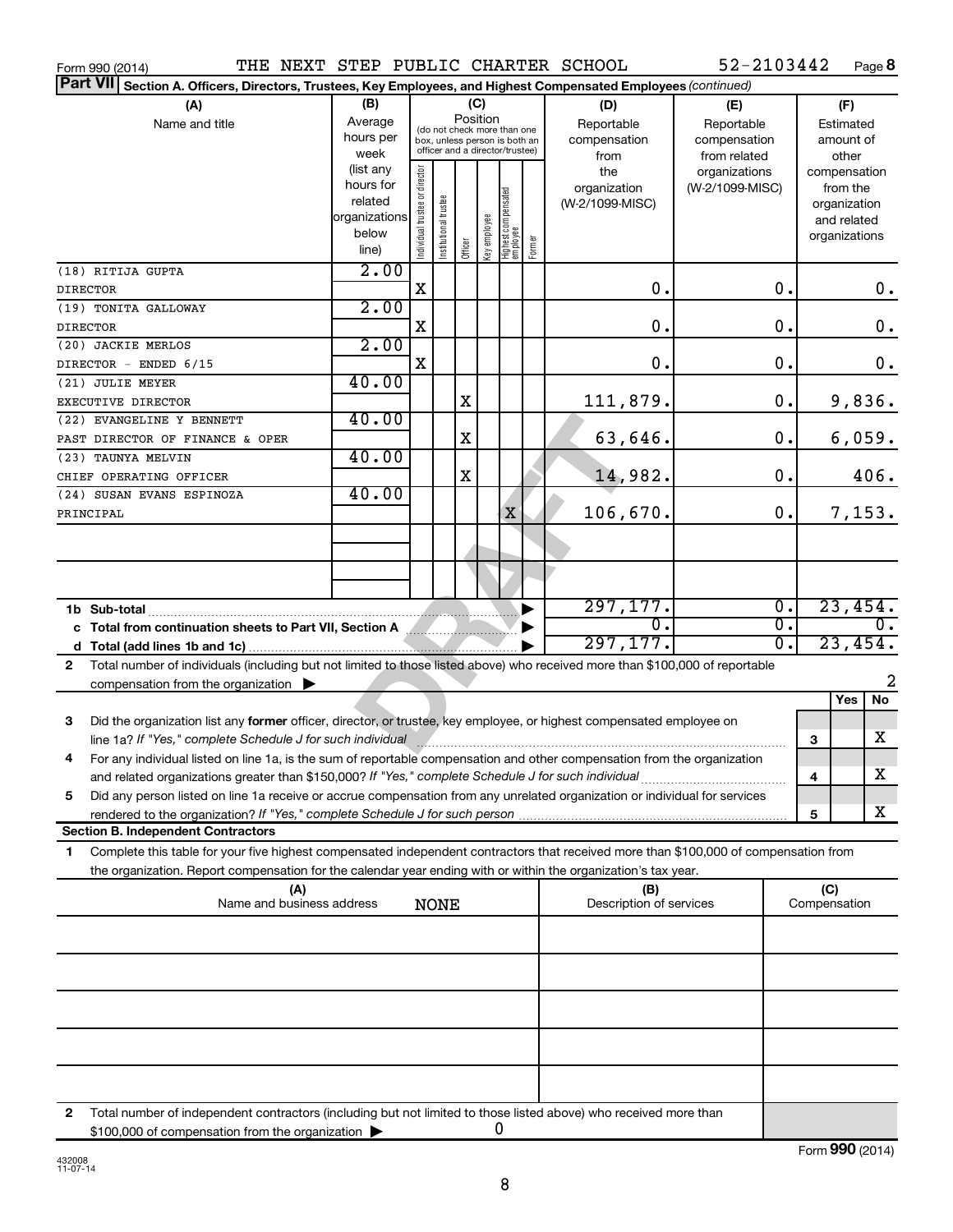| Form 990 (2014)                                                                                                                                                                                                                 | THE NEXT STEP PUBLIC CHARTER SCHOOL                                                                    |                                                                                                                    |                       |         |              |                                   |                                           |                                                   | 52-2103442                       |                                        | Page 8                                                                   |
|---------------------------------------------------------------------------------------------------------------------------------------------------------------------------------------------------------------------------------|--------------------------------------------------------------------------------------------------------|--------------------------------------------------------------------------------------------------------------------|-----------------------|---------|--------------|-----------------------------------|-------------------------------------------|---------------------------------------------------|----------------------------------|----------------------------------------|--------------------------------------------------------------------------|
| <b>Part VII</b>                                                                                                                                                                                                                 | Section A. Officers, Directors, Trustees, Key Employees, and Highest Compensated Employees (continued) |                                                                                                                    |                       |         |              |                                   |                                           |                                                   |                                  |                                        |                                                                          |
| (A)<br>Name and title                                                                                                                                                                                                           | (B)<br>Average<br>hours per<br>week                                                                    | (C)<br>Position<br>(do not check more than one<br>box, unless person is both an<br>officer and a director/trustee) |                       |         |              |                                   | (D)<br>Reportable<br>compensation<br>from | (E)<br>Reportable<br>compensation<br>from related |                                  | (F)<br>Estimated<br>amount of<br>other |                                                                          |
|                                                                                                                                                                                                                                 | (list any<br>hours for<br>related<br>organizations<br>below<br>line)                                   | Individual trustee or director                                                                                     | Institutional trustee | Officer | Key employee | Highest compensated<br>  employee | Former                                    | the<br>organization<br>(W-2/1099-MISC)            | organizations<br>(W-2/1099-MISC) |                                        | compensation<br>from the<br>organization<br>and related<br>organizations |
| (18) RITIJA GUPTA<br><b>DIRECTOR</b>                                                                                                                                                                                            | 2.00                                                                                                   | X                                                                                                                  |                       |         |              |                                   |                                           | О.                                                | 0.                               |                                        | 0.                                                                       |
| (19) TONITA GALLOWAY<br><b>DIRECTOR</b>                                                                                                                                                                                         | 2.00                                                                                                   | X                                                                                                                  |                       |         |              |                                   |                                           | 0.                                                | 0.                               |                                        | $\mathbf 0$ .                                                            |
| (20) JACKIE MERLOS                                                                                                                                                                                                              | 2.00                                                                                                   |                                                                                                                    |                       |         |              |                                   |                                           |                                                   |                                  |                                        |                                                                          |
| DIRECTOR - ENDED 6/15                                                                                                                                                                                                           | 40.00                                                                                                  | X                                                                                                                  |                       |         |              |                                   |                                           | 0.                                                | 0.                               |                                        | 0.                                                                       |
| (21) JULIE MEYER<br>EXECUTIVE DIRECTOR                                                                                                                                                                                          |                                                                                                        |                                                                                                                    |                       | X       |              |                                   |                                           | 111,879.                                          | 0.                               |                                        | 9,836.                                                                   |
| (22) EVANGELINE Y BENNETT<br>PAST DIRECTOR OF FINANCE & OPER                                                                                                                                                                    | 40.00                                                                                                  |                                                                                                                    |                       | X       |              |                                   |                                           | 63,646.                                           | 0.                               |                                        | 6,059.                                                                   |
| (23) TAUNYA MELVIN                                                                                                                                                                                                              | 40.00                                                                                                  |                                                                                                                    |                       |         |              |                                   |                                           |                                                   |                                  |                                        |                                                                          |
| CHIEF OPERATING OFFICER<br>(24) SUSAN EVANS ESPINOZA                                                                                                                                                                            | 40.00                                                                                                  |                                                                                                                    |                       | X       |              |                                   |                                           | 14,982.                                           | 0.                               |                                        | 406.                                                                     |
| PRINCIPAL                                                                                                                                                                                                                       |                                                                                                        |                                                                                                                    |                       |         |              | X                                 |                                           | 106,670.                                          | 0.                               |                                        | 7,153.                                                                   |
|                                                                                                                                                                                                                                 |                                                                                                        |                                                                                                                    |                       |         |              |                                   |                                           |                                                   |                                  |                                        |                                                                          |
|                                                                                                                                                                                                                                 |                                                                                                        |                                                                                                                    |                       |         |              |                                   |                                           |                                                   |                                  |                                        |                                                                          |
| 1b Sub-total                                                                                                                                                                                                                    |                                                                                                        |                                                                                                                    |                       |         |              |                                   |                                           | 297,177.                                          | $\overline{\mathfrak{o}}$ .      |                                        | 23,454.                                                                  |
| c Total from continuation sheets to Part VII, Section A Martin Martin Allen                                                                                                                                                     |                                                                                                        |                                                                                                                    |                       |         |              |                                   |                                           | σ.                                                | $\overline{\mathfrak{o}}$ .      | 0.                                     |                                                                          |
|                                                                                                                                                                                                                                 |                                                                                                        |                                                                                                                    |                       |         |              |                                   |                                           | 297, 177.                                         | $\overline{0}$ .                 |                                        | 23,454.                                                                  |
| Total number of individuals (including but not limited to those listed above) who received more than \$100,000 of reportable<br>$\mathbf{2}$<br>compensation from the organization $\blacktriangleright$                        |                                                                                                        |                                                                                                                    |                       |         |              |                                   |                                           |                                                   |                                  |                                        | 2                                                                        |
|                                                                                                                                                                                                                                 |                                                                                                        |                                                                                                                    |                       |         |              |                                   |                                           |                                                   |                                  |                                        | Yes<br>No                                                                |
| 3<br>Did the organization list any former officer, director, or trustee, key employee, or highest compensated employee on                                                                                                       |                                                                                                        |                                                                                                                    |                       |         |              |                                   |                                           |                                                   |                                  | з                                      | x                                                                        |
| For any individual listed on line 1a, is the sum of reportable compensation and other compensation from the organization<br>and related organizations greater than \$150,000? If "Yes," complete Schedule J for such individual |                                                                                                        |                                                                                                                    |                       |         |              |                                   |                                           |                                                   |                                  | 4                                      | х                                                                        |
| Did any person listed on line 1a receive or accrue compensation from any unrelated organization or individual for services<br>5                                                                                                 |                                                                                                        |                                                                                                                    |                       |         |              |                                   |                                           |                                                   |                                  |                                        |                                                                          |
| <b>Section B. Independent Contractors</b>                                                                                                                                                                                       |                                                                                                        |                                                                                                                    |                       |         |              |                                   |                                           |                                                   |                                  | 5                                      | X.                                                                       |
| Complete this table for your five highest compensated independent contractors that received more than \$100,000 of compensation from<br>1.                                                                                      |                                                                                                        |                                                                                                                    |                       |         |              |                                   |                                           |                                                   |                                  |                                        |                                                                          |
| the organization. Report compensation for the calendar year ending with or within the organization's tax year.                                                                                                                  |                                                                                                        |                                                                                                                    |                       |         |              |                                   |                                           |                                                   |                                  |                                        |                                                                          |
|                                                                                                                                                                                                                                 | (A)<br>Name and business address                                                                       |                                                                                                                    | <b>NONE</b>           |         |              |                                   |                                           | (B)<br>Description of services                    |                                  | (C)<br>Compensation                    |                                                                          |
|                                                                                                                                                                                                                                 |                                                                                                        |                                                                                                                    |                       |         |              |                                   |                                           |                                                   |                                  |                                        |                                                                          |
|                                                                                                                                                                                                                                 |                                                                                                        |                                                                                                                    |                       |         |              |                                   |                                           |                                                   |                                  |                                        |                                                                          |
|                                                                                                                                                                                                                                 |                                                                                                        |                                                                                                                    |                       |         |              |                                   |                                           |                                                   |                                  |                                        |                                                                          |
|                                                                                                                                                                                                                                 |                                                                                                        |                                                                                                                    |                       |         |              |                                   |                                           |                                                   |                                  |                                        |                                                                          |
|                                                                                                                                                                                                                                 |                                                                                                        |                                                                                                                    |                       |         |              |                                   |                                           |                                                   |                                  |                                        |                                                                          |
|                                                                                                                                                                                                                                 |                                                                                                        |                                                                                                                    |                       |         |              |                                   |                                           |                                                   |                                  |                                        |                                                                          |
| Total number of independent contractors (including but not limited to those listed above) who received more than<br>2<br>\$100,000 of compensation from the organization                                                        |                                                                                                        |                                                                                                                    |                       |         |              | 0                                 |                                           |                                                   |                                  |                                        |                                                                          |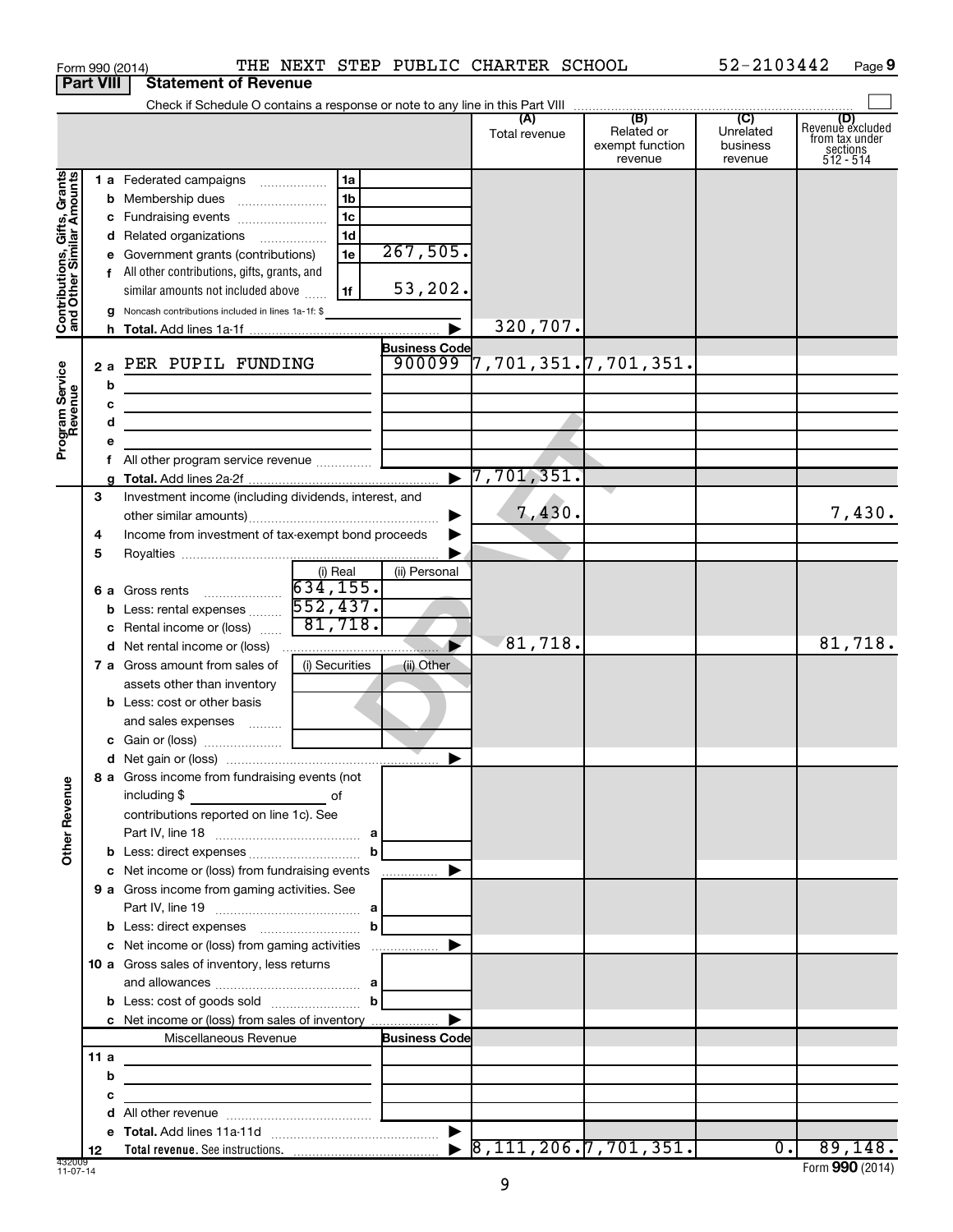| Form 990 (2014) |                                         |  |  | THE NEXT STEP PUBLIC CHARTER SCHOOL | 52-2103442 | Page |
|-----------------|-----------------------------------------|--|--|-------------------------------------|------------|------|
|                 | <b>Part VIII   Statement of Revenue</b> |  |  |                                     |            |      |

|                                                           |      | Check if Schedule O contains a response or note to any line in this Part VIII                                          |                      |                                            |                                                 |                                         |                                                             |
|-----------------------------------------------------------|------|------------------------------------------------------------------------------------------------------------------------|----------------------|--------------------------------------------|-------------------------------------------------|-----------------------------------------|-------------------------------------------------------------|
|                                                           |      |                                                                                                                        |                      | (A)<br>Total revenue                       | (B)<br>Related or<br>exempt function<br>revenue | (C)<br>Unrelated<br>business<br>revenue | Revenue excluded<br>trom tax under<br>sections<br>512 - 514 |
|                                                           |      | 1 a Federated campaigns<br>1a                                                                                          |                      |                                            |                                                 |                                         |                                                             |
| Contributions, Gifts, Grants<br>and Other Similar Amounts |      | 1 <sub>b</sub><br><b>b</b> Membership dues                                                                             |                      |                                            |                                                 |                                         |                                                             |
|                                                           |      | 1 <sub>c</sub><br>c Fundraising events                                                                                 |                      |                                            |                                                 |                                         |                                                             |
|                                                           |      | 1d<br>d Related organizations                                                                                          |                      |                                            |                                                 |                                         |                                                             |
|                                                           |      | 1e<br>e Government grants (contributions)                                                                              | 267,505.             |                                            |                                                 |                                         |                                                             |
|                                                           |      | f All other contributions, gifts, grants, and                                                                          |                      |                                            |                                                 |                                         |                                                             |
|                                                           |      | similar amounts not included above<br>1f                                                                               | 53,202.              |                                            |                                                 |                                         |                                                             |
|                                                           | g    | Noncash contributions included in lines 1a-1f: \$                                                                      |                      |                                            |                                                 |                                         |                                                             |
|                                                           |      |                                                                                                                        |                      | 320,707.                                   |                                                 |                                         |                                                             |
|                                                           |      |                                                                                                                        | <b>Business Code</b> |                                            |                                                 |                                         |                                                             |
|                                                           | 2a   | PER PUPIL FUNDING                                                                                                      | 900099               | ,701,351.7,701,351",7                      |                                                 |                                         |                                                             |
|                                                           | b    |                                                                                                                        |                      |                                            |                                                 |                                         |                                                             |
| Program Service<br>Revenue                                | с    | <u> 1980 - Johann Stein, marwolaethau a bhann an t-Albann an t-Albann an t-Albann an t-Albann an t-Albann an t-Alb</u> |                      |                                            |                                                 |                                         |                                                             |
|                                                           | d    | the control of the control of the control of the control of the control of                                             |                      |                                            |                                                 |                                         |                                                             |
|                                                           |      |                                                                                                                        |                      |                                            |                                                 |                                         |                                                             |
|                                                           |      | All other program service revenue                                                                                      |                      |                                            |                                                 |                                         |                                                             |
|                                                           |      |                                                                                                                        |                      | 7,701,351.                                 |                                                 |                                         |                                                             |
|                                                           | 3    | Investment income (including dividends, interest, and                                                                  |                      |                                            |                                                 |                                         |                                                             |
|                                                           |      |                                                                                                                        |                      | 7,430.                                     |                                                 |                                         | 7,430.                                                      |
|                                                           | 4    | Income from investment of tax-exempt bond proceeds                                                                     |                      |                                            |                                                 |                                         |                                                             |
|                                                           | 5    |                                                                                                                        |                      |                                            |                                                 |                                         |                                                             |
|                                                           |      | (i) Real<br>634, 155.                                                                                                  | (ii) Personal        |                                            |                                                 |                                         |                                                             |
|                                                           |      | <b>6 a</b> Gross rents<br>552,437.                                                                                     |                      |                                            |                                                 |                                         |                                                             |
|                                                           | С    | <b>b</b> Less: rental expenses <i></i><br>81,718.<br>Rental income or (loss)                                           |                      |                                            |                                                 |                                         |                                                             |
|                                                           |      |                                                                                                                        |                      | 81,718.                                    |                                                 |                                         | 81,718.                                                     |
|                                                           |      | 7 a Gross amount from sales of<br>(i) Securities                                                                       | (ii) Other           |                                            |                                                 |                                         |                                                             |
|                                                           |      | assets other than inventory                                                                                            |                      |                                            |                                                 |                                         |                                                             |
|                                                           |      | <b>b</b> Less: cost or other basis                                                                                     |                      |                                            |                                                 |                                         |                                                             |
|                                                           |      | and sales expenses                                                                                                     |                      |                                            |                                                 |                                         |                                                             |
|                                                           |      |                                                                                                                        |                      |                                            |                                                 |                                         |                                                             |
|                                                           |      |                                                                                                                        |                      |                                            |                                                 |                                         |                                                             |
| ≗                                                         |      | 8 a Gross income from fundraising events (not                                                                          |                      |                                            |                                                 |                                         |                                                             |
|                                                           |      | including \$                                                                                                           |                      |                                            |                                                 |                                         |                                                             |
|                                                           |      | contributions reported on line 1c). See                                                                                |                      |                                            |                                                 |                                         |                                                             |
| Other Rever                                               |      |                                                                                                                        |                      |                                            |                                                 |                                         |                                                             |
|                                                           |      |                                                                                                                        |                      |                                            |                                                 |                                         |                                                             |
|                                                           |      | c Net income or (loss) from fundraising events                                                                         |                      |                                            |                                                 |                                         |                                                             |
|                                                           |      | 9 a Gross income from gaming activities. See                                                                           |                      |                                            |                                                 |                                         |                                                             |
|                                                           |      |                                                                                                                        |                      |                                            |                                                 |                                         |                                                             |
|                                                           |      | b<br><b>b</b> Less: direct expenses <b>manually contained</b>                                                          |                      |                                            |                                                 |                                         |                                                             |
|                                                           |      |                                                                                                                        |                      |                                            |                                                 |                                         |                                                             |
|                                                           |      | 10 a Gross sales of inventory, less returns                                                                            |                      |                                            |                                                 |                                         |                                                             |
|                                                           |      | b                                                                                                                      |                      |                                            |                                                 |                                         |                                                             |
|                                                           |      |                                                                                                                        |                      |                                            |                                                 |                                         |                                                             |
|                                                           |      | c Net income or (loss) from sales of inventory<br>Miscellaneous Revenue                                                | <b>Business Code</b> |                                            |                                                 |                                         |                                                             |
|                                                           | 11 a |                                                                                                                        |                      |                                            |                                                 |                                         |                                                             |
|                                                           | b    |                                                                                                                        |                      |                                            |                                                 |                                         |                                                             |
|                                                           | с    | <u> 1990 - Johann John Stein, mars an de Frankryk († 1952)</u>                                                         |                      |                                            |                                                 |                                         |                                                             |
|                                                           |      |                                                                                                                        |                      |                                            |                                                 |                                         |                                                             |
|                                                           |      |                                                                                                                        |                      |                                            |                                                 |                                         |                                                             |
|                                                           | 12   |                                                                                                                        |                      | $\triangleright$ 8, 111, 206. 7, 701, 351. |                                                 | $\overline{0}$ .                        | 89,148.                                                     |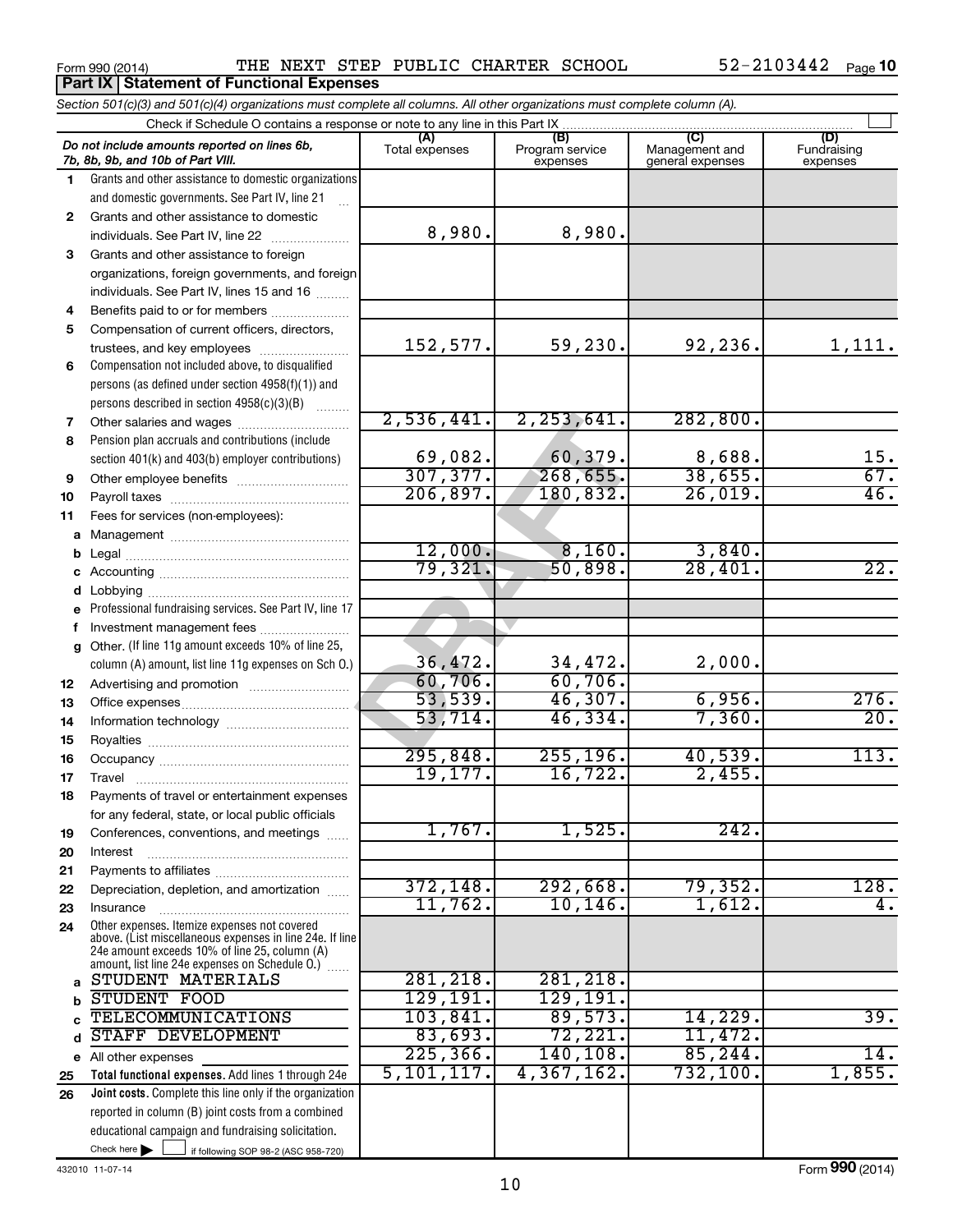Form 990 (2014) **PHE NEXT STEP PUBLIC CHARTER SCHOOL** 52-2103442 Page

|        | Section 501(c)(3) and 501(c)(4) organizations must complete all columns. All other organizations must complete column (A).                                                                                  |                |                             |                                    |                         |
|--------|-------------------------------------------------------------------------------------------------------------------------------------------------------------------------------------------------------------|----------------|-----------------------------|------------------------------------|-------------------------|
|        | Check if Schedule O contains a response or note to any line in this Part IX                                                                                                                                 | (A)            | (B)                         | (C)                                | (D)                     |
|        | Do not include amounts reported on lines 6b,<br>7b, 8b, 9b, and 10b of Part VIII.                                                                                                                           | Total expenses | Program service<br>expenses | Management and<br>general expenses | Fundraising<br>expenses |
| 1      | Grants and other assistance to domestic organizations                                                                                                                                                       |                |                             |                                    |                         |
|        | and domestic governments. See Part IV, line 21                                                                                                                                                              |                |                             |                                    |                         |
| 2      | Grants and other assistance to domestic                                                                                                                                                                     |                |                             |                                    |                         |
|        | individuals. See Part IV, line 22                                                                                                                                                                           | 8,980.         | 8,980.                      |                                    |                         |
| 3      | Grants and other assistance to foreign                                                                                                                                                                      |                |                             |                                    |                         |
|        | organizations, foreign governments, and foreign                                                                                                                                                             |                |                             |                                    |                         |
|        | individuals. See Part IV, lines 15 and 16                                                                                                                                                                   |                |                             |                                    |                         |
| 4      | Benefits paid to or for members                                                                                                                                                                             |                |                             |                                    |                         |
| 5      | Compensation of current officers, directors,                                                                                                                                                                |                |                             |                                    |                         |
|        | trustees, and key employees                                                                                                                                                                                 | 152,577.       | 59, 230.                    | 92,236.                            | 1,111.                  |
| 6      | Compensation not included above, to disqualified                                                                                                                                                            |                |                             |                                    |                         |
|        | persons (as defined under section 4958(f)(1)) and                                                                                                                                                           |                |                             |                                    |                         |
|        | persons described in section 4958(c)(3)(B)<br><b>Bassiness</b>                                                                                                                                              | 2,536,441.     | 2, 253, 641.                | 282, 800.                          |                         |
| 7      |                                                                                                                                                                                                             |                |                             |                                    |                         |
| 8      | Pension plan accruals and contributions (include                                                                                                                                                            | 69,082.        | 60,379.                     | 8,688.                             | 15.                     |
|        | section 401(k) and 403(b) employer contributions)                                                                                                                                                           | 307, 377.      | 268, 655.                   | 38,655.                            | 67.                     |
| 9      | Other employee benefits                                                                                                                                                                                     | 206,897.       | 180,832.                    | 26,019.                            | 46.                     |
| 10     |                                                                                                                                                                                                             |                |                             |                                    |                         |
| 11     | Fees for services (non-employees):                                                                                                                                                                          |                |                             |                                    |                         |
|        |                                                                                                                                                                                                             | 12,000.        | 8,160.                      | 3,840.                             |                         |
| b      |                                                                                                                                                                                                             | 79,321.        | 50,898.                     | 28,401.                            | $\overline{22}$ .       |
| с      |                                                                                                                                                                                                             |                |                             |                                    |                         |
| d<br>е | Professional fundraising services. See Part IV, line 17                                                                                                                                                     |                |                             |                                    |                         |
| f      | Investment management fees                                                                                                                                                                                  |                |                             |                                    |                         |
| g      | Other. (If line 11g amount exceeds 10% of line 25,                                                                                                                                                          |                |                             |                                    |                         |
|        | column (A) amount, list line 11g expenses on Sch O.)                                                                                                                                                        | 36,472.        | 34,472.                     | 2,000.                             |                         |
| 12     |                                                                                                                                                                                                             | 60,706.        | 60,706.                     |                                    |                         |
| 13     |                                                                                                                                                                                                             | 53,539.        | 46,307.                     | 6,956.                             | 276.                    |
| 14     |                                                                                                                                                                                                             | 53,714.        | 46,334.                     | 7,360.                             | $\overline{20}$ .       |
| 15     |                                                                                                                                                                                                             |                |                             |                                    |                         |
| 16     |                                                                                                                                                                                                             | 295,848.       | 255, 196.                   | 40,539.                            | 113.                    |
| 17     |                                                                                                                                                                                                             | 19, 177.       | 16, 722.                    | 2,455.                             |                         |
| 18     | Payments of travel or entertainment expenses                                                                                                                                                                |                |                             |                                    |                         |
|        | for any federal, state, or local public officials                                                                                                                                                           |                |                             |                                    |                         |
| 19     | Conferences, conventions, and meetings                                                                                                                                                                      | 1,767.         | 1,525.                      | 242.                               |                         |
| 20     | Interest                                                                                                                                                                                                    |                |                             |                                    |                         |
| 21     |                                                                                                                                                                                                             |                |                             |                                    |                         |
| 22     | Depreciation, depletion, and amortization                                                                                                                                                                   | 372, 148.      | 292,668.                    | 79,352.                            | 128.                    |
| 23     | Insurance                                                                                                                                                                                                   | 11,762.        | 10, 146.                    | 1,612.                             | 4.                      |
| 24     | Other expenses. Itemize expenses not covered<br>above. (List miscellaneous expenses in line 24e. If line<br>24e amount exceeds 10% of line 25, column (A)<br>amount, list line 24e expenses on Schedule O.) |                |                             |                                    |                         |
| a      | STUDENT MATERIALS                                                                                                                                                                                           | 281,218.       | 281,218.                    |                                    |                         |
| b      | STUDENT FOOD                                                                                                                                                                                                | 129,191.       | 129,191.                    |                                    |                         |
|        | TELECOMMUNICATIONS                                                                                                                                                                                          | 103,841.       | 89,573.                     | 14,229.                            | 39.                     |
| d      | STAFF DEVELOPMENT                                                                                                                                                                                           | 83,693.        | 72,221.                     | 11,472.                            |                         |
|        | e All other expenses                                                                                                                                                                                        | 225, 366.      | 140,108.                    | 85, 244.                           | 14.                     |
| 25     | Total functional expenses. Add lines 1 through 24e                                                                                                                                                          | 5,101,117.     | 4,367,162.                  | 732,100.                           | 1,855.                  |
| 26     | Joint costs. Complete this line only if the organization                                                                                                                                                    |                |                             |                                    |                         |
|        | reported in column (B) joint costs from a combined                                                                                                                                                          |                |                             |                                    |                         |
|        | educational campaign and fundraising solicitation.                                                                                                                                                          |                |                             |                                    |                         |
|        | Check here $\blacktriangleright$<br>if following SOP 98-2 (ASC 958-720)                                                                                                                                     |                |                             |                                    |                         |

432010 11-07-14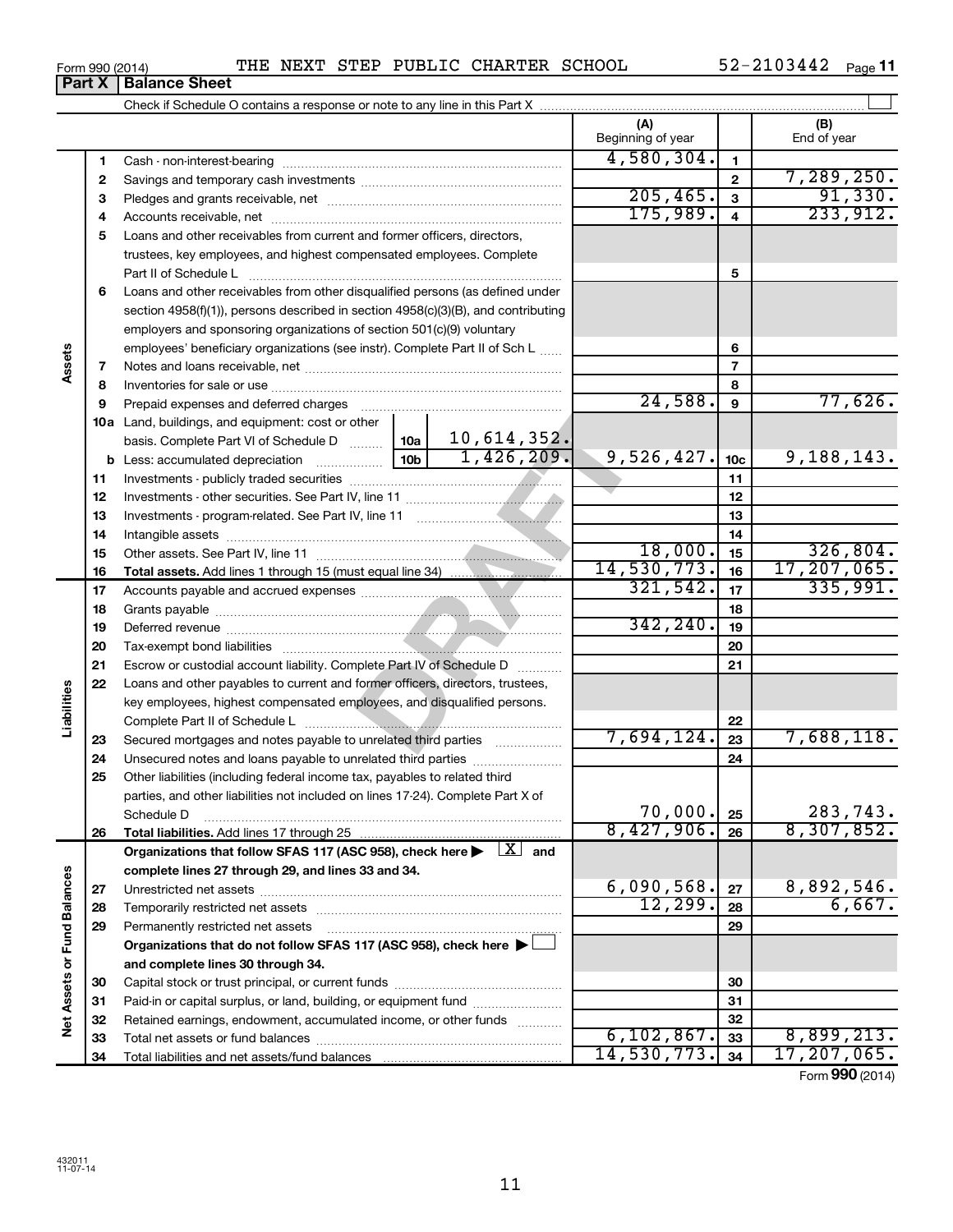**Net Assets or Fund Balances**

Net Assets or Fund Balances

|    | trustees, key employees, and highest compensated employees. Complete                                 |          |                |                            |                 |                        |
|----|------------------------------------------------------------------------------------------------------|----------|----------------|----------------------------|-----------------|------------------------|
|    | Part II of Schedule L                                                                                |          |                |                            | 5               |                        |
| 6  | Loans and other receivables from other disqualified persons (as defined under                        |          |                |                            |                 |                        |
|    | section 4958(f)(1)), persons described in section 4958(c)(3)(B), and contributing                    |          |                |                            |                 |                        |
|    | employers and sponsoring organizations of section 501(c)(9) voluntary                                |          |                |                            |                 |                        |
|    | employees' beneficiary organizations (see instr). Complete Part II of Sch L                          |          |                |                            | 6               |                        |
| 7  |                                                                                                      |          | $\overline{7}$ |                            |                 |                        |
| 8  |                                                                                                      |          | 8              |                            |                 |                        |
| 9  | Prepaid expenses and deferred charges                                                                |          |                | 24,588.                    | 9               | 77,626.                |
|    | <b>10a</b> Land, buildings, and equipment: cost or other                                             |          |                |                            |                 |                        |
|    |                                                                                                      |          |                |                            |                 |                        |
|    |                                                                                                      |          |                | 9,526,427.                 | 10 <sub>c</sub> | 9,188,143.             |
| 11 |                                                                                                      |          |                |                            | 11              |                        |
| 12 |                                                                                                      |          |                |                            | 12              |                        |
| 13 | Investments - program-related. See Part IV, line 11                                                  |          |                |                            | 13              |                        |
| 14 |                                                                                                      |          |                |                            | 14              |                        |
| 15 |                                                                                                      |          |                | 18,000.                    | 15              | 326,804.               |
| 16 |                                                                                                      |          |                | 14,530,773.                | 16              | 17, 207, 065.          |
| 17 |                                                                                                      | 321,542. | 17             | 335,991.                   |                 |                        |
| 18 |                                                                                                      |          |                |                            | 18              |                        |
| 19 |                                                                                                      |          |                | 342, 240.                  | 19              |                        |
| 20 | Tax-exempt bond liabilities                                                                          |          |                |                            | 20              |                        |
| 21 | Escrow or custodial account liability. Complete Part IV of Schedule D                                |          |                |                            | 21              |                        |
| 22 | Loans and other payables to current and former officers, directors, trustees,                        |          |                |                            |                 |                        |
|    | key employees, highest compensated employees, and disqualified persons.                              |          |                |                            |                 |                        |
|    |                                                                                                      |          |                |                            | 22              |                        |
| 23 | Secured mortgages and notes payable to unrelated third parties                                       |          |                | 7,694,124.                 | 23              | 7,688,118.             |
| 24 | Unsecured notes and loans payable to unrelated third parties                                         |          |                |                            | 24              |                        |
| 25 | Other liabilities (including federal income tax, payables to related third                           |          |                |                            |                 |                        |
|    | parties, and other liabilities not included on lines 17-24). Complete Part X of                      |          |                |                            |                 |                        |
|    | Schedule D                                                                                           |          |                | $\frac{70,000}{8,427,906}$ | 25              | 283,743.<br>8,307,852. |
| 26 |                                                                                                      |          |                |                            | 26              |                        |
|    | Organizations that follow SFAS 117 (ASC 958), check here $\blacktriangleright \lfloor X \rfloor$ and |          |                |                            |                 |                        |
|    | complete lines 27 through 29, and lines 33 and 34.                                                   |          |                |                            |                 |                        |
| 27 |                                                                                                      |          |                | 6,090,568.                 | 27              | 8,892,546.             |
| 28 |                                                                                                      |          |                | 12, 299.                   | 28              | 6,667.                 |
| 29 | Permanently restricted net assets                                                                    |          |                |                            | 29              |                        |
|    | Organizations that do not follow SFAS 117 (ASC 958), check here                                      |          |                |                            |                 |                        |
|    | and complete lines 30 through 34.                                                                    |          |                |                            |                 |                        |
| 30 | Capital stock or trust principal, or current funds                                                   |          |                |                            | 30              |                        |

# Form 990 (2014) **PHE NEXT STEP PUBLIC CHARTER SCHOOL** 52-2103442 Page

Check if Schedule O contains a response or note to any line in this Part X

Cash - non-interest-bearing ~~~~~~~~~~~~~~~~~~~~~~~~~ Savings and temporary cash investments ~~~~~~~~~~~~~~~~~~ Pledges and grants receivable, net ~~~~~~~~~~~~~~~~~~~~~ Accounts receivable, net ~~~~~~~~~~~~~~~~~~~~~~~~~~ Loans and other receivables from current and former officers, directors,

Paid-in or capital surplus, or land, building, or equipment fund ....................... Retained earnings, endowment, accumulated income, or other funds ............ Total net assets or fund balances ~~~~~~~~~~~~~~~~~~~~~~

Total liabilities and net assets/fund balances

52-2103442 Page 11

7,289,250.

 $\perp$ 

**(A) (B)**

Beginning of year  $\parallel$  | End of year

4,580,304.

 $205, 465.$  3  $91, 330.$  $175,989. 4$  233,912.

Form (2014) **990**

 $6,102,867.$  33 8,899,213. 14,530,773. 17,207,065.

| Form 990 (2014)               |  |  |
|-------------------------------|--|--|
| <b>Part X   Balance Sheet</b> |  |  |

**Assets**

**Liabilities**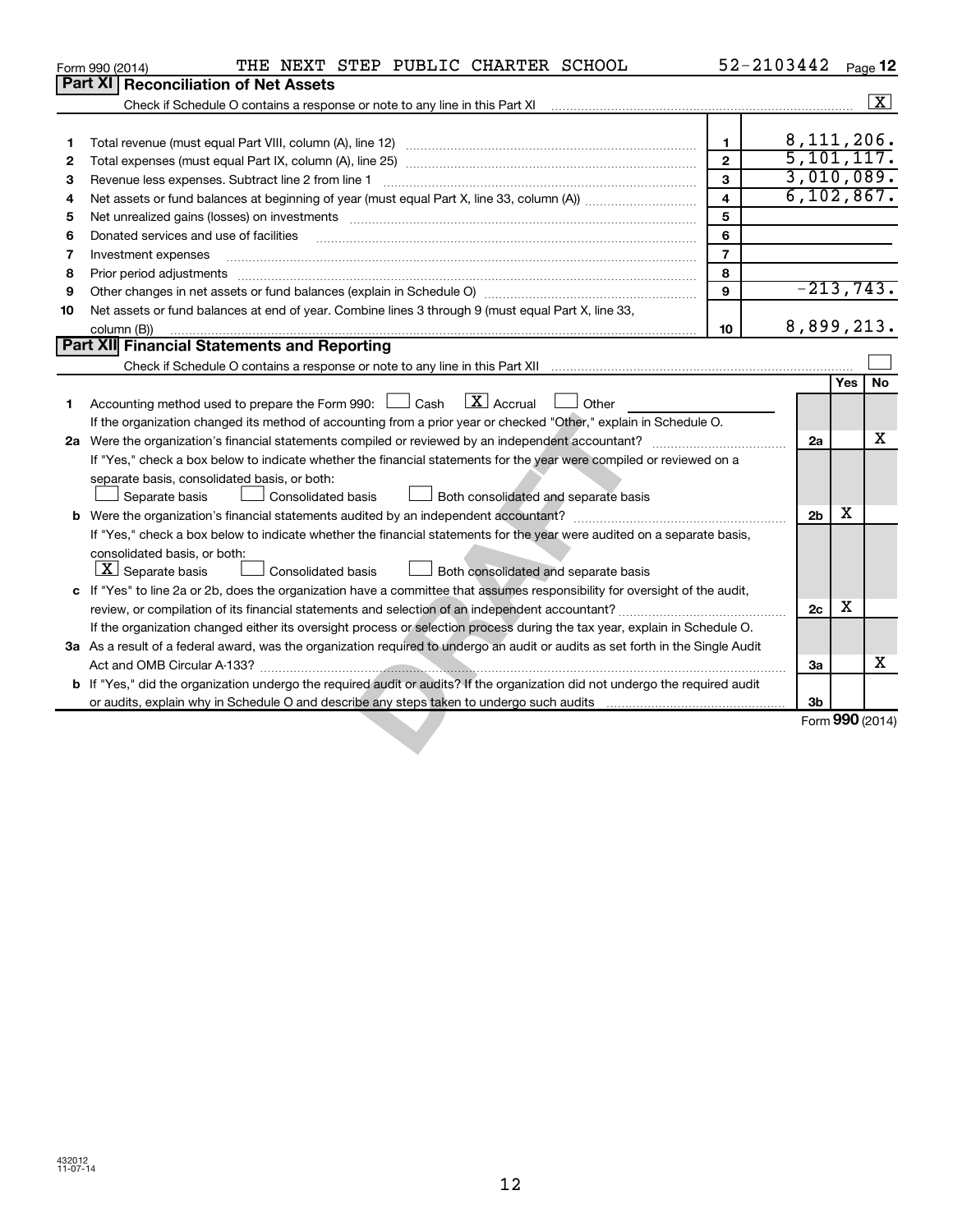|    | THE NEXT STEP PUBLIC CHARTER SCHOOL<br>Form 990 (2014)                                                                          |                         | 52-2103442     |            | Page 12            |
|----|---------------------------------------------------------------------------------------------------------------------------------|-------------------------|----------------|------------|--------------------|
|    | Part XI<br><b>Reconciliation of Net Assets</b>                                                                                  |                         |                |            |                    |
|    |                                                                                                                                 |                         |                |            | $\boxed{\text{X}}$ |
|    |                                                                                                                                 |                         |                |            |                    |
| 1  |                                                                                                                                 | $\mathbf{1}$            | 8, 111, 206.   |            |                    |
| 2  |                                                                                                                                 | $\overline{2}$          | 5,101,117.     |            |                    |
| З  | Revenue less expenses. Subtract line 2 from line 1                                                                              | 3                       | 3,010,089.     |            |                    |
| 4  |                                                                                                                                 | $\overline{\mathbf{4}}$ | 6, 102, 867.   |            |                    |
| 5  | Net unrealized gains (losses) on investments [111] www.martime.community.community.community.community.communi                  | 5                       |                |            |                    |
| 6  | Donated services and use of facilities                                                                                          | 6                       |                |            |                    |
| 7  | Investment expenses                                                                                                             | $\overline{7}$          |                |            |                    |
| 8  |                                                                                                                                 | 8                       |                |            |                    |
| 9  |                                                                                                                                 | 9                       | $-213,743.$    |            |                    |
| 10 | Net assets or fund balances at end of year. Combine lines 3 through 9 (must equal Part X, line 33,                              |                         |                |            |                    |
|    | column (B))                                                                                                                     | 10                      | 8,899,213.     |            |                    |
|    | Part XII Financial Statements and Reporting                                                                                     |                         |                |            |                    |
|    |                                                                                                                                 |                         |                |            |                    |
|    |                                                                                                                                 |                         |                | <b>Yes</b> | No                 |
| 1  | Accounting method used to prepare the Form 990: $\Box$ Cash $\Box$ Accrual $\Box$ Other                                         |                         |                |            |                    |
|    | If the organization changed its method of accounting from a prior year or checked "Other," explain in Schedule O.               |                         |                |            |                    |
|    | 2a Were the organization's financial statements compiled or reviewed by an independent accountant?                              |                         | 2a             |            | X                  |
|    | If "Yes," check a box below to indicate whether the financial statements for the year were compiled or reviewed on a            |                         |                |            |                    |
|    | separate basis, consolidated basis, or both:                                                                                    |                         |                |            |                    |
|    | Separate basis<br>Consolidated basis<br>Both consolidated and separate basis                                                    |                         |                |            |                    |
| b  |                                                                                                                                 |                         | 2 <sub>b</sub> | х          |                    |
|    | If "Yes," check a box below to indicate whether the financial statements for the year were audited on a separate basis,         |                         |                |            |                    |
|    | consolidated basis, or both:                                                                                                    |                         |                |            |                    |
|    | $\lfloor x \rfloor$ Separate basis<br>Consolidated basis<br>Both consolidated and separate basis                                |                         |                |            |                    |
|    | c If "Yes" to line 2a or 2b, does the organization have a committee that assumes responsibility for oversight of the audit,     |                         |                |            |                    |
|    | review, or compilation of its financial statements and selection of an independent accountant?                                  |                         | 2c             | х          |                    |
|    | If the organization changed either its oversight process or selection process during the tax year, explain in Schedule O.       |                         |                |            |                    |
|    | 3a As a result of a federal award, was the organization required to undergo an audit or audits as set forth in the Single Audit |                         |                |            |                    |
|    |                                                                                                                                 |                         | За             |            | x                  |
|    | b If "Yes," did the organization undergo the required audit or audits? If the organization did not undergo the required audit   |                         |                |            |                    |
|    | or audits, explain why in Schedule O and describe any steps taken to undergo such audits                                        |                         | 3b             |            |                    |
|    |                                                                                                                                 |                         |                |            | Form 990 (2014)    |
|    |                                                                                                                                 |                         |                |            |                    |
|    |                                                                                                                                 |                         |                |            |                    |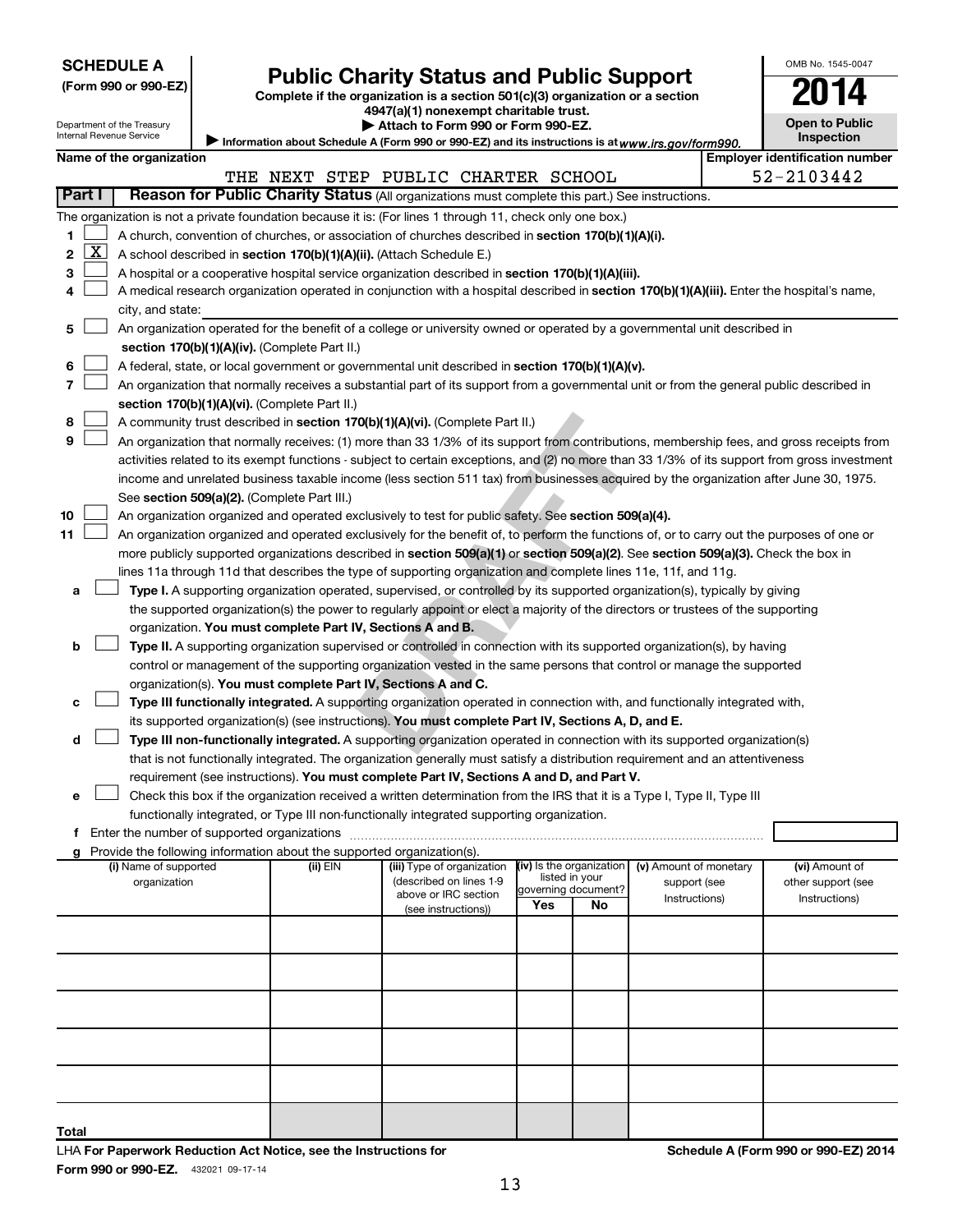|  | <b>SCHEDULE A</b> |  |  |
|--|-------------------|--|--|
|  |                   |  |  |

Department of the Treasury Internal Revenue Service

| (Form 990 or 990-EZ) |  |  |  |  |
|----------------------|--|--|--|--|
|----------------------|--|--|--|--|

# Form 990 or 990-EZ) **Public Charity Status and Public Support**<br>
Complete if the organization is a section 501(c)(3) organization or a section<br> **2014**

**4947(a)(1) nonexempt charitable trust. | Attach to Form 990 or Form 990-EZ.** 

| <b>Open to Public</b><br>Inspection |  |
|-------------------------------------|--|

OMB No. 1545-0047

Information about Schedule A (Form 990 or 990-EZ) and its instructions is at www.irs.gov/form990.

|        |                                                                                                                                               | Name of the organization                                                                                                                                                                                        |  |          | $\blacktriangleright$ information about deficiencies (i) on the second second its inseractions is at WWW.IIS.QOV/TOHINGGU                     |                          |                           |                        |  | <b>Employer identification number</b> |  |  |
|--------|-----------------------------------------------------------------------------------------------------------------------------------------------|-----------------------------------------------------------------------------------------------------------------------------------------------------------------------------------------------------------------|--|----------|-----------------------------------------------------------------------------------------------------------------------------------------------|--------------------------|---------------------------|------------------------|--|---------------------------------------|--|--|
|        |                                                                                                                                               |                                                                                                                                                                                                                 |  |          | THE NEXT STEP PUBLIC CHARTER SCHOOL                                                                                                           |                          |                           |                        |  | 52-2103442                            |  |  |
| Part I |                                                                                                                                               |                                                                                                                                                                                                                 |  |          | Reason for Public Charity Status (All organizations must complete this part.) See instructions.                                               |                          |                           |                        |  |                                       |  |  |
|        |                                                                                                                                               |                                                                                                                                                                                                                 |  |          |                                                                                                                                               |                          |                           |                        |  |                                       |  |  |
| 1.     |                                                                                                                                               | The organization is not a private foundation because it is: (For lines 1 through 11, check only one box.)<br>A church, convention of churches, or association of churches described in section 170(b)(1)(A)(i). |  |          |                                                                                                                                               |                          |                           |                        |  |                                       |  |  |
| 2      | <u>x</u>                                                                                                                                      | A school described in section 170(b)(1)(A)(ii). (Attach Schedule E.)                                                                                                                                            |  |          |                                                                                                                                               |                          |                           |                        |  |                                       |  |  |
| 3      |                                                                                                                                               |                                                                                                                                                                                                                 |  |          | A hospital or a cooperative hospital service organization described in section 170(b)(1)(A)(iii).                                             |                          |                           |                        |  |                                       |  |  |
| 4      |                                                                                                                                               |                                                                                                                                                                                                                 |  |          |                                                                                                                                               |                          |                           |                        |  |                                       |  |  |
|        | A medical research organization operated in conjunction with a hospital described in section 170(b)(1)(A)(iii). Enter the hospital's name,    |                                                                                                                                                                                                                 |  |          |                                                                                                                                               |                          |                           |                        |  |                                       |  |  |
| 5      | city, and state:<br>An organization operated for the benefit of a college or university owned or operated by a governmental unit described in |                                                                                                                                                                                                                 |  |          |                                                                                                                                               |                          |                           |                        |  |                                       |  |  |
|        |                                                                                                                                               | section 170(b)(1)(A)(iv). (Complete Part II.)                                                                                                                                                                   |  |          |                                                                                                                                               |                          |                           |                        |  |                                       |  |  |
| 6      |                                                                                                                                               |                                                                                                                                                                                                                 |  |          |                                                                                                                                               |                          |                           |                        |  |                                       |  |  |
| 7      |                                                                                                                                               |                                                                                                                                                                                                                 |  |          | A federal, state, or local government or governmental unit described in section 170(b)(1)(A)(v).                                              |                          |                           |                        |  |                                       |  |  |
|        |                                                                                                                                               |                                                                                                                                                                                                                 |  |          | An organization that normally receives a substantial part of its support from a governmental unit or from the general public described in     |                          |                           |                        |  |                                       |  |  |
|        |                                                                                                                                               | section 170(b)(1)(A)(vi). (Complete Part II.)                                                                                                                                                                   |  |          |                                                                                                                                               |                          |                           |                        |  |                                       |  |  |
| 8      |                                                                                                                                               |                                                                                                                                                                                                                 |  |          | A community trust described in section 170(b)(1)(A)(vi). (Complete Part II.)                                                                  |                          |                           |                        |  |                                       |  |  |
| 9      |                                                                                                                                               |                                                                                                                                                                                                                 |  |          | An organization that normally receives: (1) more than 33 1/3% of its support from contributions, membership fees, and gross receipts from     |                          |                           |                        |  |                                       |  |  |
|        |                                                                                                                                               |                                                                                                                                                                                                                 |  |          | activities related to its exempt functions - subject to certain exceptions, and (2) no more than 33 1/3% of its support from gross investment |                          |                           |                        |  |                                       |  |  |
|        |                                                                                                                                               |                                                                                                                                                                                                                 |  |          | income and unrelated business taxable income (less section 511 tax) from businesses acquired by the organization after June 30, 1975.         |                          |                           |                        |  |                                       |  |  |
|        |                                                                                                                                               | See section 509(a)(2). (Complete Part III.)                                                                                                                                                                     |  |          |                                                                                                                                               |                          |                           |                        |  |                                       |  |  |
| 10     |                                                                                                                                               |                                                                                                                                                                                                                 |  |          | An organization organized and operated exclusively to test for public safety. See section 509(a)(4).                                          |                          |                           |                        |  |                                       |  |  |
| 11     |                                                                                                                                               |                                                                                                                                                                                                                 |  |          | An organization organized and operated exclusively for the benefit of, to perform the functions of, or to carry out the purposes of one or    |                          |                           |                        |  |                                       |  |  |
|        |                                                                                                                                               |                                                                                                                                                                                                                 |  |          | more publicly supported organizations described in section 509(a)(1) or section 509(a)(2). See section 509(a)(3). Check the box in            |                          |                           |                        |  |                                       |  |  |
|        |                                                                                                                                               |                                                                                                                                                                                                                 |  |          | lines 11a through 11d that describes the type of supporting organization and complete lines 11e, 11f, and 11g.                                |                          |                           |                        |  |                                       |  |  |
| а      |                                                                                                                                               |                                                                                                                                                                                                                 |  |          | Type I. A supporting organization operated, supervised, or controlled by its supported organization(s), typically by giving                   |                          |                           |                        |  |                                       |  |  |
|        |                                                                                                                                               |                                                                                                                                                                                                                 |  |          | the supported organization(s) the power to regularly appoint or elect a majority of the directors or trustees of the supporting               |                          |                           |                        |  |                                       |  |  |
|        |                                                                                                                                               |                                                                                                                                                                                                                 |  |          | organization. You must complete Part IV, Sections A and B.                                                                                    |                          |                           |                        |  |                                       |  |  |
| b      |                                                                                                                                               |                                                                                                                                                                                                                 |  |          | Type II. A supporting organization supervised or controlled in connection with its supported organization(s), by having                       |                          |                           |                        |  |                                       |  |  |
|        |                                                                                                                                               |                                                                                                                                                                                                                 |  |          | control or management of the supporting organization vested in the same persons that control or manage the supported                          |                          |                           |                        |  |                                       |  |  |
|        |                                                                                                                                               |                                                                                                                                                                                                                 |  |          | organization(s). You must complete Part IV, Sections A and C.                                                                                 |                          |                           |                        |  |                                       |  |  |
|        |                                                                                                                                               |                                                                                                                                                                                                                 |  |          | Type III functionally integrated. A supporting organization operated in connection with, and functionally integrated with,                    |                          |                           |                        |  |                                       |  |  |
|        |                                                                                                                                               |                                                                                                                                                                                                                 |  |          | its supported organization(s) (see instructions). You must complete Part IV, Sections A, D, and E.                                            |                          |                           |                        |  |                                       |  |  |
| d      |                                                                                                                                               |                                                                                                                                                                                                                 |  |          | Type III non-functionally integrated. A supporting organization operated in connection with its supported organization(s)                     |                          |                           |                        |  |                                       |  |  |
|        |                                                                                                                                               |                                                                                                                                                                                                                 |  |          | that is not functionally integrated. The organization generally must satisfy a distribution requirement and an attentiveness                  |                          |                           |                        |  |                                       |  |  |
|        |                                                                                                                                               |                                                                                                                                                                                                                 |  |          | requirement (see instructions). You must complete Part IV, Sections A and D, and Part V.                                                      |                          |                           |                        |  |                                       |  |  |
| е      |                                                                                                                                               |                                                                                                                                                                                                                 |  |          | Check this box if the organization received a written determination from the IRS that it is a Type I, Type II, Type III                       |                          |                           |                        |  |                                       |  |  |
|        |                                                                                                                                               |                                                                                                                                                                                                                 |  |          | functionally integrated, or Type III non-functionally integrated supporting organization.                                                     |                          |                           |                        |  |                                       |  |  |
|        |                                                                                                                                               | f Enter the number of supported organizations                                                                                                                                                                   |  |          |                                                                                                                                               |                          |                           |                        |  |                                       |  |  |
|        |                                                                                                                                               | g Provide the following information about the supported organization(s).<br>(i) Name of supported                                                                                                               |  | (ii) EIN | (iii) Type of organization                                                                                                                    | (iv) Is the organization |                           | (v) Amount of monetary |  | (vi) Amount of                        |  |  |
|        |                                                                                                                                               | organization                                                                                                                                                                                                    |  |          | (described on lines 1-9                                                                                                                       |                          | listed in your            | support (see           |  | other support (see                    |  |  |
|        |                                                                                                                                               |                                                                                                                                                                                                                 |  |          | above or IRC section                                                                                                                          | Yes                      | governing document?<br>No | Instructions)          |  | Instructions)                         |  |  |
|        |                                                                                                                                               |                                                                                                                                                                                                                 |  |          | (see instructions))                                                                                                                           |                          |                           |                        |  |                                       |  |  |
|        |                                                                                                                                               |                                                                                                                                                                                                                 |  |          |                                                                                                                                               |                          |                           |                        |  |                                       |  |  |
|        |                                                                                                                                               |                                                                                                                                                                                                                 |  |          |                                                                                                                                               |                          |                           |                        |  |                                       |  |  |
|        |                                                                                                                                               |                                                                                                                                                                                                                 |  |          |                                                                                                                                               |                          |                           |                        |  |                                       |  |  |
|        |                                                                                                                                               |                                                                                                                                                                                                                 |  |          |                                                                                                                                               |                          |                           |                        |  |                                       |  |  |
|        |                                                                                                                                               |                                                                                                                                                                                                                 |  |          |                                                                                                                                               |                          |                           |                        |  |                                       |  |  |
|        |                                                                                                                                               |                                                                                                                                                                                                                 |  |          |                                                                                                                                               |                          |                           |                        |  |                                       |  |  |
|        |                                                                                                                                               |                                                                                                                                                                                                                 |  |          |                                                                                                                                               |                          |                           |                        |  |                                       |  |  |

Form 990 or 990-EZ. 432021 09-17-14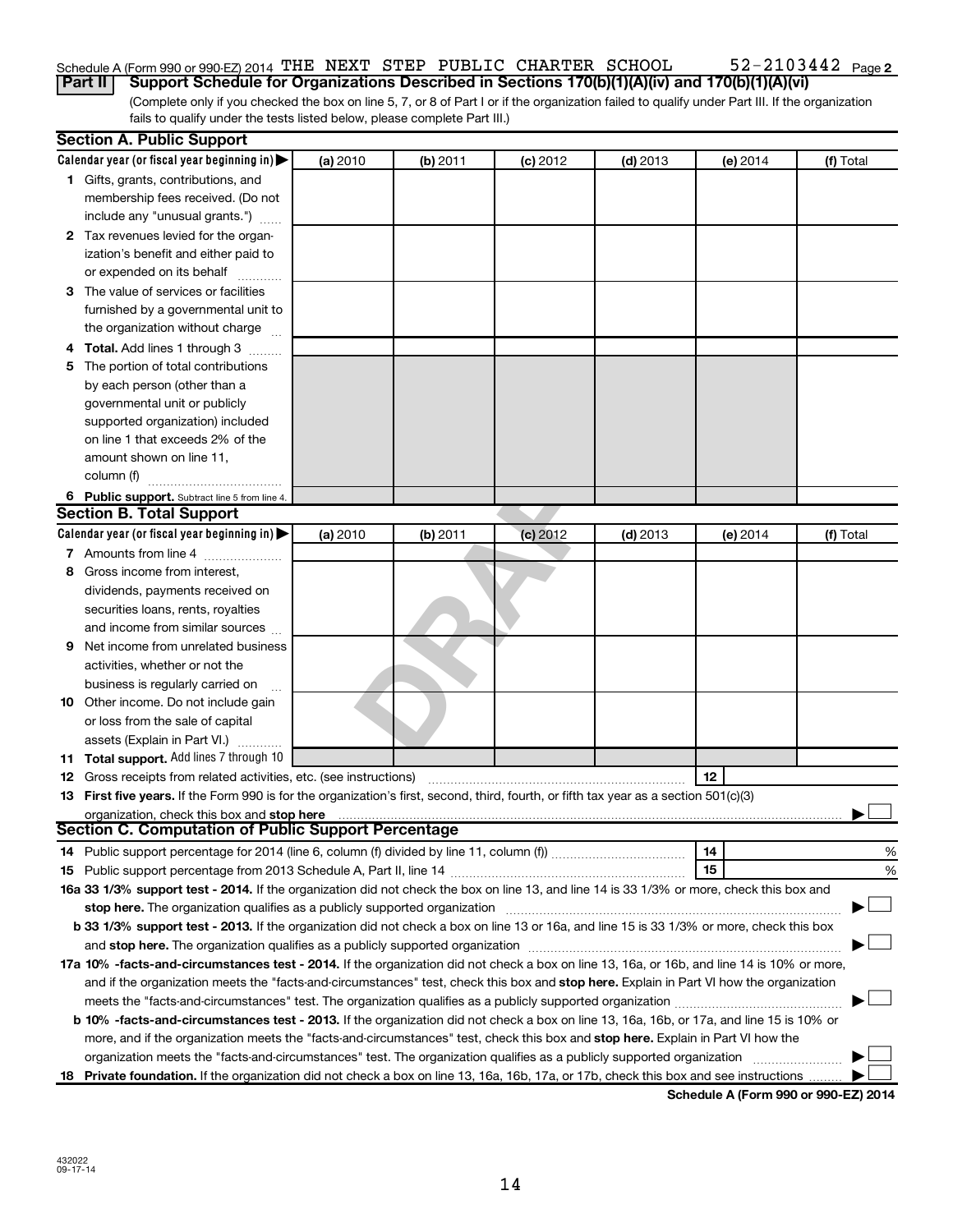#### 52-2103442 Page 2 Schedule A (Form 990 or 990-EZ) 2014 THE NEXT STEP PUBLIC CHARTER SCHOOL  $52-2103442$  Page

(Complete only if you checked the box on line 5, 7, or 8 of Part I or if the organization failed to qualify under Part III. If the organization fails to qualify under the tests listed below, please complete Part III.) **Part II Support Schedule for Organizations Described in Sections 170(b)(1)(A)(iv) and 170(b)(1)(A)(vi)**

|    | <b>Section A. Public Support</b>                                                                                                                                                                                               |          |          |            |            |          |           |
|----|--------------------------------------------------------------------------------------------------------------------------------------------------------------------------------------------------------------------------------|----------|----------|------------|------------|----------|-----------|
|    | Calendar year (or fiscal year beginning in) $\blacktriangleright$                                                                                                                                                              | (a) 2010 | (b) 2011 | $(c)$ 2012 | $(d)$ 2013 | (e) 2014 | (f) Total |
|    | 1 Gifts, grants, contributions, and                                                                                                                                                                                            |          |          |            |            |          |           |
|    | membership fees received. (Do not                                                                                                                                                                                              |          |          |            |            |          |           |
|    | include any "unusual grants.")                                                                                                                                                                                                 |          |          |            |            |          |           |
|    | 2 Tax revenues levied for the organ-                                                                                                                                                                                           |          |          |            |            |          |           |
|    | ization's benefit and either paid to                                                                                                                                                                                           |          |          |            |            |          |           |
|    | or expended on its behalf                                                                                                                                                                                                      |          |          |            |            |          |           |
| З  | The value of services or facilities                                                                                                                                                                                            |          |          |            |            |          |           |
|    | furnished by a governmental unit to                                                                                                                                                                                            |          |          |            |            |          |           |
|    | the organization without charge                                                                                                                                                                                                |          |          |            |            |          |           |
|    | Total. Add lines 1 through 3                                                                                                                                                                                                   |          |          |            |            |          |           |
| 5  | The portion of total contributions                                                                                                                                                                                             |          |          |            |            |          |           |
|    | by each person (other than a                                                                                                                                                                                                   |          |          |            |            |          |           |
|    | governmental unit or publicly                                                                                                                                                                                                  |          |          |            |            |          |           |
|    | supported organization) included                                                                                                                                                                                               |          |          |            |            |          |           |
|    | on line 1 that exceeds 2% of the                                                                                                                                                                                               |          |          |            |            |          |           |
|    | amount shown on line 11,                                                                                                                                                                                                       |          |          |            |            |          |           |
|    | column (f)                                                                                                                                                                                                                     |          |          |            |            |          |           |
|    | 6 Public support. Subtract line 5 from line 4.                                                                                                                                                                                 |          |          |            |            |          |           |
|    | <b>Section B. Total Support</b>                                                                                                                                                                                                |          |          |            |            |          |           |
|    | Calendar year (or fiscal year beginning in) $\blacktriangleright$                                                                                                                                                              | (a) 2010 | (b) 2011 | (c) 2012   | $(d)$ 2013 | (e) 2014 | (f) Total |
|    | 7 Amounts from line 4                                                                                                                                                                                                          |          |          |            |            |          |           |
| 8  | Gross income from interest.                                                                                                                                                                                                    |          |          |            |            |          |           |
|    | dividends, payments received on                                                                                                                                                                                                |          |          |            |            |          |           |
|    | securities loans, rents, royalties                                                                                                                                                                                             |          |          |            |            |          |           |
|    | and income from similar sources                                                                                                                                                                                                |          |          |            |            |          |           |
| 9  | Net income from unrelated business                                                                                                                                                                                             |          |          |            |            |          |           |
|    | activities, whether or not the                                                                                                                                                                                                 |          |          |            |            |          |           |
|    | business is regularly carried on                                                                                                                                                                                               |          |          |            |            |          |           |
|    | 10 Other income. Do not include gain                                                                                                                                                                                           |          |          |            |            |          |           |
|    | or loss from the sale of capital                                                                                                                                                                                               |          |          |            |            |          |           |
|    | assets (Explain in Part VI.)                                                                                                                                                                                                   |          |          |            |            |          |           |
|    | 11 Total support. Add lines 7 through 10                                                                                                                                                                                       |          |          |            |            |          |           |
|    | <b>12</b> Gross receipts from related activities, etc. (see instructions)                                                                                                                                                      |          |          |            |            | 12       |           |
|    | 13 First five years. If the Form 990 is for the organization's first, second, third, fourth, or fifth tax year as a section 501(c)(3)                                                                                          |          |          |            |            |          |           |
|    | organization, check this box and stop here                                                                                                                                                                                     |          |          |            |            |          |           |
|    | <b>Section C. Computation of Public Support Percentage</b>                                                                                                                                                                     |          |          |            |            |          |           |
|    | 14 Public support percentage for 2014 (line 6, column (f) divided by line 11, column (f) <i>mummumumum</i>                                                                                                                     |          |          |            |            | 14       | %         |
|    |                                                                                                                                                                                                                                |          |          |            |            | 15       | %         |
|    | 16a 33 1/3% support test - 2014. If the organization did not check the box on line 13, and line 14 is 33 1/3% or more, check this box and                                                                                      |          |          |            |            |          |           |
|    | stop here. The organization qualifies as a publicly supported organization manufactured content and the content of the state of the state of the state of the state of the state of the state of the state of the state of the |          |          |            |            |          |           |
|    | b 33 1/3% support test - 2013. If the organization did not check a box on line 13 or 16a, and line 15 is 33 1/3% or more, check this box                                                                                       |          |          |            |            |          |           |
|    |                                                                                                                                                                                                                                |          |          |            |            |          |           |
|    | 17a 10% -facts-and-circumstances test - 2014. If the organization did not check a box on line 13, 16a, or 16b, and line 14 is 10% or more,                                                                                     |          |          |            |            |          |           |
|    | and if the organization meets the "facts-and-circumstances" test, check this box and stop here. Explain in Part VI how the organization                                                                                        |          |          |            |            |          |           |
|    | meets the "facts-and-circumstances" test. The organization qualifies as a publicly supported organization <i>managrammanamanamanam</i>                                                                                         |          |          |            |            |          |           |
|    | b 10% -facts-and-circumstances test - 2013. If the organization did not check a box on line 13, 16a, 16b, or 17a, and line 15 is 10% or                                                                                        |          |          |            |            |          |           |
|    | more, and if the organization meets the "facts-and-circumstances" test, check this box and stop here. Explain in Part VI how the                                                                                               |          |          |            |            |          |           |
|    | organization meets the "facts-and-circumstances" test. The organization qualifies as a publicly supported organization                                                                                                         |          |          |            |            |          |           |
| 18 | Private foundation. If the organization did not check a box on line 13, 16a, 16b, 17a, or 17b, check this box and see instructions.                                                                                            |          |          |            |            |          |           |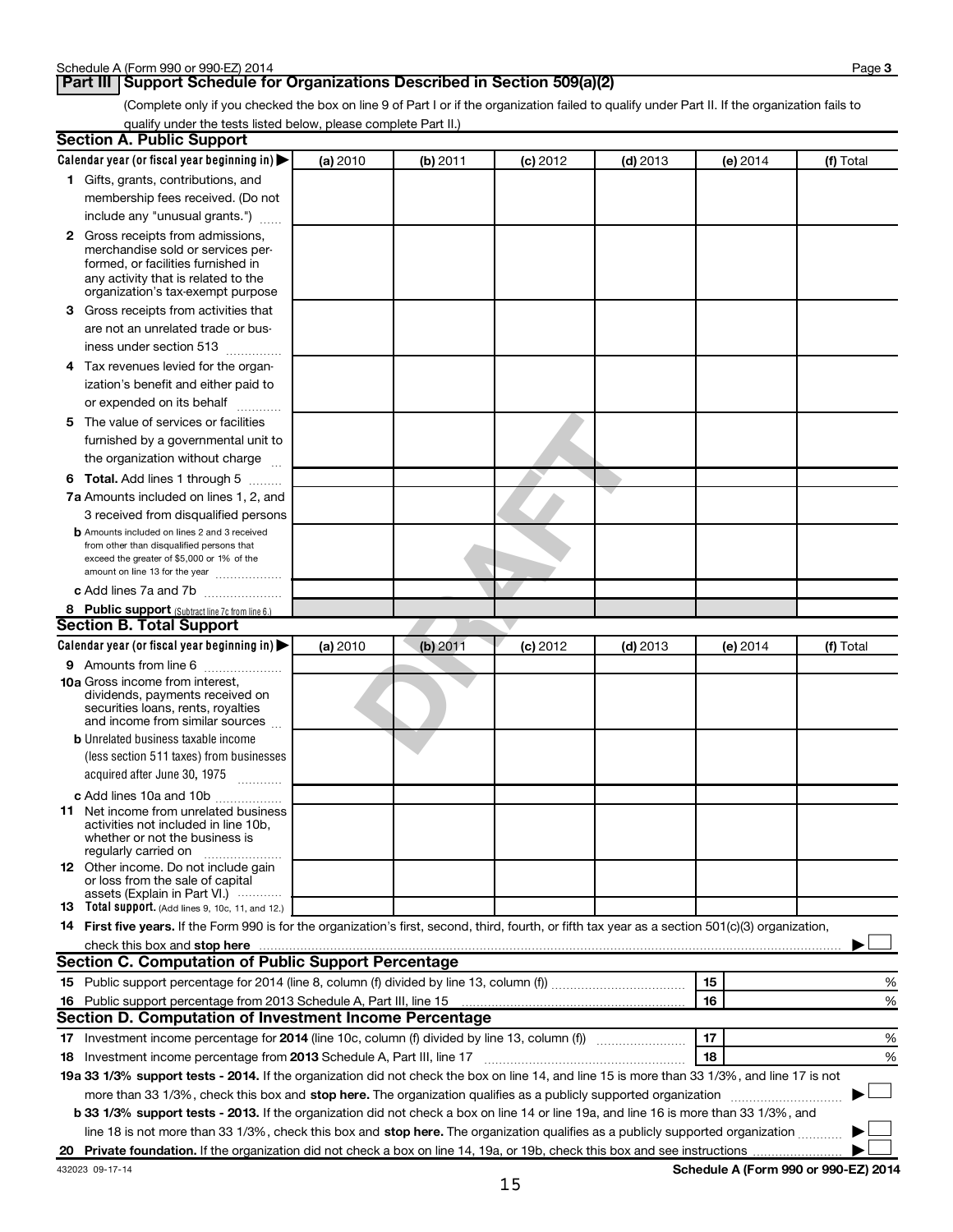**Page 3** 

(Complete only if you checked the box on line 9 of Part I or if the organization failed to qualify under Part II. If the organization fails to qualify under the tests listed below, please complete Part II.)

| <b>Section A. Public Support</b>                                                                                                                                                                                               |          |          |            |            |          |           |
|--------------------------------------------------------------------------------------------------------------------------------------------------------------------------------------------------------------------------------|----------|----------|------------|------------|----------|-----------|
| Calendar year (or fiscal year beginning in)                                                                                                                                                                                    | (a) 2010 | (b) 2011 | $(c)$ 2012 | $(d)$ 2013 | (e) 2014 | (f) Total |
| 1 Gifts, grants, contributions, and                                                                                                                                                                                            |          |          |            |            |          |           |
| membership fees received. (Do not                                                                                                                                                                                              |          |          |            |            |          |           |
| include any "unusual grants.")                                                                                                                                                                                                 |          |          |            |            |          |           |
| <b>2</b> Gross receipts from admissions,                                                                                                                                                                                       |          |          |            |            |          |           |
| merchandise sold or services per-                                                                                                                                                                                              |          |          |            |            |          |           |
| formed, or facilities furnished in                                                                                                                                                                                             |          |          |            |            |          |           |
| any activity that is related to the<br>organization's tax-exempt purpose                                                                                                                                                       |          |          |            |            |          |           |
| 3 Gross receipts from activities that                                                                                                                                                                                          |          |          |            |            |          |           |
| are not an unrelated trade or bus-                                                                                                                                                                                             |          |          |            |            |          |           |
| iness under section 513                                                                                                                                                                                                        |          |          |            |            |          |           |
| 4 Tax revenues levied for the organ-                                                                                                                                                                                           |          |          |            |            |          |           |
| ization's benefit and either paid to                                                                                                                                                                                           |          |          |            |            |          |           |
| or expended on its behalf                                                                                                                                                                                                      |          |          |            |            |          |           |
|                                                                                                                                                                                                                                |          |          |            |            |          |           |
| 5 The value of services or facilities                                                                                                                                                                                          |          |          |            |            |          |           |
| furnished by a governmental unit to                                                                                                                                                                                            |          |          |            |            |          |           |
| the organization without charge                                                                                                                                                                                                |          |          |            |            |          |           |
| <b>6 Total.</b> Add lines 1 through 5                                                                                                                                                                                          |          |          |            |            |          |           |
| 7a Amounts included on lines 1, 2, and                                                                                                                                                                                         |          |          |            |            |          |           |
| 3 received from disqualified persons                                                                                                                                                                                           |          |          |            |            |          |           |
| <b>b</b> Amounts included on lines 2 and 3 received<br>from other than disqualified persons that                                                                                                                               |          |          |            |            |          |           |
| exceed the greater of \$5,000 or 1% of the                                                                                                                                                                                     |          |          |            |            |          |           |
| amount on line 13 for the year                                                                                                                                                                                                 |          |          |            |            |          |           |
| c Add lines 7a and 7b                                                                                                                                                                                                          |          |          |            |            |          |           |
| 8 Public support (Subtract line 7c from line 6.)                                                                                                                                                                               |          |          |            |            |          |           |
| <b>Section B. Total Support</b>                                                                                                                                                                                                |          |          |            |            |          |           |
| Calendar year (or fiscal year beginning in)                                                                                                                                                                                    | (a) 2010 | (b) 2011 | $(c)$ 2012 | $(d)$ 2013 | (e) 2014 | (f) Total |
| <b>9</b> Amounts from line 6                                                                                                                                                                                                   |          |          |            |            |          |           |
| <b>10a</b> Gross income from interest,                                                                                                                                                                                         |          |          |            |            |          |           |
| dividends, payments received on<br>securities loans, rents, royalties                                                                                                                                                          |          |          |            |            |          |           |
| and income from similar sources                                                                                                                                                                                                |          |          |            |            |          |           |
| <b>b</b> Unrelated business taxable income                                                                                                                                                                                     |          |          |            |            |          |           |
| (less section 511 taxes) from businesses                                                                                                                                                                                       |          |          |            |            |          |           |
| acquired after June 30, 1975                                                                                                                                                                                                   |          |          |            |            |          |           |
| c Add lines 10a and 10b                                                                                                                                                                                                        |          |          |            |            |          |           |
| <b>11</b> Net income from unrelated business                                                                                                                                                                                   |          |          |            |            |          |           |
| activities not included in line 10b.                                                                                                                                                                                           |          |          |            |            |          |           |
| whether or not the business is<br>regularly carried on                                                                                                                                                                         |          |          |            |            |          |           |
| 12 Other income. Do not include gain                                                                                                                                                                                           |          |          |            |            |          |           |
| or loss from the sale of capital                                                                                                                                                                                               |          |          |            |            |          |           |
| assets (Explain in Part VI.)<br><b>13</b> Total support. (Add lines 9, 10c, 11, and 12.)                                                                                                                                       |          |          |            |            |          |           |
| 14 First five years. If the Form 990 is for the organization's first, second, third, fourth, or fifth tax year as a section 501(c)(3) organization,                                                                            |          |          |            |            |          |           |
| check this box and stop here measurements and contact the state of the state of the state of the state of the state of the state of the state of the state of the state of the state of the state of the state of the state of |          |          |            |            |          |           |
| <b>Section C. Computation of Public Support Percentage</b>                                                                                                                                                                     |          |          |            |            |          |           |
|                                                                                                                                                                                                                                |          |          |            |            | 15       | %         |
| 16 Public support percentage from 2013 Schedule A, Part III, line 15                                                                                                                                                           |          |          |            |            | 16       | %         |
| Section D. Computation of Investment Income Percentage                                                                                                                                                                         |          |          |            |            |          |           |
|                                                                                                                                                                                                                                |          |          |            |            | 17       | %         |
|                                                                                                                                                                                                                                |          |          |            |            | 18       | %         |
| 18 Investment income percentage from 2013 Schedule A, Part III, line 17                                                                                                                                                        |          |          |            |            |          |           |
| 19a 33 1/3% support tests - 2014. If the organization did not check the box on line 14, and line 15 is more than 33 1/3%, and line 17 is not                                                                                   |          |          |            |            |          |           |
| more than 33 1/3%, check this box and stop here. The organization qualifies as a publicly supported organization                                                                                                               |          |          |            |            |          |           |
| b 33 1/3% support tests - 2013. If the organization did not check a box on line 14 or line 19a, and line 16 is more than 33 1/3%, and                                                                                          |          |          |            |            |          |           |
| line 18 is not more than 33 1/3%, check this box and stop here. The organization qualifies as a publicly supported organization                                                                                                |          |          |            |            |          |           |
|                                                                                                                                                                                                                                |          |          |            |            |          |           |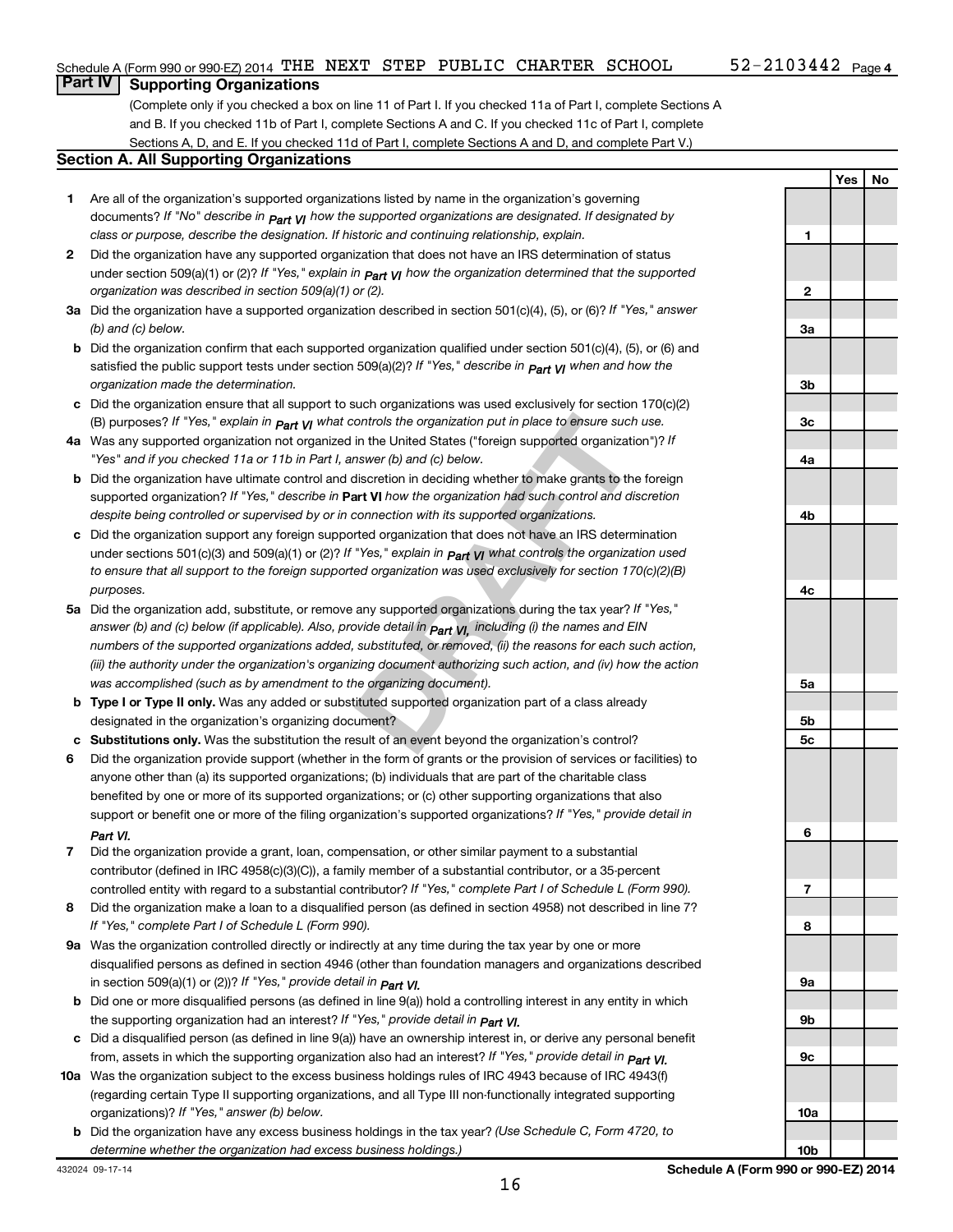**Yes No**

# **Part IV Supporting Organizations**

(Complete only if you checked a box on line 11 of Part I. If you checked 11a of Part I, complete Sections A and B. If you checked 11b of Part I, complete Sections A and C. If you checked 11c of Part I, complete Sections A, D, and E. If you checked 11d of Part I, complete Sections A and D, and complete Part V.)

#### **Section A. All Supporting Organizations**

- **1** Are all of the organization's supported organizations listed by name in the organization's governing documents? If "No" describe in  $_{\mathsf{Part}}$   $_{\mathsf{V}}$  how the supported organizations are designated. If designated by *class or purpose, describe the designation. If historic and continuing relationship, explain.*
- **2** Did the organization have any supported organization that does not have an IRS determination of status under section 509(a)(1) or (2)? If "Yes," explain in  $_{\sf Part}$   $_{\sf VI}$  how the organization determined that the supported *organization was described in section 509(a)(1) or (2).*
- **3a** Did the organization have a supported organization described in section 501(c)(4), (5), or (6)? If "Yes," answer *(b) and (c) below.*
- **b** Did the organization confirm that each supported organization qualified under section 501(c)(4), (5), or (6) and satisfied the public support tests under section 509(a)(2)? If "Yes," describe in  $_{\rm Part}$   $_{\rm VI}$  when and how the *organization made the determination.*
- **c** Did the organization ensure that all support to such organizations was used exclusively for section 170(c)(2) (B) purposes? If "Yes," explain in  $_{\mathsf{Part}}$   $_{\mathsf{V}}$  what controls the organization put in place to ensure such use.
- **4 a** *If* Was any supported organization not organized in the United States ("foreign supported organization")? *"Yes" and if you checked 11a or 11b in Part I, answer (b) and (c) below.*
- **b** Did the organization have ultimate control and discretion in deciding whether to make grants to the foreign supported organization? If "Yes," describe in Part VI how the organization had such control and discretion *despite being controlled or supervised by or in connection with its supported organizations.*
- **c** Did the organization support any foreign supported organization that does not have an IRS determination under sections 501(c)(3) and 509(a)(1) or (2)? If "Yes," ex*plain in*  $_{\sf Part}$  *v*I what controls the organization used *to ensure that all support to the foreign supported organization was used exclusively for section 170(c)(2)(B) purposes.*
- ontrols the organization put in place to ensure such use.<br>
in the United States ("foreign supported organization")? If<br>
first the United States ("foreign supported organization")? If<br>
first the foreign<br>
discretion in decid **5a** Did the organization add, substitute, or remove any supported organizations during the tax year? If "Yes," answer (b) and (c) below (if applicable). Also, provide detail in  $_{\mathsf{Part}}$   $_{\mathsf{VI},\,}$  including (i) the names and EIN *numbers of the supported organizations added, substituted, or removed, (ii) the reasons for each such action, (iii) the authority under the organization's organizing document authorizing such action, and (iv) how the action was accomplished (such as by amendment to the organizing document).*
- **b** Type I or Type II only. Was any added or substituted supported organization part of a class already designated in the organization's organizing document?
- **c Substitutions only.**  Was the substitution the result of an event beyond the organization's control?
- **6** Did the organization provide support (whether in the form of grants or the provision of services or facilities) to support or benefit one or more of the filing organization's supported organizations? If "Yes," provide detail in anyone other than (a) its supported organizations; (b) individuals that are part of the charitable class benefited by one or more of its supported organizations; or (c) other supporting organizations that also *Part VI.*
- **7** Did the organization provide a grant, loan, compensation, or other similar payment to a substantial controlled entity with regard to a substantial contributor? If "Yes," complete Part I of Schedule L (Form 990). contributor (defined in IRC 4958(c)(3)(C)), a family member of a substantial contributor, or a 35-percent
- **8** Did the organization make a loan to a disqualified person (as defined in section 4958) not described in line 7? *If "Yes," complete Part I of Schedule L (Form 990).*
- **9 a** Was the organization controlled directly or indirectly at any time during the tax year by one or more *If "Yes," provide detail in*  in section 509(a)(1) or (2))? *Part VI.* disqualified persons as defined in section 4946 (other than foundation managers and organizations described
- **b** Did one or more disqualified persons (as defined in line 9(a)) hold a controlling interest in any entity in which  *If "Yes," provide detail in*  the supporting organization had an interest? *Part VI.*
- **c** Did a disqualified person (as defined in line 9(a)) have an ownership interest in, or derive any personal benefit from, assets in which the supporting organization also had an interest? If "Yes," *provide detail in Part VI.*
- **10 a** Was the organization subject to the excess business holdings rules of IRC 4943 because of IRC 4943(f)  *If "Yes," answer (b) below.* organizations)? (regarding certain Type II supporting organizations, and all Type III non-functionally integrated supporting
	- **b** Did the organization have any excess business holdings in the tax year? (Use Schedule C, Form 4720, to *determine whether the organization had excess business holdings.)*

**1 2 3a 3b 3c 4a 4b 4c 5a 5b 5c 6 7 8 9a 9b 9c 10a**

**10b**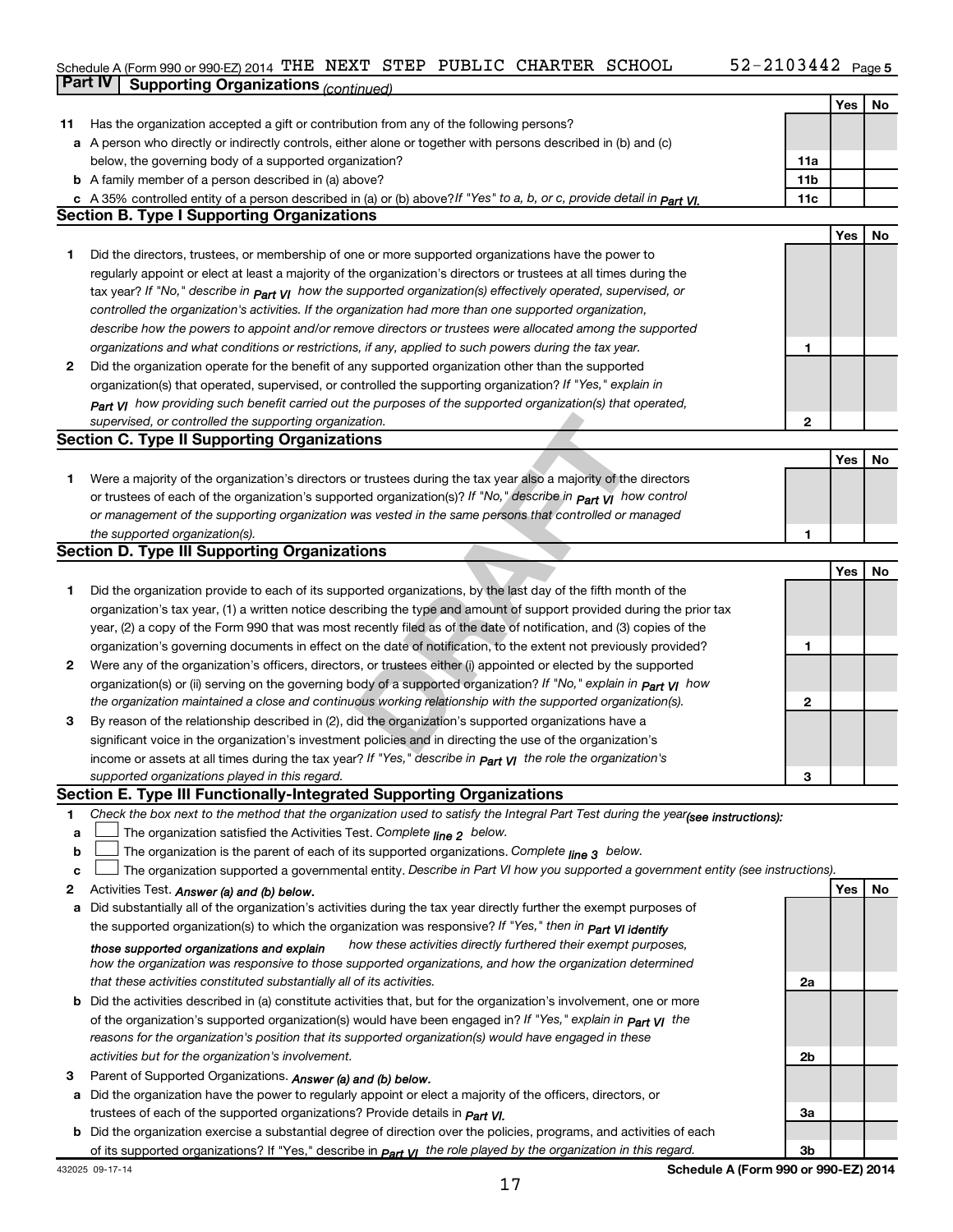#### Schedule A (Form 990 or 990-EZ) 2014 'I'HE NEXT' STEP PUBLIC CHARTER SCHOOL 5Z-ZIU344Z Page THE NEXT STEP PUBLIC CHARTER SCHOOL 52-2103442

|    | Part IV<br><b>Supporting Organizations (continued)</b>                                                                           |                 |     |    |
|----|----------------------------------------------------------------------------------------------------------------------------------|-----------------|-----|----|
|    |                                                                                                                                  |                 | Yes | No |
| 11 | Has the organization accepted a gift or contribution from any of the following persons?                                          |                 |     |    |
|    | a A person who directly or indirectly controls, either alone or together with persons described in (b) and (c)                   |                 |     |    |
|    | below, the governing body of a supported organization?                                                                           | 11a             |     |    |
|    | <b>b</b> A family member of a person described in (a) above?                                                                     | 11 <sub>b</sub> |     |    |
|    | c A 35% controlled entity of a person described in (a) or (b) above? If "Yes" to a, b, or c, provide detail in part VI.          | 11c             |     |    |
|    | <b>Section B. Type I Supporting Organizations</b>                                                                                |                 |     |    |
|    |                                                                                                                                  |                 | Yes | No |
| 1  | Did the directors, trustees, or membership of one or more supported organizations have the power to                              |                 |     |    |
|    | regularly appoint or elect at least a majority of the organization's directors or trustees at all times during the               |                 |     |    |
|    | tax year? If "No," describe in $P_{art}$ VI how the supported organization(s) effectively operated, supervised, or               |                 |     |    |
|    | controlled the organization's activities. If the organization had more than one supported organization,                          |                 |     |    |
|    | describe how the powers to appoint and/or remove directors or trustees were allocated among the supported                        |                 |     |    |
|    | organizations and what conditions or restrictions, if any, applied to such powers during the tax year.                           | 1               |     |    |
| 2  | Did the organization operate for the benefit of any supported organization other than the supported                              |                 |     |    |
|    | organization(s) that operated, supervised, or controlled the supporting organization? If "Yes," explain in                       |                 |     |    |
|    | $_{Part}$ v <sub>I</sub> how providing such benefit carried out the purposes of the supported organization(s) that operated,     |                 |     |    |
|    | supervised, or controlled the supporting organization.                                                                           | 2               |     |    |
|    | <b>Section C. Type II Supporting Organizations</b>                                                                               |                 |     |    |
|    |                                                                                                                                  |                 | Yes | No |
|    | Were a majority of the organization's directors or trustees during the tax year also a majority of the directors                 |                 |     |    |
| 1  | or trustees of each of the organization's supported organization(s)? If "No," describe in $P_{\text{art }VI}$ how control        |                 |     |    |
|    | or management of the supporting organization was vested in the same persons that controlled or managed                           |                 |     |    |
|    |                                                                                                                                  | 1               |     |    |
|    | the supported organization(s).<br><b>Section D. Type III Supporting Organizations</b>                                            |                 |     |    |
|    |                                                                                                                                  |                 | Yes | No |
|    |                                                                                                                                  |                 |     |    |
| 1  | Did the organization provide to each of its supported organizations, by the last day of the fifth month of the                   |                 |     |    |
|    | organization's tax year, (1) a written notice describing the type and amount of support provided during the prior tax            |                 |     |    |
|    | year, (2) a copy of the Form 990 that was most recently filed as of the date of notification, and (3) copies of the              |                 |     |    |
|    | organization's governing documents in effect on the date of notification, to the extent not previously provided?                 | 1               |     |    |
| 2  | Were any of the organization's officers, directors, or trustees either (i) appointed or elected by the supported                 |                 |     |    |
|    | organization(s) or (ii) serving on the governing body of a supported organization? If "No," explain in part VI how               |                 |     |    |
|    | the organization maintained a close and continuous working relationship with the supported organization(s).                      | 2               |     |    |
| 3  | By reason of the relationship described in (2), did the organization's supported organizations have a                            |                 |     |    |
|    | significant voice in the organization's investment policies and in directing the use of the organization's                       |                 |     |    |
|    | income or assets at all times during the tax year? If "Yes," describe in $P_{\text{part}}$ $\gamma$ the role the organization's  |                 |     |    |
|    | supported organizations played in this regard.                                                                                   | з               |     |    |
|    | Section E. Type III Functionally-Integrated Supporting Organizations                                                             |                 |     |    |
| 1  | Check the box next to the method that the organization used to satisfy the Integral Part Test during the year(see instructions): |                 |     |    |
| a  | The organization satisfied the Activities Test. Complete line 2 below.                                                           |                 |     |    |
| b  | The organization is the parent of each of its supported organizations. Complete $_{\text{line 3}}$ below.                        |                 |     |    |
| c  | The organization supported a governmental entity. Describe in Part VI how you supported a government entity (see instructions).  |                 |     |    |
| 2  | Activities Test. Answer (a) and (b) below.                                                                                       |                 | Yes | No |
| a  | Did substantially all of the organization's activities during the tax year directly further the exempt purposes of               |                 |     |    |
|    | the supported organization(s) to which the organization was responsive? If "Yes," then in Part VI identify                       |                 |     |    |
|    | how these activities directly furthered their exempt purposes,<br>those supported organizations and explain                      |                 |     |    |
|    | how the organization was responsive to those supported organizations, and how the organization determined                        |                 |     |    |
|    | that these activities constituted substantially all of its activities.                                                           | 2a              |     |    |
|    | <b>b</b> Did the activities described in (a) constitute activities that, but for the organization's involvement, one or more     |                 |     |    |
|    | of the organization's supported organization(s) would have been engaged in? If "Yes," explain in <b>Part VI</b> the              |                 |     |    |
|    | reasons for the organization's position that its supported organization(s) would have engaged in these                           |                 |     |    |
|    | activities but for the organization's involvement.                                                                               | 2b              |     |    |
| З  | Parent of Supported Organizations. Answer (a) and (b) below.                                                                     |                 |     |    |
|    | a Did the organization have the power to regularly appoint or elect a majority of the officers, directors, or                    |                 |     |    |
|    | trustees of each of the supported organizations? Provide details in <i>Part VI.</i>                                              | За              |     |    |
|    | <b>b</b> Did the organization exercise a substantial degree of direction over the policies, programs, and activities of each     |                 |     |    |
|    | of its supported organizations? If "Yes," describe in $P_{\text{diff}}$ VI the role played by the organization in this regard.   | Зb              |     |    |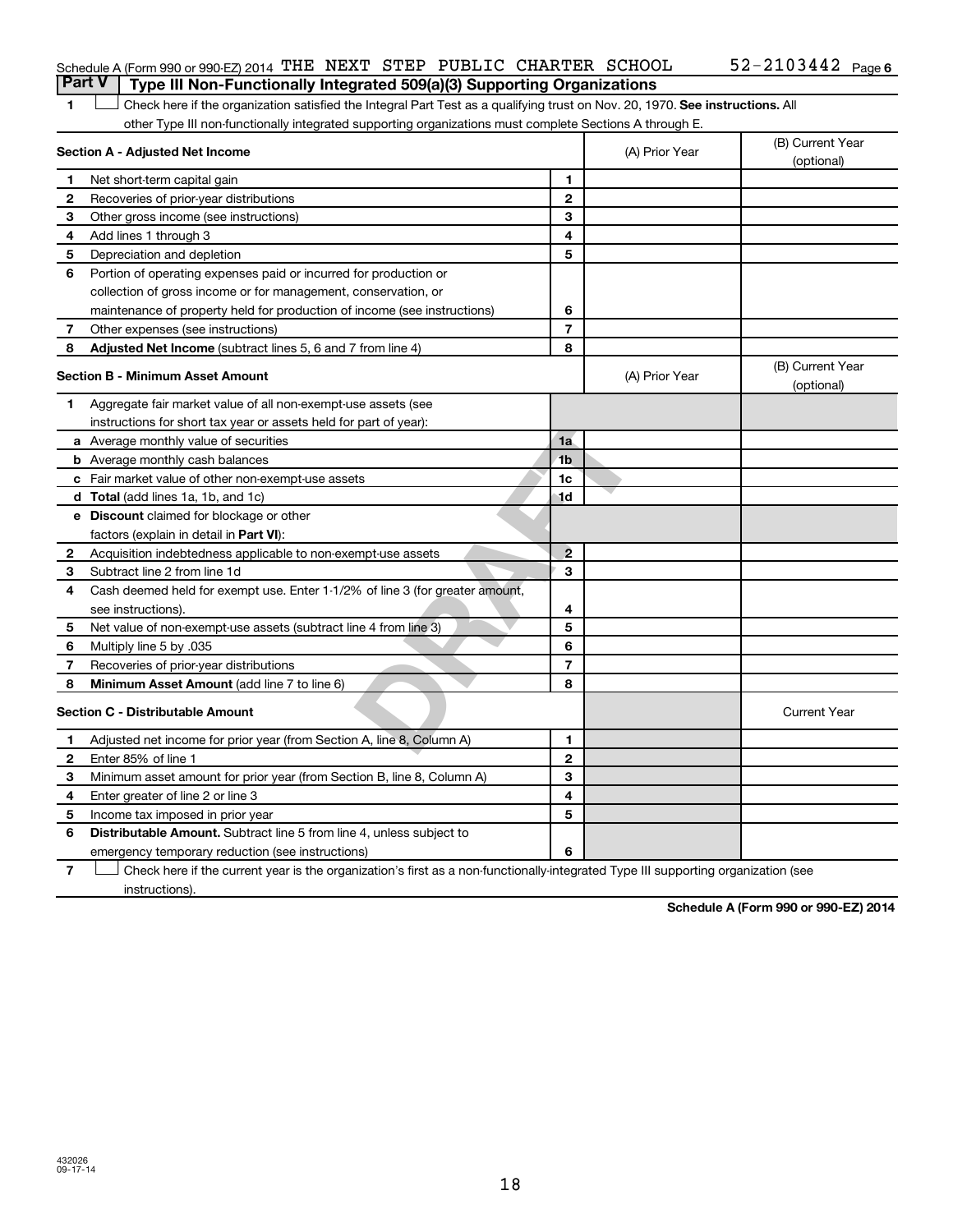## Schedule A (Form 990 or 990-EZ) 2014 THE NEXT STEP PUBLIC CHARTER SCHOOL  $52-2103442$  Page **Part V Type III Non-Functionally Integrated 509(a)(3) Supporting Organizations**

1 **Letter on Reck here if the organization satisfied the Integral Part Test as a qualifying trust on Nov. 20, 1970. See instructions. All** other Type III non-functionally integrated supporting organizations must complete Sections A through E.

|                | Section A - Adjusted Net Income                                              |                | (A) Prior Year | (B) Current Year<br>(optional) |
|----------------|------------------------------------------------------------------------------|----------------|----------------|--------------------------------|
| 1              | Net short-term capital gain                                                  | 1              |                |                                |
| $\mathbf{2}$   | Recoveries of prior-year distributions                                       | $\mathbf{2}$   |                |                                |
| З              | Other gross income (see instructions)                                        | 3              |                |                                |
| 4              | Add lines 1 through 3                                                        | 4              |                |                                |
| 5              | Depreciation and depletion                                                   | 5              |                |                                |
| 6              | Portion of operating expenses paid or incurred for production or             |                |                |                                |
|                | collection of gross income or for management, conservation, or               |                |                |                                |
|                | maintenance of property held for production of income (see instructions)     | 6              |                |                                |
| 7              | Other expenses (see instructions)                                            | $\overline{7}$ |                |                                |
| 8              | Adjusted Net Income (subtract lines 5, 6 and 7 from line 4)                  | 8              |                |                                |
|                | <b>Section B - Minimum Asset Amount</b>                                      |                | (A) Prior Year | (B) Current Year<br>(optional) |
| 1              | Aggregate fair market value of all non-exempt-use assets (see                |                |                |                                |
|                | instructions for short tax year or assets held for part of year):            |                |                |                                |
|                | <b>a</b> Average monthly value of securities                                 | 1a             |                |                                |
|                | <b>b</b> Average monthly cash balances                                       | 1 <sub>b</sub> |                |                                |
|                | <b>c</b> Fair market value of other non-exempt-use assets                    | 1c             |                |                                |
|                | <b>d</b> Total (add lines 1a, 1b, and 1c)                                    | 1d             |                |                                |
|                | e Discount claimed for blockage or other                                     |                |                |                                |
|                | factors (explain in detail in Part VI):                                      |                |                |                                |
| 2              | Acquisition indebtedness applicable to non-exempt-use assets                 | $\overline{2}$ |                |                                |
| З              | Subtract line 2 from line 1d                                                 | 3              |                |                                |
| 4              | Cash deemed held for exempt use. Enter 1-1/2% of line 3 (for greater amount, |                |                |                                |
|                | see instructions).                                                           | 4              |                |                                |
| 5              | Net value of non-exempt-use assets (subtract line 4 from line 3)             | 5              |                |                                |
| 6              | 035. Multiply line 5 by                                                      | 6              |                |                                |
| $\overline{7}$ | Recoveries of prior-year distributions                                       | $\overline{7}$ |                |                                |
| 8              | <b>Minimum Asset Amount (add line 7 to line 6)</b>                           | 8              |                |                                |
|                | <b>Section C - Distributable Amount</b>                                      |                |                | <b>Current Year</b>            |
| 1              | Adjusted net income for prior year (from Section A, line 8, Column A)        | 1              |                |                                |
| $\mathbf{2}$   | Enter 85% of line 1                                                          | $\mathbf{2}$   |                |                                |
| З              | Minimum asset amount for prior year (from Section B, line 8, Column A)       | 3              |                |                                |
| 4              | Enter greater of line 2 or line 3                                            | 4              |                |                                |
| 5              | Income tax imposed in prior year                                             | 5              |                |                                |
| 6              | Distributable Amount. Subtract line 5 from line 4, unless subject to         |                |                |                                |
|                | emergency temporary reduction (see instructions)                             | 6              |                |                                |
|                |                                                                              |                |                |                                |

**7** Check here if the current year is the organization's first as a non-functionally-integrated Type III supporting organization (see † instructions).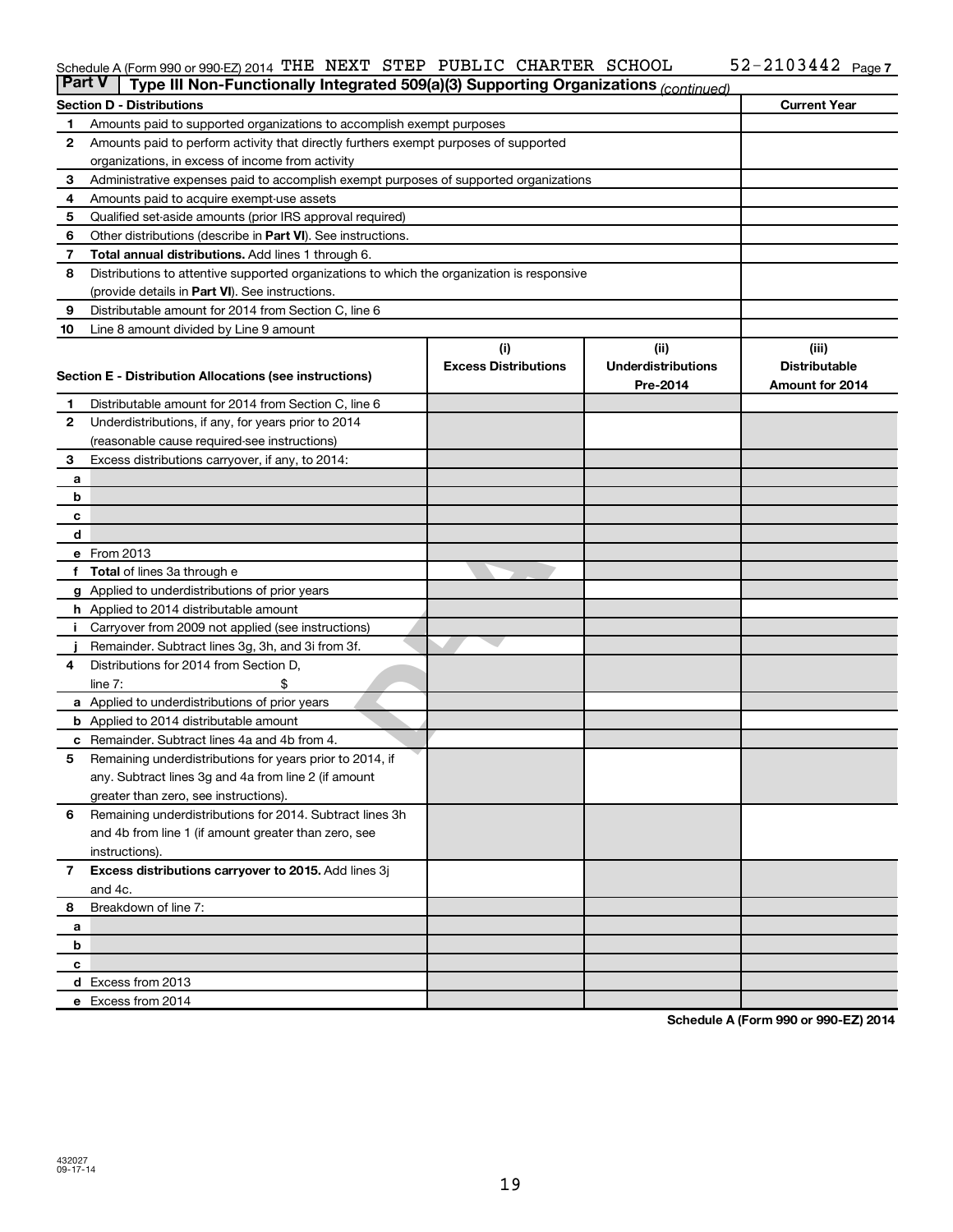#### Schedule A (Form 990 or 990-EZ) 2014 'I'HE NEXT' STEP PUBLIC CHARTER SCHOOL 5Z-ZIU344Z Page THE NEXT STEP PUBLIC CHARTER SCHOOL 52-2103442

| <b>Part V</b>  | Type III Non-Functionally Integrated 509(a)(3) Supporting Organizations (continued)         |                             |                           |                      |  |  |  |  |  |  |
|----------------|---------------------------------------------------------------------------------------------|-----------------------------|---------------------------|----------------------|--|--|--|--|--|--|
|                | <b>Section D - Distributions</b>                                                            |                             |                           | <b>Current Year</b>  |  |  |  |  |  |  |
| 1              | Amounts paid to supported organizations to accomplish exempt purposes                       |                             |                           |                      |  |  |  |  |  |  |
| $\mathbf{2}$   | Amounts paid to perform activity that directly furthers exempt purposes of supported        |                             |                           |                      |  |  |  |  |  |  |
|                | organizations, in excess of income from activity                                            |                             |                           |                      |  |  |  |  |  |  |
| 3              | Administrative expenses paid to accomplish exempt purposes of supported organizations       |                             |                           |                      |  |  |  |  |  |  |
| 4              | Amounts paid to acquire exempt-use assets                                                   |                             |                           |                      |  |  |  |  |  |  |
| 5              | Qualified set-aside amounts (prior IRS approval required)                                   |                             |                           |                      |  |  |  |  |  |  |
| 6              | Other distributions (describe in <b>Part VI</b> ). See instructions.                        |                             |                           |                      |  |  |  |  |  |  |
| 7              | Total annual distributions. Add lines 1 through 6.                                          |                             |                           |                      |  |  |  |  |  |  |
| 8              | Distributions to attentive supported organizations to which the organization is responsive  |                             |                           |                      |  |  |  |  |  |  |
|                | (provide details in Part VI). See instructions.                                             |                             |                           |                      |  |  |  |  |  |  |
| 9              | Distributable amount for 2014 from Section C, line 6                                        |                             |                           |                      |  |  |  |  |  |  |
| 10             | Line 8 amount divided by Line 9 amount                                                      |                             |                           |                      |  |  |  |  |  |  |
|                |                                                                                             | (i)                         | (ii)                      | (iii)                |  |  |  |  |  |  |
|                | Section E - Distribution Allocations (see instructions)                                     | <b>Excess Distributions</b> | <b>Underdistributions</b> | <b>Distributable</b> |  |  |  |  |  |  |
|                |                                                                                             |                             | Pre-2014                  | Amount for 2014      |  |  |  |  |  |  |
| 1              | Distributable amount for 2014 from Section C, line 6                                        |                             |                           |                      |  |  |  |  |  |  |
| $\mathbf{2}$   | Underdistributions, if any, for years prior to 2014                                         |                             |                           |                      |  |  |  |  |  |  |
|                | (reasonable cause required-see instructions)                                                |                             |                           |                      |  |  |  |  |  |  |
| 3              | Excess distributions carryover, if any, to 2014:                                            |                             |                           |                      |  |  |  |  |  |  |
| а              |                                                                                             |                             |                           |                      |  |  |  |  |  |  |
| b              |                                                                                             |                             |                           |                      |  |  |  |  |  |  |
| c              |                                                                                             |                             |                           |                      |  |  |  |  |  |  |
| d              |                                                                                             |                             |                           |                      |  |  |  |  |  |  |
|                | e From 2013                                                                                 |                             |                           |                      |  |  |  |  |  |  |
| f              | <b>Total</b> of lines 3a through e                                                          |                             |                           |                      |  |  |  |  |  |  |
|                | <b>g</b> Applied to underdistributions of prior years                                       |                             |                           |                      |  |  |  |  |  |  |
|                | <b>h</b> Applied to 2014 distributable amount                                               |                             |                           |                      |  |  |  |  |  |  |
| Ť.             | Carryover from 2009 not applied (see instructions)                                          |                             |                           |                      |  |  |  |  |  |  |
| 4              | Remainder. Subtract lines 3g, 3h, and 3i from 3f.<br>Distributions for 2014 from Section D, |                             |                           |                      |  |  |  |  |  |  |
|                | line $7:$                                                                                   |                             |                           |                      |  |  |  |  |  |  |
|                | a Applied to underdistributions of prior years                                              |                             |                           |                      |  |  |  |  |  |  |
|                | <b>b</b> Applied to 2014 distributable amount                                               |                             |                           |                      |  |  |  |  |  |  |
| c              | Remainder. Subtract lines 4a and 4b from 4.                                                 |                             |                           |                      |  |  |  |  |  |  |
| 5              | Remaining underdistributions for years prior to 2014, if                                    |                             |                           |                      |  |  |  |  |  |  |
|                | any. Subtract lines 3g and 4a from line 2 (if amount                                        |                             |                           |                      |  |  |  |  |  |  |
|                | greater than zero, see instructions).                                                       |                             |                           |                      |  |  |  |  |  |  |
| 6              | Remaining underdistributions for 2014. Subtract lines 3h                                    |                             |                           |                      |  |  |  |  |  |  |
|                | and 4b from line 1 (if amount greater than zero, see                                        |                             |                           |                      |  |  |  |  |  |  |
|                | instructions).                                                                              |                             |                           |                      |  |  |  |  |  |  |
| $\overline{7}$ | Excess distributions carryover to 2015. Add lines 3j                                        |                             |                           |                      |  |  |  |  |  |  |
|                | and 4c.                                                                                     |                             |                           |                      |  |  |  |  |  |  |
| 8              | Breakdown of line 7:                                                                        |                             |                           |                      |  |  |  |  |  |  |
| а              |                                                                                             |                             |                           |                      |  |  |  |  |  |  |
| b              |                                                                                             |                             |                           |                      |  |  |  |  |  |  |
| c              |                                                                                             |                             |                           |                      |  |  |  |  |  |  |
|                | d Excess from 2013                                                                          |                             |                           |                      |  |  |  |  |  |  |
|                | e Excess from 2014                                                                          |                             |                           |                      |  |  |  |  |  |  |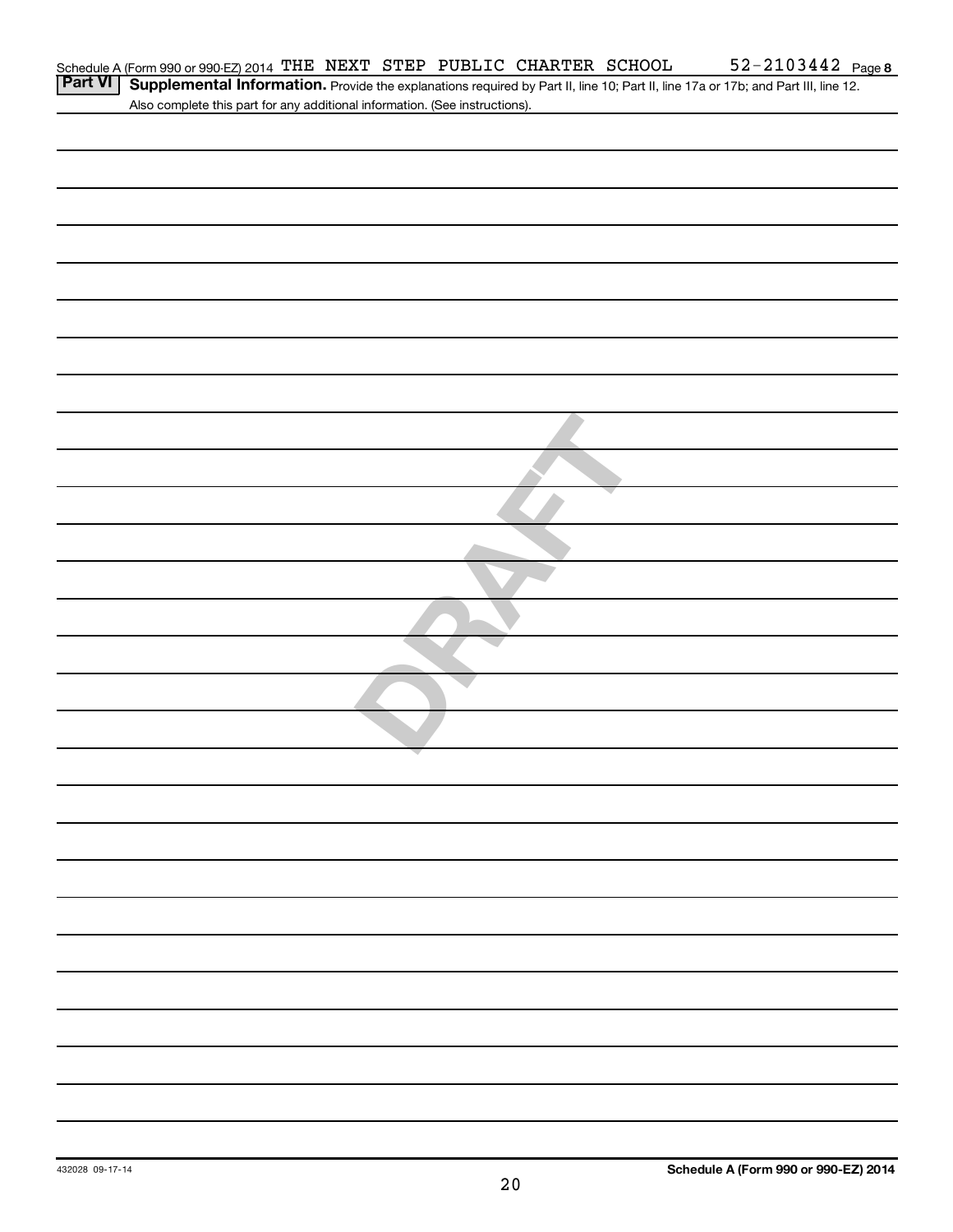|         | Schedule A (Form 990 or 990-EZ) 2014 THE NEXT STEP PUBLIC CHARTER SCHOOL    |  |  | $52 - 2103442$ Page 8                                                                                                             |
|---------|-----------------------------------------------------------------------------|--|--|-----------------------------------------------------------------------------------------------------------------------------------|
| Part VI |                                                                             |  |  | Supplemental Information. Provide the explanations required by Part II, line 10; Part II, line 17a or 17b; and Part III, line 12. |
|         | Also complete this part for any additional information. (See instructions). |  |  |                                                                                                                                   |
|         |                                                                             |  |  |                                                                                                                                   |
|         |                                                                             |  |  |                                                                                                                                   |
|         |                                                                             |  |  |                                                                                                                                   |
|         |                                                                             |  |  |                                                                                                                                   |
|         |                                                                             |  |  |                                                                                                                                   |
|         |                                                                             |  |  |                                                                                                                                   |
|         |                                                                             |  |  |                                                                                                                                   |
|         |                                                                             |  |  |                                                                                                                                   |
|         |                                                                             |  |  |                                                                                                                                   |
|         |                                                                             |  |  |                                                                                                                                   |
|         |                                                                             |  |  |                                                                                                                                   |
|         |                                                                             |  |  |                                                                                                                                   |
|         |                                                                             |  |  |                                                                                                                                   |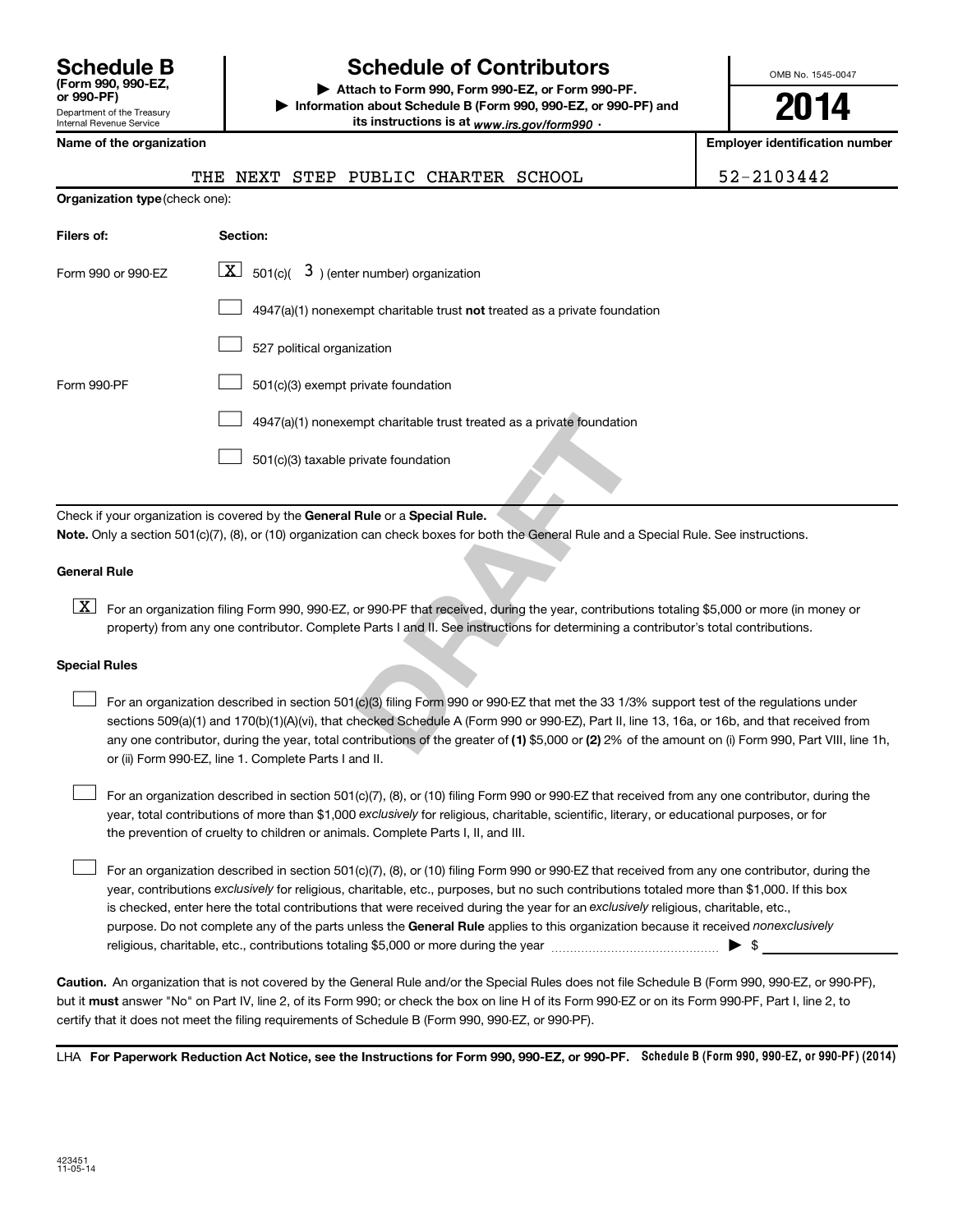| <b>Schedule B</b><br>(Form 990, 990-EZ,<br>or 990-PF)  |
|--------------------------------------------------------|
| Department of the Treasury<br>Internal Revenue Service |

# **Schedule of Contributors**

**or 990-PF) | Attach to Form 990, Form 990-EZ, or Form 990-PF. | Information about Schedule B (Form 990, 990-EZ, or 990-PF) and** its instructions is at <sub>www.irs.gov/form990  $\cdot$ </sub>

OMB No. 1545-0047

**2014**

**Name of the organization Employer identification number**

|  | Name of the organization |  |
|--|--------------------------|--|
|  |                          |  |

| <b>Organization type (check one):</b> |                                                                                    |  |  |  |  |  |  |  |
|---------------------------------------|------------------------------------------------------------------------------------|--|--|--|--|--|--|--|
| Filers of:                            | Section:                                                                           |  |  |  |  |  |  |  |
| Form 990 or 990-EZ                    | $\boxed{\textbf{X}}$ 501(c)( 3) (enter number) organization                        |  |  |  |  |  |  |  |
|                                       | $4947(a)(1)$ nonexempt charitable trust <b>not</b> treated as a private foundation |  |  |  |  |  |  |  |
|                                       | 527 political organization                                                         |  |  |  |  |  |  |  |
| Form 990-PF                           | 501(c)(3) exempt private foundation                                                |  |  |  |  |  |  |  |
|                                       | 4947(a)(1) nonexempt charitable trust treated as a private foundation              |  |  |  |  |  |  |  |
|                                       | 501(c)(3) taxable private foundation                                               |  |  |  |  |  |  |  |

Check if your organization is covered by the General Rule or a Special Rule. **Note.**  Only a section 501(c)(7), (8), or (10) organization can check boxes for both the General Rule and a Special Rule. See instructions.

#### **General Rule**

[X] For an organization filing Form 990, 990-EZ, or 990-PF that received, during the year, contributions totaling \$5,000 or more (in money or property) from any one contributor. Complete Parts I and II. See instructions for determining a contributor's total contributions.

#### **Special Rules**

 $\Box$ 

mpt charitable trust treated as a private foundation<br> **Rule or a Special Rule.**<br> **DRAFT CALC COM**<br> **DRAFT CALC COMPT COMPT CALC COMPT CALC CONTENT CONTENT**<br> **DRAFT CALC CONTENT CONTENT**<br> **DRAFT CONTENT**<br> **DRAFT CONTENT**<br> any one contributor, during the year, total contributions of the greater of **(1)** \$5,000 or **(2)** 2% of the amount on (i) Form 990, Part VIII, line 1h, For an organization described in section 501(c)(3) filing Form 990 or 990-EZ that met the 33 1/3% support test of the regulations under sections 509(a)(1) and 170(b)(1)(A)(vi), that checked Schedule A (Form 990 or 990-EZ), Part II, line 13, 16a, or 16b, and that received from or (ii) Form 990-EZ, line 1. Complete Parts I and II.  $\Box$ 

year, total contributions of more than \$1,000 *exclusively* for religious, charitable, scientific, literary, or educational purposes, or for For an organization described in section 501(c)(7), (8), or (10) filing Form 990 or 990-EZ that received from any one contributor, during the the prevention of cruelty to children or animals. Complete Parts I, II, and III.  $\Box$ 

purpose. Do not complete any of the parts unless the General Rule applies to this organization because it received nonexclusively year, contributions exclusively for religious, charitable, etc., purposes, but no such contributions totaled more than \$1,000. If this box is checked, enter here the total contributions that were received during the year for an exclusively religious, charitable, etc., For an organization described in section 501(c)(7), (8), or (10) filing Form 990 or 990-EZ that received from any one contributor, during the religious, charitable, etc., contributions totaling \$5,000 or more during the year  $\ldots$  $\ldots$  $\ldots$  $\ldots$  $\ldots$  $\ldots$  $\ldots$ 

**Caution.** An organization that is not covered by the General Rule and/or the Special Rules does not file Schedule B (Form 990, 990-EZ, or 990-PF),  **must** but it answer "No" on Part IV, line 2, of its Form 990; or check the box on line H of its Form 990-EZ or on its Form 990-PF, Part I, line 2, to certify that it does not meet the filing requirements of Schedule B (Form 990, 990-EZ, or 990-PF).

LHA For Paperwork Reduction Act Notice, see the Instructions for Form 990, 990-EZ, or 990-PF. Schedule B (Form 990, 990-EZ, or 990-PF) (2014)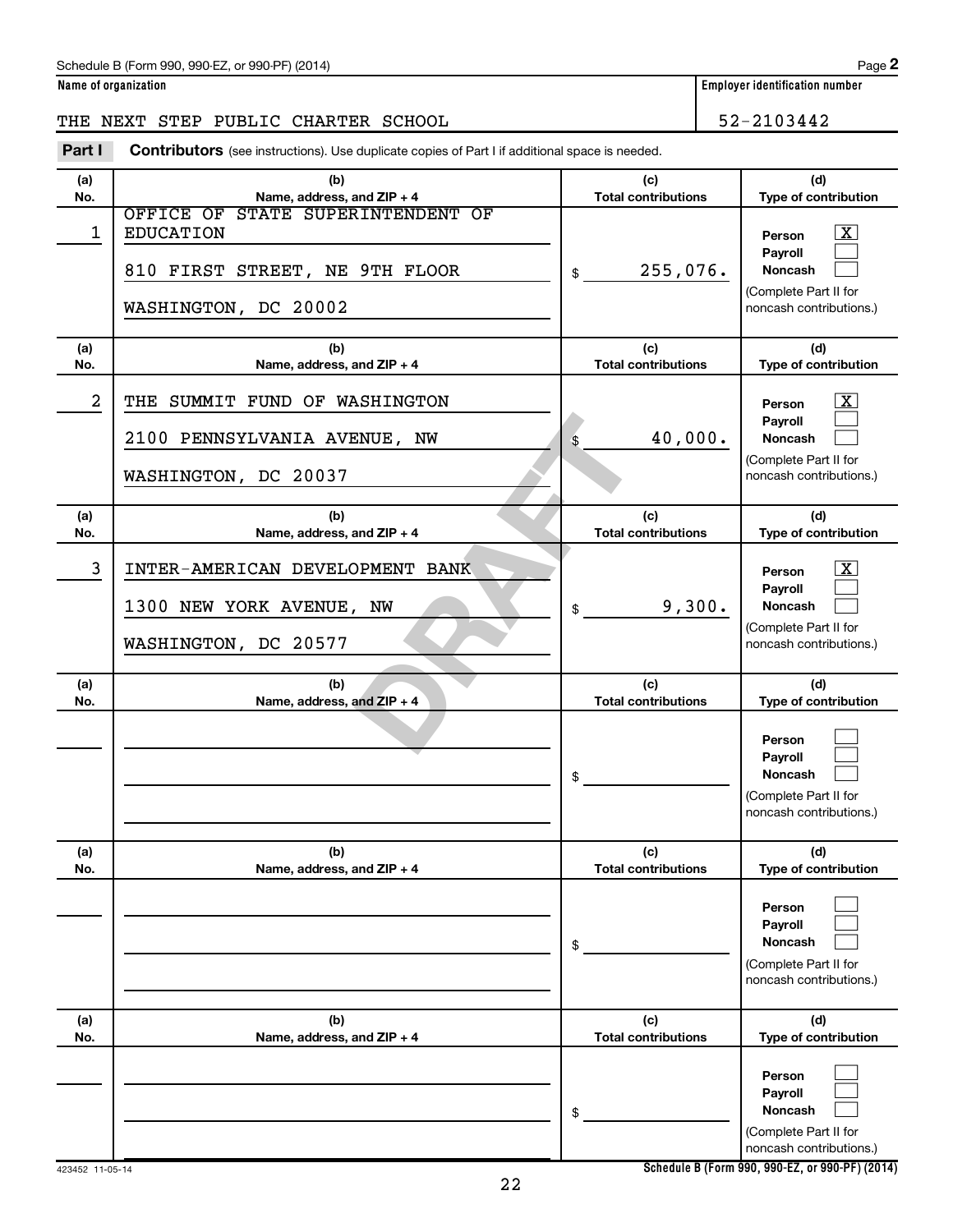#### Schedule B (Form 990, 990-EZ, or 990-PF) (2014)

# THE NEXT STEP PUBLIC CHARTER SCHOOL 52-2103442

**Part I** Contributors (see instructions). Use duplicate copies of Part I if additional space is needed.

| (a)        | (b)                               | (c)                               | (d)                                              |
|------------|-----------------------------------|-----------------------------------|--------------------------------------------------|
| No.        | Name, address, and ZIP + 4        | <b>Total contributions</b>        | Type of contribution                             |
|            | OFFICE OF STATE SUPERINTENDENT OF |                                   |                                                  |
| 1          | <b>EDUCATION</b>                  |                                   | $\overline{\mathbf{x}}$<br>Person                |
|            |                                   |                                   | Payroll                                          |
|            | 810 FIRST STREET, NE 9TH FLOOR    | 255,076.<br>\$                    | <b>Noncash</b>                                   |
|            |                                   |                                   | (Complete Part II for                            |
|            | WASHINGTON, DC 20002              |                                   | noncash contributions.)                          |
|            |                                   |                                   |                                                  |
| (a)        | (b)                               | (c)                               | (d)                                              |
| No.        | Name, address, and ZIP + 4        | <b>Total contributions</b>        | Type of contribution                             |
| 2          | THE SUMMIT FUND OF WASHINGTON     |                                   | x                                                |
|            |                                   |                                   | Person                                           |
|            |                                   | 40,000.                           | Payroll<br>Noncash                               |
|            | 2100 PENNSYLVANIA AVENUE, NW      | \$                                |                                                  |
|            | WASHINGTON, DC 20037              |                                   | (Complete Part II for<br>noncash contributions.) |
|            |                                   |                                   |                                                  |
|            |                                   |                                   |                                                  |
| (a)<br>No. | (b)<br>Name, address, and ZIP + 4 | (c)<br><b>Total contributions</b> | (d)<br>Type of contribution                      |
|            |                                   |                                   |                                                  |
| 3          | INTER-AMERICAN DEVELOPMENT BANK   |                                   | x<br>Person                                      |
|            |                                   |                                   | Payroll                                          |
|            | 1300 NEW YORK AVENUE, NW          | 9,300.<br>\$                      | Noncash                                          |
|            |                                   |                                   | (Complete Part II for                            |
|            | WASHINGTON, DC 20577              |                                   | noncash contributions.)                          |
|            |                                   |                                   |                                                  |
| (a)        | (b)                               | (c)                               | (d)                                              |
| No.        | Name, address, and ZIP + 4        | <b>Total contributions</b>        | Type of contribution                             |
|            |                                   |                                   |                                                  |
|            |                                   |                                   | Person                                           |
|            |                                   |                                   | Payroll                                          |
|            |                                   | \$                                | Noncash                                          |
|            |                                   |                                   | (Complete Part II for                            |
|            |                                   |                                   | noncash contributions.)                          |
|            |                                   |                                   |                                                  |
| (a)        | (b)                               | (c)                               | (d)                                              |
| No.        | Name, address, and ZIP + 4        | <b>Total contributions</b>        | Type of contribution                             |
|            |                                   |                                   |                                                  |
|            |                                   |                                   | Person                                           |
|            |                                   |                                   | Payroll<br>Noncash                               |
|            |                                   | \$                                |                                                  |
|            |                                   |                                   | (Complete Part II for<br>noncash contributions.) |
|            |                                   |                                   |                                                  |
| (a)        | (b)                               | (c)                               | (d)                                              |
| No.        | Name, address, and ZIP + 4        | <b>Total contributions</b>        | Type of contribution                             |
|            |                                   |                                   |                                                  |
|            |                                   |                                   | Person                                           |
|            |                                   |                                   | Payroll                                          |
|            |                                   | \$                                | Noncash                                          |
|            |                                   |                                   | (Complete Part II for                            |
|            |                                   |                                   | noncash contributions.)                          |

**Schedule B (Form 990, 990-EZ, or 990-PF) (2014)**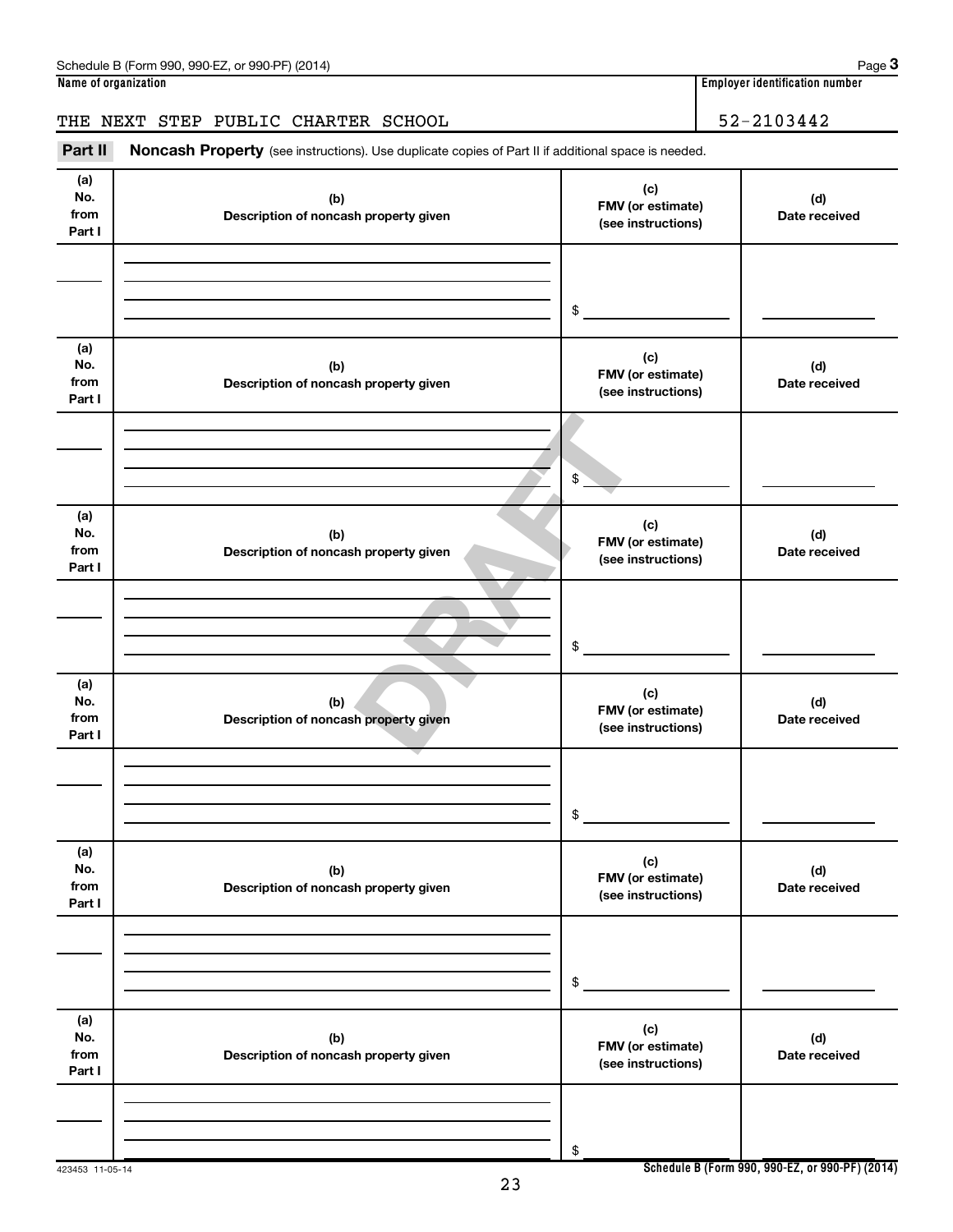# THE NEXT STEP PUBLIC CHARTER SCHOOL 52-2103442

Part II Noncash Property (see instructions). Use duplicate copies of Part II if additional space is needed.

| (a)<br>No.<br>from<br>Part I | (b)<br>Description of noncash property given | (c)<br>FMV (or estimate)<br>(see instructions) | (d)<br>Date received |
|------------------------------|----------------------------------------------|------------------------------------------------|----------------------|
|                              |                                              | \$                                             |                      |
| (a)<br>No.<br>from<br>Part I | (b)<br>Description of noncash property given | (c)<br>FMV (or estimate)<br>(see instructions) | (d)<br>Date received |
|                              |                                              | $\sqrt{2}$                                     |                      |
| (a)<br>No.<br>from<br>Part I | (b)<br>Description of noncash property given | (c)<br>FMV (or estimate)<br>(see instructions) | (d)<br>Date received |
|                              |                                              | $\$$                                           |                      |
| (a)<br>No.<br>from<br>Part I | (b)<br>Description of noncash property given | (c)<br>FMV (or estimate)<br>(see instructions) | (d)<br>Date received |
|                              |                                              | \$                                             |                      |
| (a)<br>No.<br>from<br>Part I | (b)<br>Description of noncash property given | (c)<br>FMV (or estimate)<br>(see instructions) | (d)<br>Date received |
|                              |                                              | $\,$                                           |                      |
| (a)<br>No.<br>from<br>Part I | (b)<br>Description of noncash property given | (c)<br>FMV (or estimate)<br>(see instructions) | (d)<br>Date received |
|                              |                                              | \$                                             |                      |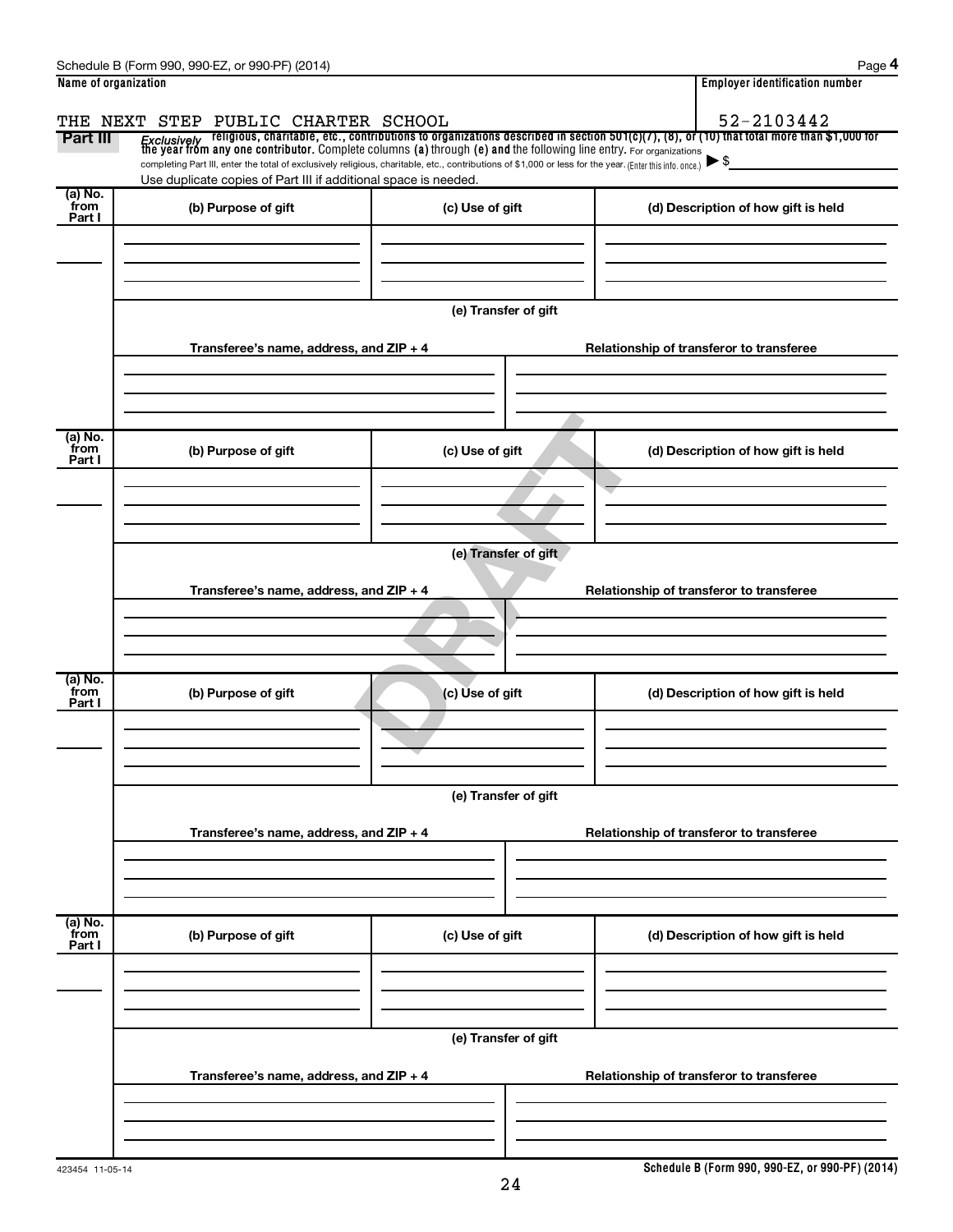| Name of organization      | Schedule B (Form 990, 990-EZ, or 990-PF) (2014)                                                                                                                                                                             |                      | Page 4<br><b>Employer identification number</b>                                                                                                                                                                                                       |
|---------------------------|-----------------------------------------------------------------------------------------------------------------------------------------------------------------------------------------------------------------------------|----------------------|-------------------------------------------------------------------------------------------------------------------------------------------------------------------------------------------------------------------------------------------------------|
| Part III                  | THE NEXT STEP PUBLIC CHARTER SCHOOL                                                                                                                                                                                         |                      | 52-2103442<br><i>Exclusively</i> religious, charitable, etc., contributions to organizations described in section 501(c)(7), (8), or (10) that total more than \$1,000 for<br>the year from any one contributor. Complete columns (a) through (e) and |
|                           | completing Part III, enter the total of exclusively religious, charitable, etc., contributions of \$1,000 or less for the year. (Enter this info. once.)<br>Use duplicate copies of Part III if additional space is needed. |                      |                                                                                                                                                                                                                                                       |
| (a) No.<br>from<br>Part I | (b) Purpose of gift                                                                                                                                                                                                         | (c) Use of gift      | (d) Description of how gift is held                                                                                                                                                                                                                   |
|                           |                                                                                                                                                                                                                             |                      |                                                                                                                                                                                                                                                       |
|                           |                                                                                                                                                                                                                             | (e) Transfer of gift |                                                                                                                                                                                                                                                       |
|                           | Transferee's name, address, and ZIP + 4                                                                                                                                                                                     |                      | Relationship of transferor to transferee                                                                                                                                                                                                              |
| (a) No.<br>from           | (b) Purpose of gift                                                                                                                                                                                                         | (c) Use of gift      | (d) Description of how gift is held                                                                                                                                                                                                                   |
| Part I                    |                                                                                                                                                                                                                             |                      |                                                                                                                                                                                                                                                       |
|                           |                                                                                                                                                                                                                             | (e) Transfer of gift |                                                                                                                                                                                                                                                       |
|                           | Transferee's name, address, and ZIP + 4                                                                                                                                                                                     |                      | Relationship of transferor to transferee                                                                                                                                                                                                              |
| (a) No.                   |                                                                                                                                                                                                                             |                      |                                                                                                                                                                                                                                                       |
| from<br>Part I            | (b) Purpose of gift                                                                                                                                                                                                         | (c) Use of gift      | (d) Description of how gift is held                                                                                                                                                                                                                   |
|                           |                                                                                                                                                                                                                             | (e) Transfer of gift |                                                                                                                                                                                                                                                       |
|                           | Transferee's name, address, and ZIP + 4                                                                                                                                                                                     |                      | Relationship of transferor to transferee                                                                                                                                                                                                              |
|                           |                                                                                                                                                                                                                             |                      |                                                                                                                                                                                                                                                       |
| (a) No.<br>from<br>Part I | (b) Purpose of gift                                                                                                                                                                                                         | (c) Use of gift      | (d) Description of how gift is held                                                                                                                                                                                                                   |
|                           |                                                                                                                                                                                                                             |                      |                                                                                                                                                                                                                                                       |
|                           |                                                                                                                                                                                                                             | (e) Transfer of gift |                                                                                                                                                                                                                                                       |
|                           | Transferee's name, address, and ZIP + 4                                                                                                                                                                                     |                      | Relationship of transferor to transferee                                                                                                                                                                                                              |
|                           |                                                                                                                                                                                                                             |                      |                                                                                                                                                                                                                                                       |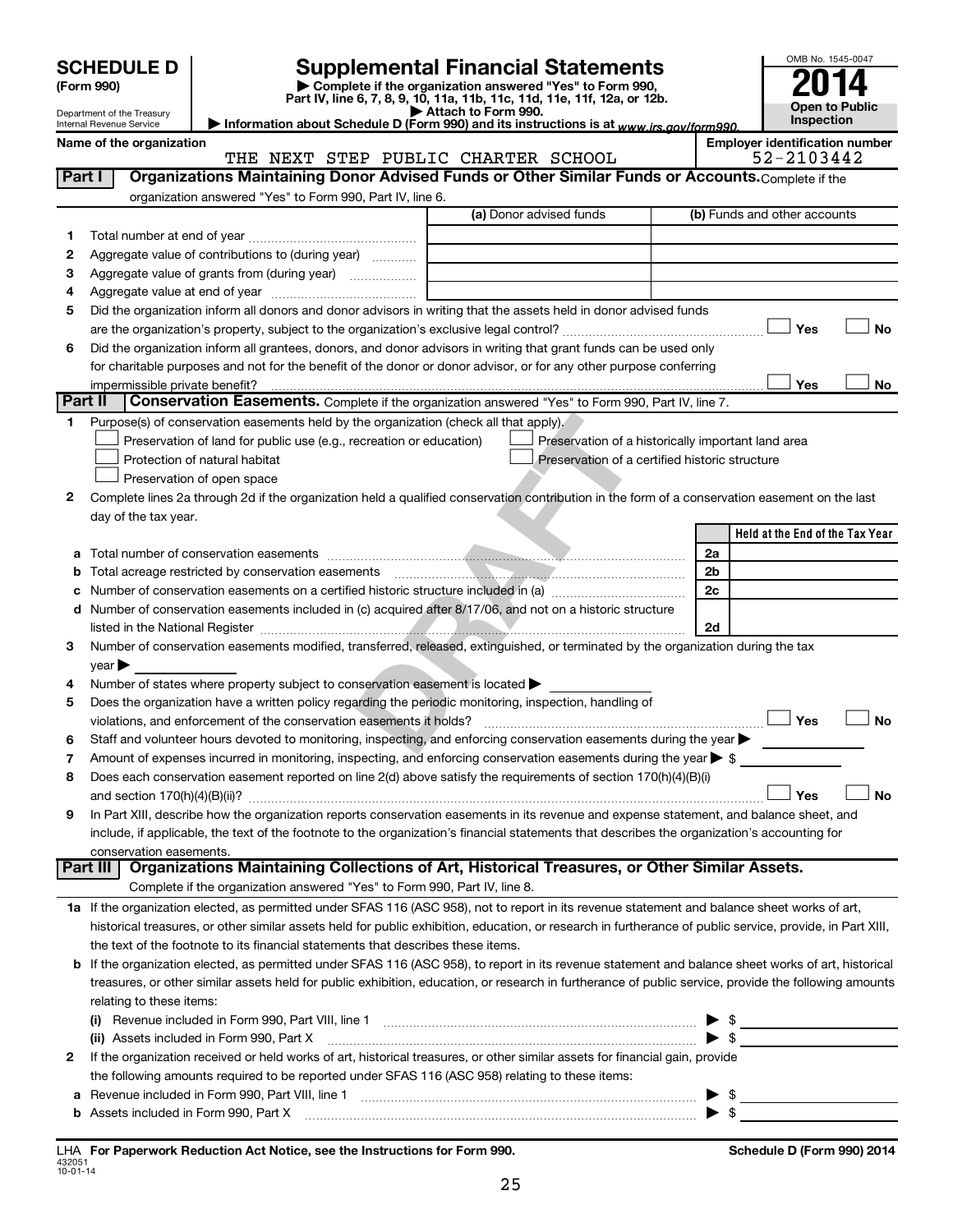|         |                                                        |                                                                                                                                                            |                                                                                                                                      |  |    | OMB No. 1545-0047                     |
|---------|--------------------------------------------------------|------------------------------------------------------------------------------------------------------------------------------------------------------------|--------------------------------------------------------------------------------------------------------------------------------------|--|----|---------------------------------------|
|         | <b>SCHEDULE D</b>                                      |                                                                                                                                                            | <b>Supplemental Financial Statements</b>                                                                                             |  |    |                                       |
|         | (Form 990)                                             |                                                                                                                                                            | Complete if the organization answered "Yes" to Form 990,<br>Part IV, line 6, 7, 8, 9, 10, 11a, 11b, 11c, 11d, 11e, 11f, 12a, or 12b. |  |    |                                       |
|         | Department of the Treasury<br>Internal Revenue Service |                                                                                                                                                            | <b>Open to Public</b><br>Inspection                                                                                                  |  |    |                                       |
|         | Name of the organization                               |                                                                                                                                                            | Information about Schedule D (Form 990) and its instructions is at www.irs.gov/form990.                                              |  |    | <b>Employer identification number</b> |
|         |                                                        | THE NEXT STEP PUBLIC CHARTER SCHOOL                                                                                                                        |                                                                                                                                      |  |    | 52-2103442                            |
| Part I  |                                                        | Organizations Maintaining Donor Advised Funds or Other Similar Funds or Accounts. Complete if the                                                          |                                                                                                                                      |  |    |                                       |
|         |                                                        | organization answered "Yes" to Form 990, Part IV, line 6.                                                                                                  |                                                                                                                                      |  |    |                                       |
|         |                                                        |                                                                                                                                                            | (a) Donor advised funds                                                                                                              |  |    | (b) Funds and other accounts          |
| 1       |                                                        |                                                                                                                                                            |                                                                                                                                      |  |    |                                       |
| 2       |                                                        | Aggregate value of contributions to (during year)                                                                                                          |                                                                                                                                      |  |    |                                       |
| З       |                                                        |                                                                                                                                                            |                                                                                                                                      |  |    |                                       |
| 4       |                                                        |                                                                                                                                                            |                                                                                                                                      |  |    |                                       |
| 5       |                                                        | Did the organization inform all donors and donor advisors in writing that the assets held in donor advised funds                                           |                                                                                                                                      |  |    | Yes<br><b>No</b>                      |
| 6       |                                                        | Did the organization inform all grantees, donors, and donor advisors in writing that grant funds can be used only                                          |                                                                                                                                      |  |    |                                       |
|         |                                                        | for charitable purposes and not for the benefit of the donor or donor advisor, or for any other purpose conferring                                         |                                                                                                                                      |  |    |                                       |
|         | impermissible private benefit?                         |                                                                                                                                                            |                                                                                                                                      |  |    | Yes<br>No                             |
| Part II |                                                        | Conservation Easements. Complete if the organization answered "Yes" to Form 990, Part IV, line 7.                                                          |                                                                                                                                      |  |    |                                       |
| 1.      |                                                        | Purpose(s) of conservation easements held by the organization (check all that apply).                                                                      |                                                                                                                                      |  |    |                                       |
|         |                                                        | Preservation of land for public use (e.g., recreation or education)                                                                                        | Preservation of a historically important land area                                                                                   |  |    |                                       |
|         |                                                        | Protection of natural habitat                                                                                                                              | Preservation of a certified historic structure                                                                                       |  |    |                                       |
|         |                                                        | Preservation of open space                                                                                                                                 |                                                                                                                                      |  |    |                                       |
| 2       |                                                        | Complete lines 2a through 2d if the organization held a qualified conservation contribution in the form of a conservation easement on the last             |                                                                                                                                      |  |    |                                       |
|         | day of the tax year.                                   |                                                                                                                                                            |                                                                                                                                      |  |    |                                       |
|         |                                                        |                                                                                                                                                            |                                                                                                                                      |  |    | Held at the End of the Tax Year       |
|         |                                                        |                                                                                                                                                            |                                                                                                                                      |  | 2a |                                       |
|         |                                                        |                                                                                                                                                            |                                                                                                                                      |  | 2b |                                       |
|         |                                                        |                                                                                                                                                            |                                                                                                                                      |  | 2c |                                       |
| d       |                                                        | Number of conservation easements included in (c) acquired after 8/17/06, and not on a historic structure                                                   |                                                                                                                                      |  | 2d |                                       |
| З       |                                                        | Number of conservation easements modified, transferred, released, extinguished, or terminated by the organization during the tax                           |                                                                                                                                      |  |    |                                       |
|         | $year \blacktriangleright$                             |                                                                                                                                                            |                                                                                                                                      |  |    |                                       |
| 4       |                                                        | Number of states where property subject to conservation easement is located                                                                                |                                                                                                                                      |  |    |                                       |
| 5       |                                                        | Does the organization have a written policy regarding the periodic monitoring, inspection, handling of                                                     |                                                                                                                                      |  |    |                                       |
|         |                                                        | violations, and enforcement of the conservation easements it holds?                                                                                        |                                                                                                                                      |  |    | Yes<br>No                             |
| 6       |                                                        | Staff and volunteer hours devoted to monitoring, inspecting, and enforcing conservation easements during the year                                          |                                                                                                                                      |  |    |                                       |
| 7       |                                                        | Amount of expenses incurred in monitoring, inspecting, and enforcing conservation easements during the year $\triangleright$ \$                            |                                                                                                                                      |  |    |                                       |
| 8       |                                                        | Does each conservation easement reported on line 2(d) above satisfy the requirements of section 170(h)(4)(B)(i)                                            |                                                                                                                                      |  |    |                                       |
|         |                                                        |                                                                                                                                                            |                                                                                                                                      |  |    | Yes<br>No                             |
| 9       |                                                        | In Part XIII, describe how the organization reports conservation easements in its revenue and expense statement, and balance sheet, and                    |                                                                                                                                      |  |    |                                       |
|         |                                                        | include, if applicable, the text of the footnote to the organization's financial statements that describes the organization's accounting for               |                                                                                                                                      |  |    |                                       |
|         | conservation easements.<br>  Part III                  | Organizations Maintaining Collections of Art, Historical Treasures, or Other Similar Assets.                                                               |                                                                                                                                      |  |    |                                       |
|         |                                                        | Complete if the organization answered "Yes" to Form 990, Part IV, line 8.                                                                                  |                                                                                                                                      |  |    |                                       |
|         |                                                        | 1a If the organization elected, as permitted under SFAS 116 (ASC 958), not to report in its revenue statement and balance sheet works of art,              |                                                                                                                                      |  |    |                                       |
|         |                                                        | historical treasures, or other similar assets held for public exhibition, education, or research in furtherance of public service, provide, in Part XIII,  |                                                                                                                                      |  |    |                                       |
|         |                                                        | the text of the footnote to its financial statements that describes these items.                                                                           |                                                                                                                                      |  |    |                                       |
|         |                                                        | <b>b</b> If the organization elected, as permitted under SFAS 116 (ASC 958), to report in its revenue statement and balance sheet works of art, historical |                                                                                                                                      |  |    |                                       |
|         |                                                        | treasures, or other similar assets held for public exhibition, education, or research in furtherance of public service, provide the following amounts      |                                                                                                                                      |  |    |                                       |
|         | relating to these items:                               |                                                                                                                                                            |                                                                                                                                      |  |    |                                       |
|         |                                                        | (i) Revenue included in Form 990, Part VIII, line 1 [2000] [2010] Contract the included in Form 990, Part VIII, line 1                                     |                                                                                                                                      |  | \$ |                                       |
|         |                                                        | (ii) Assets included in Form 990, Part X                                                                                                                   |                                                                                                                                      |  | \$ |                                       |
| 2       |                                                        | If the organization received or held works of art, historical treasures, or other similar assets for financial gain, provide                               |                                                                                                                                      |  |    |                                       |
|         |                                                        | the following amounts required to be reported under SFAS 116 (ASC 958) relating to these items:                                                            |                                                                                                                                      |  |    |                                       |
|         |                                                        | a Revenue included in Form 990, Part VIII, line 1                                                                                                          |                                                                                                                                      |  | \$ |                                       |

| \ssets included in Form 990. Part X | $\sim$ $\sim$ $\sim$ |  |
|-------------------------------------|----------------------|--|
|                                     |                      |  |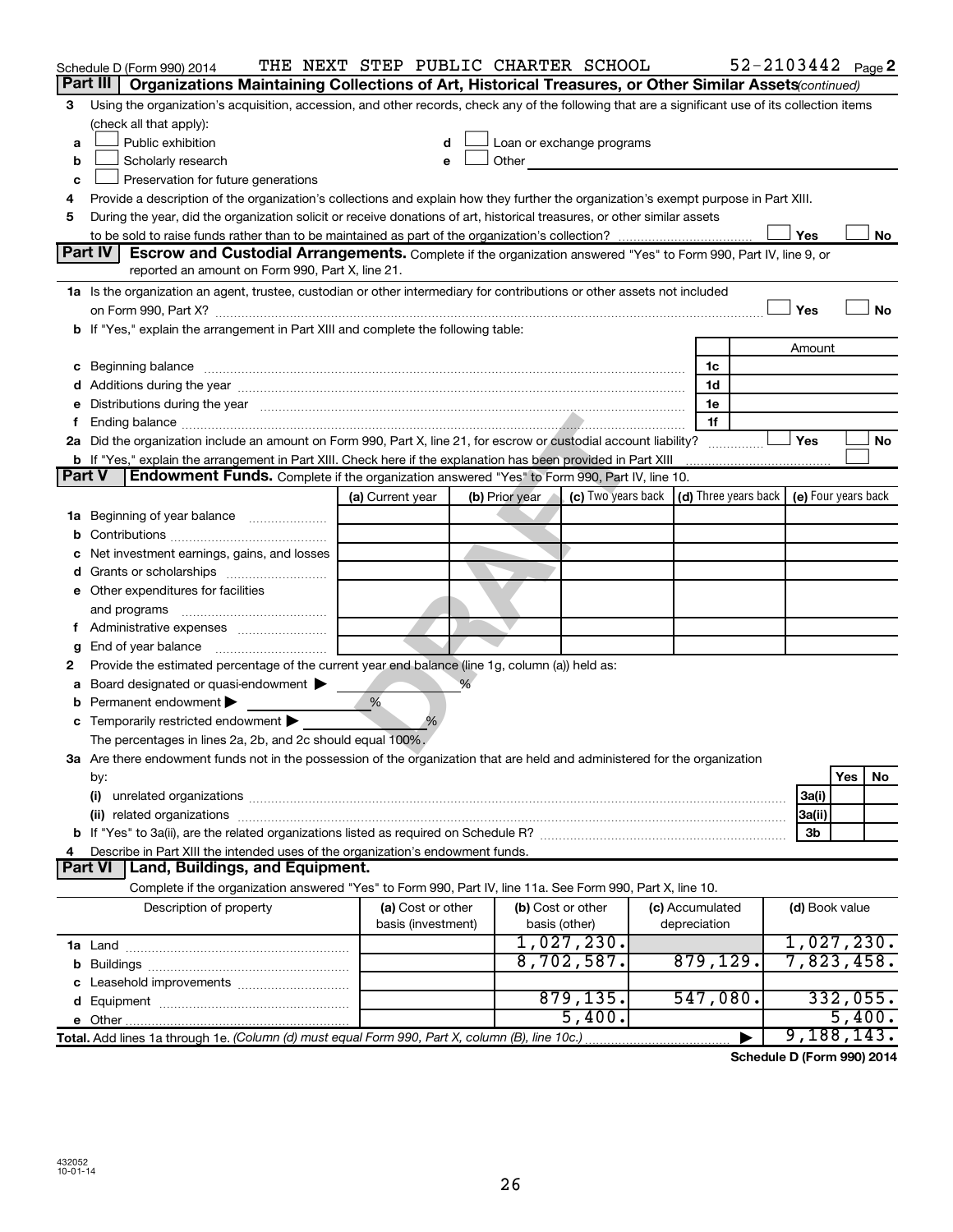|               | Schedule D (Form 990) 2014                                                                                                                                                                                                     |                  |                    | THE NEXT STEP PUBLIC CHARTER SCHOOL |                                                         |                 |                | $52 - 2103442$ Page 2 |
|---------------|--------------------------------------------------------------------------------------------------------------------------------------------------------------------------------------------------------------------------------|------------------|--------------------|-------------------------------------|---------------------------------------------------------|-----------------|----------------|-----------------------|
|               | Part III<br>Organizations Maintaining Collections of Art, Historical Treasures, or Other Similar Assets (continued)                                                                                                            |                  |                    |                                     |                                                         |                 |                |                       |
| 3             | Using the organization's acquisition, accession, and other records, check any of the following that are a significant use of its collection items                                                                              |                  |                    |                                     |                                                         |                 |                |                       |
|               | (check all that apply):                                                                                                                                                                                                        |                  |                    |                                     |                                                         |                 |                |                       |
| a             | Public exhibition                                                                                                                                                                                                              |                  | d                  |                                     | Loan or exchange programs                               |                 |                |                       |
| b             | Scholarly research                                                                                                                                                                                                             |                  | e                  | Other                               |                                                         |                 |                |                       |
| c             | Preservation for future generations                                                                                                                                                                                            |                  |                    |                                     |                                                         |                 |                |                       |
| 4             | Provide a description of the organization's collections and explain how they further the organization's exempt purpose in Part XIII.                                                                                           |                  |                    |                                     |                                                         |                 |                |                       |
| 5             | During the year, did the organization solicit or receive donations of art, historical treasures, or other similar assets                                                                                                       |                  |                    |                                     |                                                         |                 |                |                       |
|               |                                                                                                                                                                                                                                |                  |                    |                                     |                                                         |                 | Yes            | No                    |
|               | <b>Part IV</b><br>Escrow and Custodial Arrangements. Complete if the organization answered "Yes" to Form 990, Part IV, line 9, or                                                                                              |                  |                    |                                     |                                                         |                 |                |                       |
|               | reported an amount on Form 990, Part X, line 21.                                                                                                                                                                               |                  |                    |                                     |                                                         |                 |                |                       |
|               | 1a Is the organization an agent, trustee, custodian or other intermediary for contributions or other assets not included                                                                                                       |                  |                    |                                     |                                                         |                 |                |                       |
|               |                                                                                                                                                                                                                                |                  |                    |                                     |                                                         |                 | Yes            | <b>No</b>             |
|               | If "Yes," explain the arrangement in Part XIII and complete the following table:                                                                                                                                               |                  |                    |                                     |                                                         |                 |                |                       |
|               |                                                                                                                                                                                                                                |                  |                    |                                     |                                                         |                 | Amount         |                       |
| c             | Beginning balance                                                                                                                                                                                                              |                  |                    |                                     |                                                         | 1c              |                |                       |
|               | Additions during the year manufactured and an account of the state of the state of the state of the state of the state of the state of the state of the state of the state of the state of the state of the state of the state |                  |                    |                                     |                                                         | 1d              |                |                       |
| е             | Distributions during the year manufactured and an account of the year manufactured and the year manufactured and the year manufactured and the year manufactured and the year manufactured and the year manufactured and the y |                  |                    |                                     |                                                         | 1e              |                |                       |
|               |                                                                                                                                                                                                                                |                  |                    |                                     |                                                         | 1f              |                |                       |
|               | 2a Did the organization include an amount on Form 990, Part X, line 21, for escrow or custodial account liability?                                                                                                             |                  |                    |                                     |                                                         |                 | Yes            | No                    |
| <b>Part V</b> | <b>b</b> If "Yes," explain the arrangement in Part XIII. Check here if the explanation has been provided in Part XIII<br>Endowment Funds. Complete if the organization answered "Yes" to Form 990, Part IV, line 10.           |                  |                    |                                     |                                                         |                 |                |                       |
|               |                                                                                                                                                                                                                                | (a) Current year |                    | (b) Prior year                      | (c) Two years back $\vert$ (d) Three years back $\vert$ |                 |                | (e) Four years back   |
|               |                                                                                                                                                                                                                                |                  |                    |                                     |                                                         |                 |                |                       |
| 1a            | Beginning of year balance                                                                                                                                                                                                      |                  |                    |                                     |                                                         |                 |                |                       |
|               | Net investment earnings, gains, and losses                                                                                                                                                                                     |                  |                    |                                     |                                                         |                 |                |                       |
|               | Grants or scholarships                                                                                                                                                                                                         |                  |                    |                                     |                                                         |                 |                |                       |
|               | Other expenditures for facilities                                                                                                                                                                                              |                  |                    |                                     |                                                         |                 |                |                       |
| е             | and programs                                                                                                                                                                                                                   |                  |                    |                                     |                                                         |                 |                |                       |
|               |                                                                                                                                                                                                                                |                  |                    |                                     |                                                         |                 |                |                       |
|               | End of year balance                                                                                                                                                                                                            |                  |                    |                                     |                                                         |                 |                |                       |
| 2             | Provide the estimated percentage of the current year end balance (line 1g, column (a)) held as:                                                                                                                                |                  |                    |                                     |                                                         |                 |                |                       |
|               | Board designated or quasi-endowment                                                                                                                                                                                            |                  |                    |                                     |                                                         |                 |                |                       |
|               | Permanent endowment                                                                                                                                                                                                            | %                |                    |                                     |                                                         |                 |                |                       |
| с             | Temporarily restricted endowment                                                                                                                                                                                               |                  |                    |                                     |                                                         |                 |                |                       |
|               | The percentages in lines 2a, 2b, and 2c should equal 100%.                                                                                                                                                                     |                  |                    |                                     |                                                         |                 |                |                       |
|               | 3a Are there endowment funds not in the possession of the organization that are held and administered for the organization                                                                                                     |                  |                    |                                     |                                                         |                 |                |                       |
|               | by:                                                                                                                                                                                                                            |                  |                    |                                     |                                                         |                 |                | Yes<br>No             |
|               | (i)                                                                                                                                                                                                                            |                  |                    |                                     |                                                         |                 | 3a(i)          |                       |
|               | (ii) related organizations                                                                                                                                                                                                     |                  |                    |                                     |                                                         |                 | 3a(ii)         |                       |
|               |                                                                                                                                                                                                                                |                  |                    |                                     |                                                         |                 | 3b             |                       |
|               | Describe in Part XIII the intended uses of the organization's endowment funds.                                                                                                                                                 |                  |                    |                                     |                                                         |                 |                |                       |
|               | Land, Buildings, and Equipment.<br><b>Part VI</b>                                                                                                                                                                              |                  |                    |                                     |                                                         |                 |                |                       |
|               | Complete if the organization answered "Yes" to Form 990, Part IV, line 11a. See Form 990, Part X, line 10.                                                                                                                     |                  |                    |                                     |                                                         |                 |                |                       |
|               | Description of property                                                                                                                                                                                                        |                  | (a) Cost or other  |                                     | (b) Cost or other                                       | (c) Accumulated | (d) Book value |                       |
|               |                                                                                                                                                                                                                                |                  | basis (investment) |                                     | basis (other)                                           | depreciation    |                |                       |
|               |                                                                                                                                                                                                                                |                  |                    |                                     | 1,027,230.                                              |                 |                | 1,027,230.            |
| b             |                                                                                                                                                                                                                                |                  |                    |                                     | 8,702,587.                                              | 879, 129.       |                | 7,823,458.            |
|               |                                                                                                                                                                                                                                |                  |                    |                                     |                                                         |                 |                |                       |
|               |                                                                                                                                                                                                                                |                  |                    |                                     | 879, 135.                                               | 547,080.        |                | 332,055.              |
|               | e Other.                                                                                                                                                                                                                       |                  |                    |                                     | 5,400.                                                  |                 |                | 5,400.                |
|               | Total. Add lines 1a through 1e. (Column (d) must equal Form 990, Part X, column (B), line 10c.)                                                                                                                                |                  |                    |                                     |                                                         |                 |                | 9,188,143.            |

**Schedule D (Form 990) 2014**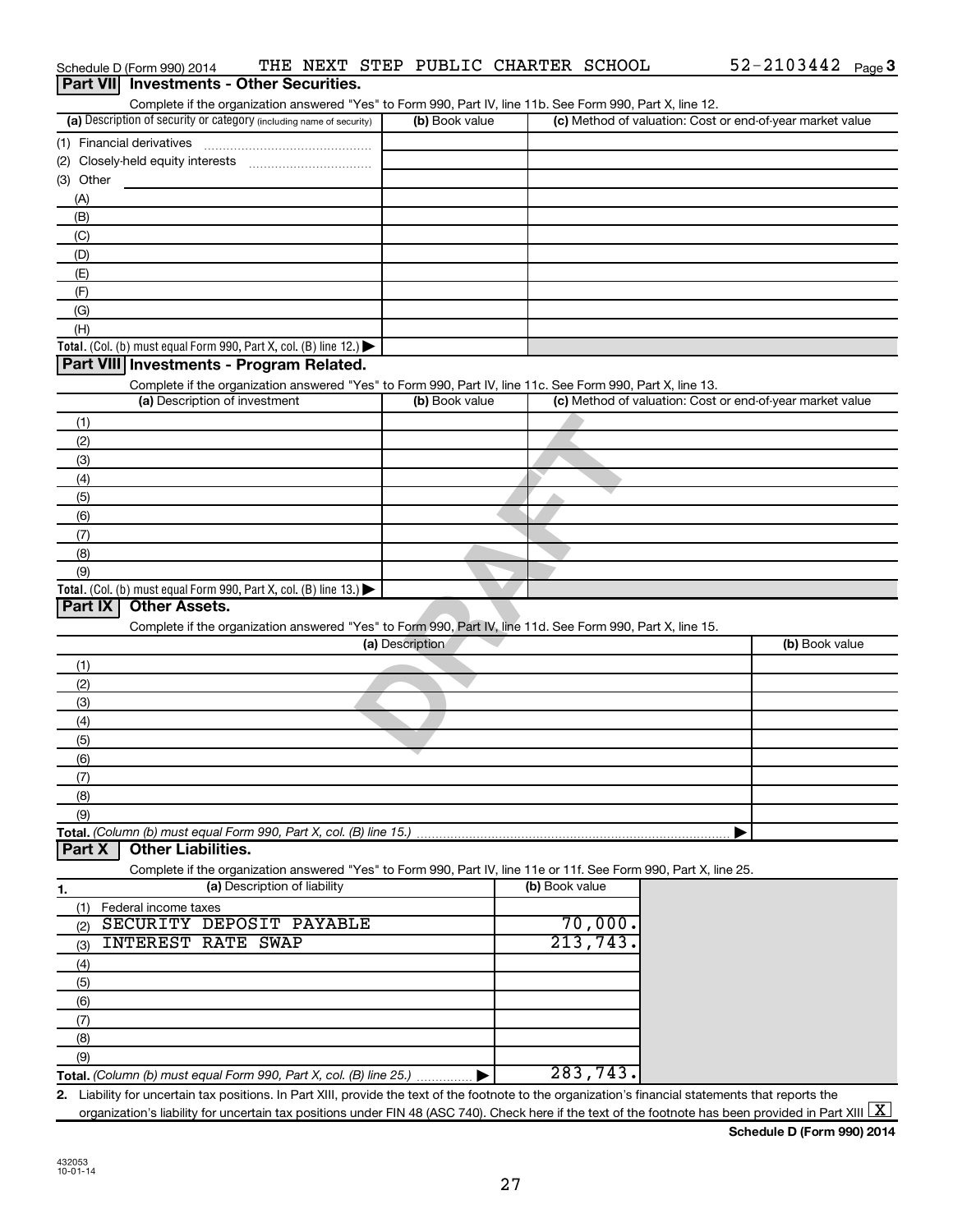|                  | Schedule D (Form 990) 2014                                                                                                                           |                              |                 | THE NEXT STEP PUBLIC CHARTER SCHOOL |                |           | $52 - 2103442$ Page 3                                     |  |
|------------------|------------------------------------------------------------------------------------------------------------------------------------------------------|------------------------------|-----------------|-------------------------------------|----------------|-----------|-----------------------------------------------------------|--|
| <b>Part VIII</b> | <b>Investments - Other Securities.</b>                                                                                                               |                              |                 |                                     |                |           |                                                           |  |
|                  | Complete if the organization answered "Yes" to Form 990, Part IV, line 11b. See Form 990, Part X, line 12.                                           |                              |                 |                                     |                |           |                                                           |  |
|                  | (a) Description of security or category (including name of security)                                                                                 |                              |                 | (b) Book value                      |                |           | (c) Method of valuation: Cost or end-of-year market value |  |
|                  |                                                                                                                                                      |                              |                 |                                     |                |           |                                                           |  |
|                  |                                                                                                                                                      |                              |                 |                                     |                |           |                                                           |  |
| (3) Other        |                                                                                                                                                      |                              |                 |                                     |                |           |                                                           |  |
| (A)              |                                                                                                                                                      |                              |                 |                                     |                |           |                                                           |  |
| (B)              |                                                                                                                                                      |                              |                 |                                     |                |           |                                                           |  |
| (C)              |                                                                                                                                                      |                              |                 |                                     |                |           |                                                           |  |
| (D)              |                                                                                                                                                      |                              |                 |                                     |                |           |                                                           |  |
| (E)              |                                                                                                                                                      |                              |                 |                                     |                |           |                                                           |  |
| (F)              |                                                                                                                                                      |                              |                 |                                     |                |           |                                                           |  |
| (G)              |                                                                                                                                                      |                              |                 |                                     |                |           |                                                           |  |
| (H)              |                                                                                                                                                      |                              |                 |                                     |                |           |                                                           |  |
|                  | Total. (Col. (b) must equal Form 990, Part X, col. (B) line 12.) $\blacktriangleright$                                                               |                              |                 |                                     |                |           |                                                           |  |
|                  | Part VIII Investments - Program Related.                                                                                                             |                              |                 |                                     |                |           |                                                           |  |
|                  | Complete if the organization answered "Yes" to Form 990, Part IV, line 11c. See Form 990, Part X, line 13.                                           |                              |                 |                                     |                |           |                                                           |  |
|                  | (a) Description of investment                                                                                                                        |                              |                 | (b) Book value                      |                |           | (c) Method of valuation: Cost or end-of-year market value |  |
| (1)              |                                                                                                                                                      |                              |                 |                                     |                |           |                                                           |  |
| (2)              |                                                                                                                                                      |                              |                 |                                     |                |           |                                                           |  |
| (3)              |                                                                                                                                                      |                              |                 |                                     |                |           |                                                           |  |
| (4)              |                                                                                                                                                      |                              |                 |                                     |                |           |                                                           |  |
| (5)              |                                                                                                                                                      |                              |                 |                                     |                |           |                                                           |  |
| (6)              |                                                                                                                                                      |                              |                 |                                     |                |           |                                                           |  |
| (7)              |                                                                                                                                                      |                              |                 |                                     |                |           |                                                           |  |
| (8)              |                                                                                                                                                      |                              |                 |                                     |                |           |                                                           |  |
| (9)              |                                                                                                                                                      |                              |                 |                                     |                |           |                                                           |  |
|                  | Total. (Col. (b) must equal Form 990, Part X, col. (B) line 13.)                                                                                     |                              |                 |                                     |                |           |                                                           |  |
| Part IX          | <b>Other Assets.</b>                                                                                                                                 |                              |                 |                                     |                |           |                                                           |  |
|                  | Complete if the organization answered "Yes" to Form 990, Part IV, line 11d. See Form 990, Part X, line 15.                                           |                              |                 |                                     |                |           |                                                           |  |
|                  |                                                                                                                                                      |                              | (a) Description |                                     |                |           | (b) Book value                                            |  |
| (1)              |                                                                                                                                                      |                              |                 |                                     |                |           |                                                           |  |
| (2)              |                                                                                                                                                      |                              |                 |                                     |                |           |                                                           |  |
| (3)              |                                                                                                                                                      |                              |                 |                                     |                |           |                                                           |  |
| (4)              |                                                                                                                                                      |                              |                 |                                     |                |           |                                                           |  |
| (5)              |                                                                                                                                                      |                              |                 |                                     |                |           |                                                           |  |
| (6)              |                                                                                                                                                      |                              |                 |                                     |                |           |                                                           |  |
| (7)              |                                                                                                                                                      |                              |                 |                                     |                |           |                                                           |  |
| (8)              |                                                                                                                                                      |                              |                 |                                     |                |           |                                                           |  |
|                  |                                                                                                                                                      |                              |                 |                                     |                |           |                                                           |  |
| (9)              |                                                                                                                                                      |                              |                 |                                     |                |           |                                                           |  |
| Part X           | Total. (Column (b) must equal Form 990, Part X, col. (B) line 15.)<br><b>Other Liabilities.</b>                                                      |                              |                 |                                     |                |           |                                                           |  |
|                  | Complete if the organization answered "Yes" to Form 990, Part IV, line 11e or 11f. See Form 990, Part X, line 25.                                    |                              |                 |                                     |                |           |                                                           |  |
|                  |                                                                                                                                                      | (a) Description of liability |                 |                                     | (b) Book value |           |                                                           |  |
| 1.               |                                                                                                                                                      |                              |                 |                                     |                |           |                                                           |  |
| (1)              | Federal income taxes<br>SECURITY DEPOSIT PAYABLE                                                                                                     |                              |                 |                                     |                | 70,000.   |                                                           |  |
| (2)              | <b>INTEREST RATE SWAP</b>                                                                                                                            |                              |                 |                                     |                | 213, 743. |                                                           |  |
| (3)              |                                                                                                                                                      |                              |                 |                                     |                |           |                                                           |  |
| (4)              |                                                                                                                                                      |                              |                 |                                     |                |           |                                                           |  |
| (5)              |                                                                                                                                                      |                              |                 |                                     |                |           |                                                           |  |
| (6)              |                                                                                                                                                      |                              |                 |                                     |                |           |                                                           |  |
| (7)              |                                                                                                                                                      |                              |                 |                                     |                |           |                                                           |  |
| (8)              |                                                                                                                                                      |                              |                 |                                     |                |           |                                                           |  |
| (9)              |                                                                                                                                                      |                              |                 |                                     |                |           |                                                           |  |
|                  | Total. (Column (b) must equal Form 990, Part X, col. (B) line 25.).                                                                                  |                              |                 |                                     |                | 283, 743. |                                                           |  |
|                  | 2. Liability for uncertain tax positions. In Part XIII, provide the text of the footnote to the organization's financial statements that reports the |                              |                 |                                     |                |           |                                                           |  |

organization's liability for uncertain tax positions under FIN 48 (ASC 740). Check here if the text of the footnote has been provided in Part XIII  $\boxed{\text{X}}$ 

52-2103442 Page 3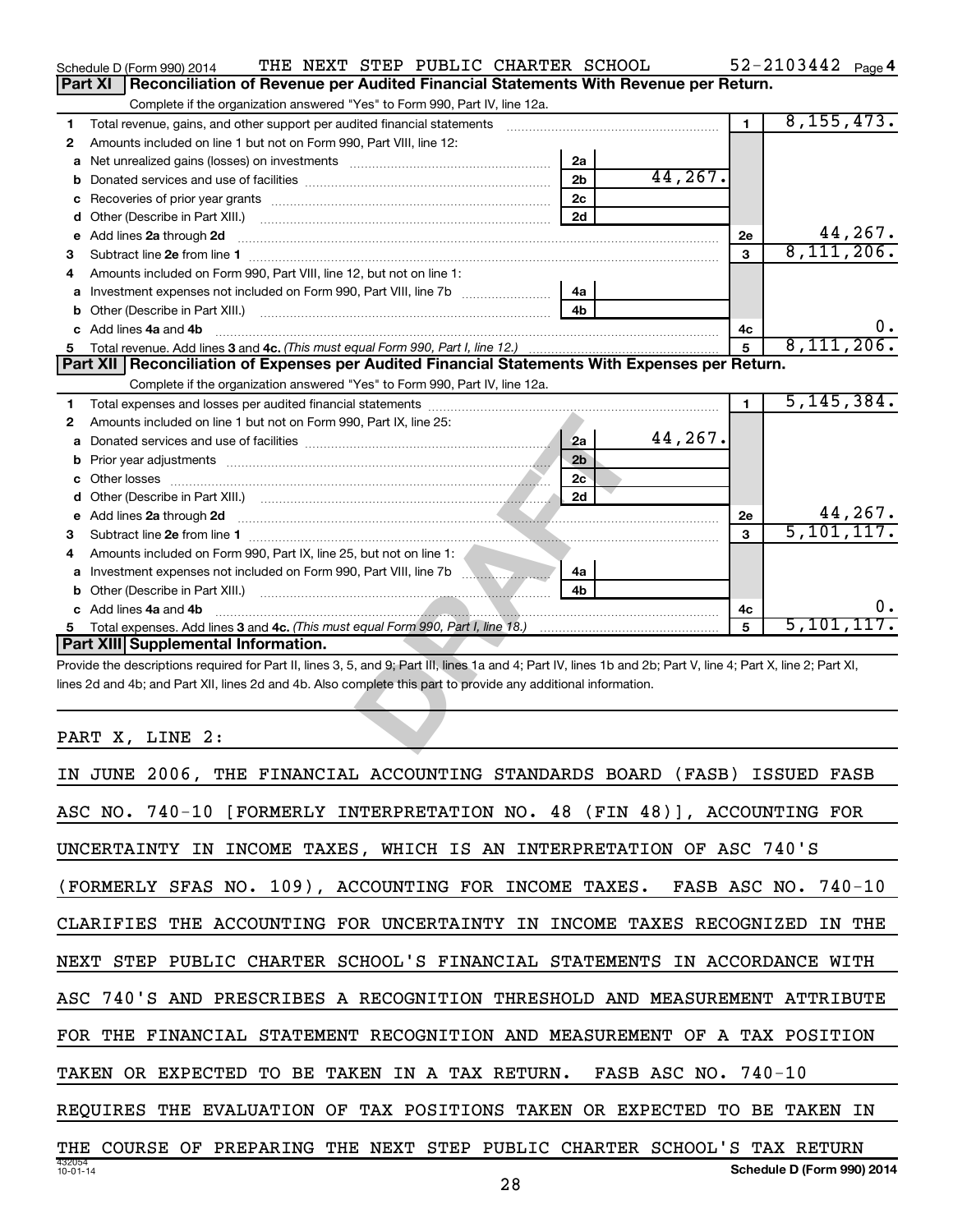|   | THE NEXT STEP PUBLIC CHARTER SCHOOL<br>Schedule D (Form 990) 2014                                                                                                                                                                   |          |                | $52 - 2103442$ Page 4 |
|---|-------------------------------------------------------------------------------------------------------------------------------------------------------------------------------------------------------------------------------------|----------|----------------|-----------------------|
|   | <b>Part XI</b><br>Reconciliation of Revenue per Audited Financial Statements With Revenue per Return.                                                                                                                               |          |                |                       |
|   | Complete if the organization answered "Yes" to Form 990, Part IV, line 12a.                                                                                                                                                         |          |                |                       |
| 1 | Total revenue, gains, and other support per audited financial statements [[[[[[[[[[[[[[[[[[[[[[[[]]]]]]]]]]]]                                                                                                                       |          | $\blacksquare$ | 8, 155, 473.          |
| 2 | Amounts included on line 1 but not on Form 990, Part VIII, line 12:                                                                                                                                                                 |          |                |                       |
| a | 2a                                                                                                                                                                                                                                  |          |                |                       |
| b | 2 <sub>b</sub>                                                                                                                                                                                                                      | 44, 267. |                |                       |
| с | 2 <sub>c</sub>                                                                                                                                                                                                                      |          |                |                       |
| d | 2d                                                                                                                                                                                                                                  |          |                |                       |
| е | Add lines 2a through 2d                                                                                                                                                                                                             |          | 2е             | 44,267.               |
| З |                                                                                                                                                                                                                                     |          | 3              | 8,111,206.            |
| 4 | Amounts included on Form 990, Part VIII, line 12, but not on line 1:                                                                                                                                                                |          |                |                       |
| a | 4a                                                                                                                                                                                                                                  |          |                |                       |
| b | 4 <sub>h</sub>                                                                                                                                                                                                                      |          |                |                       |
|   | Add lines 4a and 4b                                                                                                                                                                                                                 |          | 4с             | 0.                    |
|   |                                                                                                                                                                                                                                     |          | 5              | 8,111,206.            |
|   | Part XII Reconciliation of Expenses per Audited Financial Statements With Expenses per Return.                                                                                                                                      |          |                |                       |
|   | Complete if the organization answered "Yes" to Form 990, Part IV, line 12a.                                                                                                                                                         |          |                |                       |
| 1 |                                                                                                                                                                                                                                     |          | $\blacksquare$ | 5, 145, 384.          |
| 2 | Amounts included on line 1 but not on Form 990, Part IX, line 25:                                                                                                                                                                   |          |                |                       |
| а | 2a                                                                                                                                                                                                                                  | 44,267.  |                |                       |
| b | 2 <sub>b</sub>                                                                                                                                                                                                                      |          |                |                       |
|   | 2c                                                                                                                                                                                                                                  |          |                |                       |
|   | 2d                                                                                                                                                                                                                                  |          |                |                       |
| е | Add lines 2a through 2d <b>must be a constructed as the construction of the construction</b> of the state of the state of the state of the state of the state of the state of the state of the state of the state of the state of t |          | 2e             | 44,267.               |
| 3 |                                                                                                                                                                                                                                     |          | $\mathbf{a}$   | 5, 101, 117.          |
|   | Amounts included on Form 990, Part IX, line 25, but not on line 1:                                                                                                                                                                  |          |                |                       |
| a | Investment expenses not included on Form 990, Part VIII, line 7b<br>4a                                                                                                                                                              |          |                |                       |
| b | 4b                                                                                                                                                                                                                                  |          |                |                       |
|   | c Add lines 4a and 4b                                                                                                                                                                                                               |          | 4с             | 0.                    |
| 5 |                                                                                                                                                                                                                                     |          | 5              | 5,101,117.            |
|   | Part XIII Supplemental Information.                                                                                                                                                                                                 |          |                |                       |
|   | Provide the descriptions required for Part II, lines 3, 5, and 9; Part III, lines 1a and 4; Part IV, lines 1b and 2b; Part V, line 4; Part X, line 2; Part XI,                                                                      |          |                |                       |
|   | lines 2d and 4b; and Part XII, lines 2d and 4b. Also complete this part to provide any additional information.                                                                                                                      |          |                |                       |
|   |                                                                                                                                                                                                                                     |          |                |                       |
|   |                                                                                                                                                                                                                                     |          |                |                       |
|   | PART X, LINE 2:                                                                                                                                                                                                                     |          |                |                       |
|   |                                                                                                                                                                                                                                     |          |                |                       |

| IN JUNE 2006, THE FINANCIAL ACCOUNTING STANDARDS BOARD<br>(FASB)<br>ISSUED FASB            |
|--------------------------------------------------------------------------------------------|
| ASC NO. 740-10 [FORMERLY INTERPRETATION NO. 48 (FIN 48)],<br>ACCOUNTING FOR                |
| INCOME TAXES, WHICH IS AN INTERPRETATION OF ASC 740'S<br>UNCERTAINTY<br>IN                 |
| (FORMERLY SFAS NO. 109), ACCOUNTING FOR INCOME TAXES. FASB ASC NO. 740-10                  |
| THE ACCOUNTING FOR UNCERTAINTY IN<br>INCOME TAXES RECOGNIZED<br>CLARIFIES<br>THE<br>IN.    |
| NEXT STEP PUBLIC CHARTER SCHOOL'S FINANCIAL STATEMENTS IN ACCORDANCE WITH                  |
| ASC 740'S AND PRESCRIBES A RECOGNITION THRESHOLD AND MEASUREMENT ATTRIBUTE                 |
| FINANCIAL STATEMENT RECOGNITION AND MEASUREMENT OF A TAX POSITION<br>FOR THE               |
| IN A TAX RETURN.<br>FASB ASC NO. 740-10<br>TAKEN OR EXPECTED<br>TO<br>BE<br>TAKEN          |
| THE EVALUATION OF TAX POSITIONS TAKEN OR EXPECTED<br>TO<br>REOUIRES<br>BE<br>TAKEN IN      |
| PUBLIC CHARTER SCHOOL'S TAX RETURN<br>PREPARING<br>THE<br>NEXT<br>STEP<br>COURSE OF<br>THE |
| 432054<br>Schedule D (Form 990) 2014<br>$10 - 01 - 14$<br>ററ                               |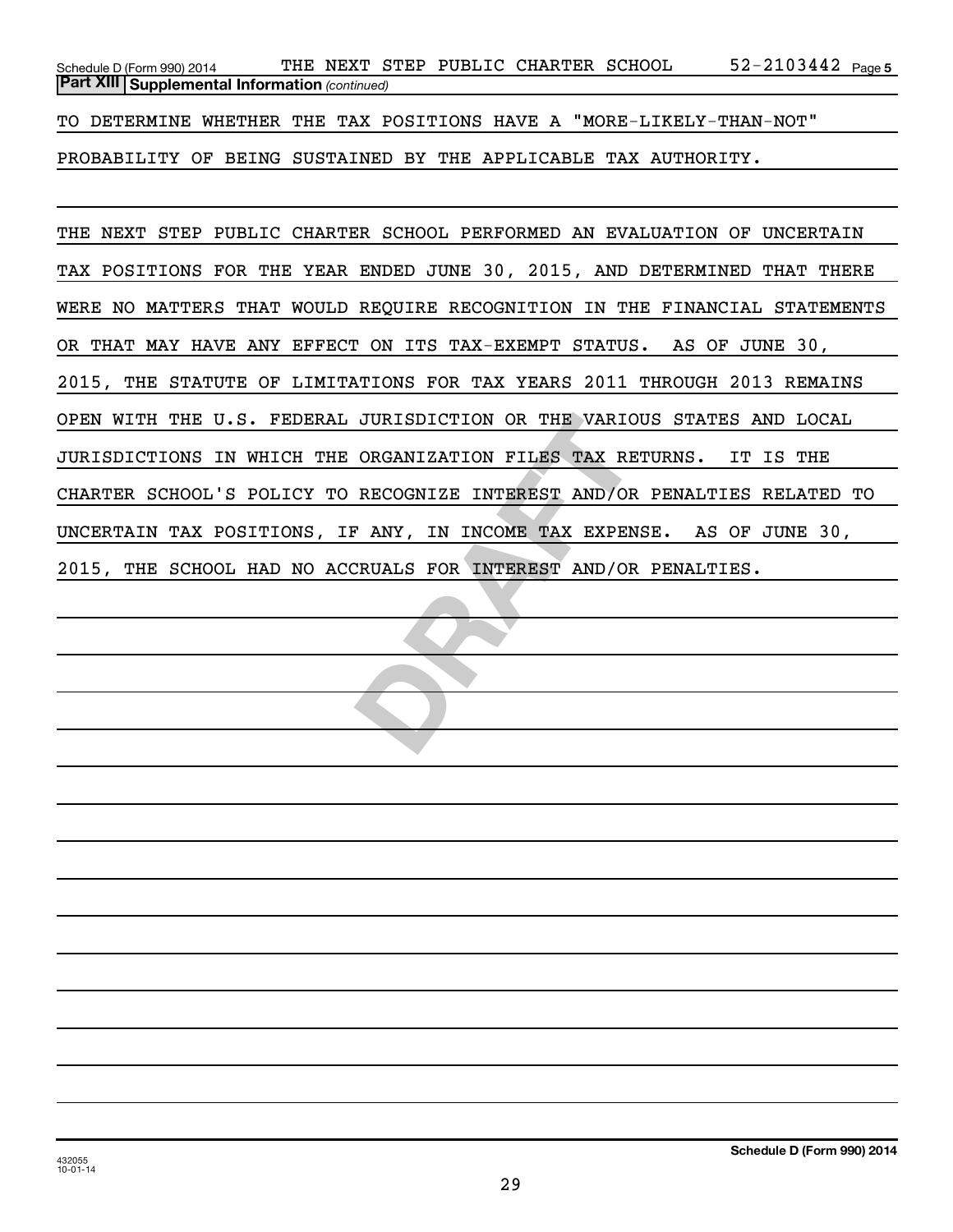52-2103442 Page 5 *(continued)* **Part XIII Supplemental Information**  Schedule D (Form 990) 2014 Page THE NEXT STEP PUBLIC CHARTER SCHOOL 52-2103442

TO DETERMINE WHETHER THE TAX POSITIONS HAVE A "MORE-LIKELY-THAN-NOT"

PROBABILITY OF BEING SUSTAINED BY THE APPLICABLE TAX AUTHORITY.

JURISDICTION OR THE VARIOUS S<br>
ORGANIZATION FILES TAX RETURN<br>
RECOGNIZE INTEREST AND/OR PEN<br>
P ANY, IN INCOME TAX EXPENSE.<br>
CRUALS FOR INTEREST AND/OR PEN THE NEXT STEP PUBLIC CHARTER SCHOOL PERFORMED AN EVALUATION OF UNCERTAIN TAX POSITIONS FOR THE YEAR ENDED JUNE 30, 2015, AND DETERMINED THAT THERE WERE NO MATTERS THAT WOULD REQUIRE RECOGNITION IN THE FINANCIAL STATEMENTS OR THAT MAY HAVE ANY EFFECT ON ITS TAX-EXEMPT STATUS. AS OF JUNE 30, 2015, THE STATUTE OF LIMITATIONS FOR TAX YEARS 2011 THROUGH 2013 REMAINS OPEN WITH THE U.S. FEDERAL JURISDICTION OR THE VARIOUS STATES AND LOCAL JURISDICTIONS IN WHICH THE ORGANIZATION FILES TAX RETURNS. IT IS THE CHARTER SCHOOL'S POLICY TO RECOGNIZE INTEREST AND/OR PENALTIES RELATED TO UNCERTAIN TAX POSITIONS, IF ANY, IN INCOME TAX EXPENSE. AS OF JUNE 30, 2015, THE SCHOOL HAD NO ACCRUALS FOR INTEREST AND/OR PENALTIES.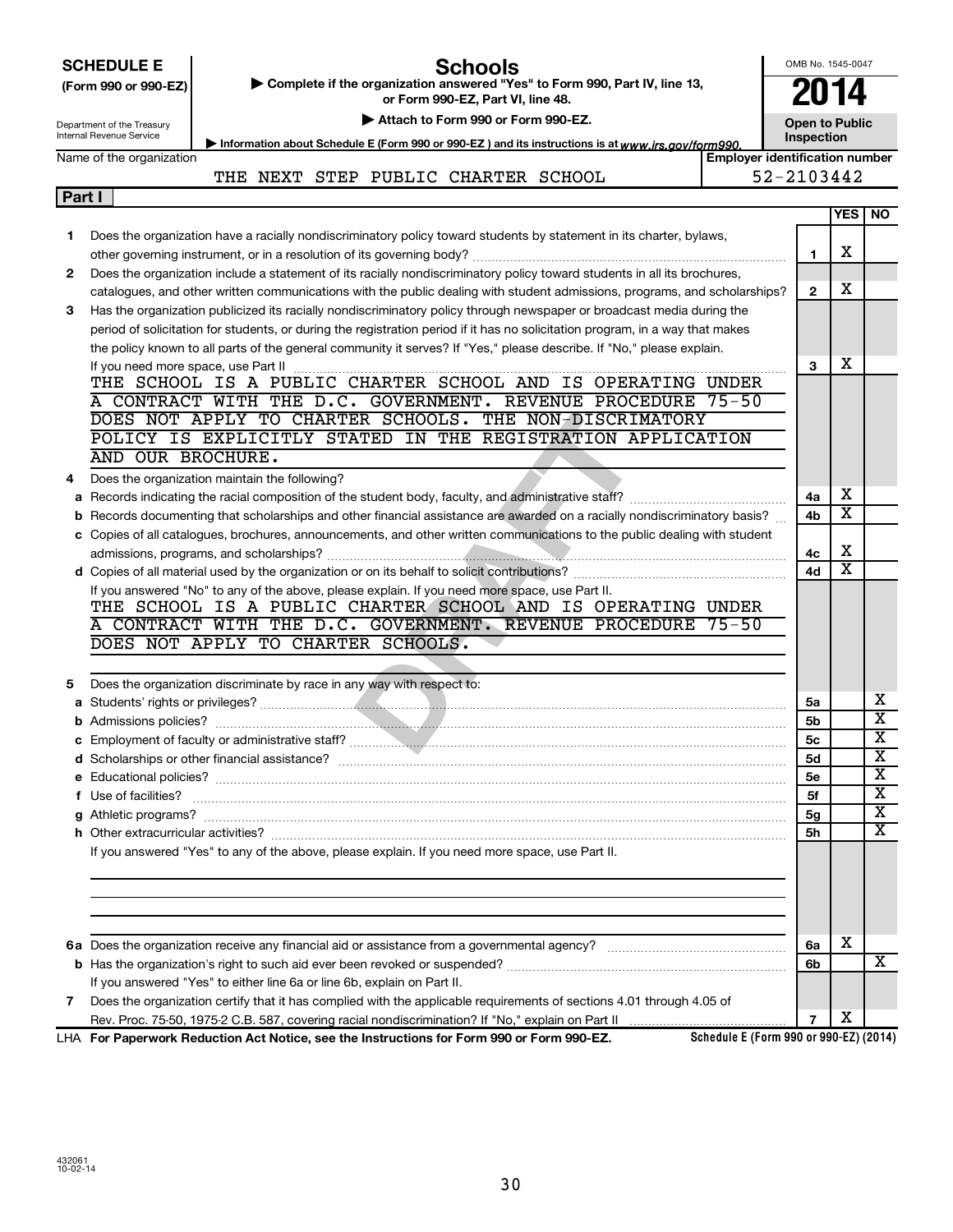|        | <b>Schools</b><br><b>SCHEDULE E</b><br>Complete if the organization answered "Yes" to Form 990, Part IV, line 13,<br>(Form 990 or 990-EZ)<br>or Form 990-EZ, Part VI, line 48.<br>Attach to Form 990 or Form 990-EZ.<br>Department of the Treasury<br>Internal Revenue Service | OMB No. 1545-0047<br><b>2014</b><br><b>Open to Public</b><br>Inspection |                         |                              |
|--------|--------------------------------------------------------------------------------------------------------------------------------------------------------------------------------------------------------------------------------------------------------------------------------|-------------------------------------------------------------------------|-------------------------|------------------------------|
|        | Information about Schedule E (Form 990 or 990-EZ) and its instructions is at www.irs.gov/form990.<br><b>Employer identification number</b><br>Name of the organization                                                                                                         |                                                                         |                         |                              |
|        | 52-2103442<br>THE NEXT STEP PUBLIC CHARTER SCHOOL                                                                                                                                                                                                                              |                                                                         |                         |                              |
| Part I |                                                                                                                                                                                                                                                                                |                                                                         |                         |                              |
|        |                                                                                                                                                                                                                                                                                |                                                                         |                         | YES   NO                     |
| 1      | Does the organization have a racially nondiscriminatory policy toward students by statement in its charter, bylaws,                                                                                                                                                            |                                                                         |                         |                              |
|        |                                                                                                                                                                                                                                                                                | 1                                                                       | х                       |                              |
| 2      | Does the organization include a statement of its racially nondiscriminatory policy toward students in all its brochures,                                                                                                                                                       |                                                                         |                         |                              |
|        | catalogues, and other written communications with the public dealing with student admissions, programs, and scholarships?                                                                                                                                                      | $\mathbf{2}$                                                            | х                       |                              |
| 3      | Has the organization publicized its racially nondiscriminatory policy through newspaper or broadcast media during the                                                                                                                                                          |                                                                         |                         |                              |
|        | period of solicitation for students, or during the registration period if it has no solicitation program, in a way that makes                                                                                                                                                  |                                                                         |                         |                              |
|        | the policy known to all parts of the general community it serves? If "Yes," please describe. If "No," please explain.                                                                                                                                                          |                                                                         |                         |                              |
|        |                                                                                                                                                                                                                                                                                | 3                                                                       | х                       |                              |
|        | THE SCHOOL IS A PUBLIC CHARTER SCHOOL AND IS OPERATING UNDER                                                                                                                                                                                                                   |                                                                         |                         |                              |
|        | A CONTRACT WITH THE D.C. GOVERNMENT. REVENUE PROCEDURE 75-50                                                                                                                                                                                                                   |                                                                         |                         |                              |
|        | DOES NOT APPLY TO CHARTER SCHOOLS. THE NON-DISCRIMATORY<br>POLICY IS EXPLICITLY STATED IN THE REGISTRATION APPLICATION                                                                                                                                                         |                                                                         |                         |                              |
|        | AND OUR BROCHURE.                                                                                                                                                                                                                                                              |                                                                         |                         |                              |
|        |                                                                                                                                                                                                                                                                                |                                                                         |                         |                              |
| 4      | Does the organization maintain the following?                                                                                                                                                                                                                                  | 4a                                                                      | х                       |                              |
| b      | Records documenting that scholarships and other financial assistance are awarded on a racially nondiscriminatory basis?                                                                                                                                                        | 4b                                                                      | $\overline{\textbf{x}}$ |                              |
|        | c Copies of all catalogues, brochures, announcements, and other written communications to the public dealing with student                                                                                                                                                      |                                                                         |                         |                              |
|        |                                                                                                                                                                                                                                                                                | 4c                                                                      | х                       |                              |
|        |                                                                                                                                                                                                                                                                                | 4d                                                                      | $\overline{\textbf{x}}$ |                              |
|        | If you answered "No" to any of the above, please explain. If you need more space, use Part II.                                                                                                                                                                                 |                                                                         |                         |                              |
|        | THE SCHOOL IS A PUBLIC CHARTER SCHOOL AND IS OPERATING UNDER                                                                                                                                                                                                                   |                                                                         |                         |                              |
|        | CONTRACT WITH THE D.C. GOVERNMENT. REVENUE PROCEDURE 75-50                                                                                                                                                                                                                     |                                                                         |                         |                              |
|        | DOES NOT APPLY TO CHARTER SCHOOLS.                                                                                                                                                                                                                                             |                                                                         |                         |                              |
|        |                                                                                                                                                                                                                                                                                |                                                                         |                         |                              |
| 5      | Does the organization discriminate by race in any way with respect to:                                                                                                                                                                                                         |                                                                         |                         |                              |
|        |                                                                                                                                                                                                                                                                                | 5a                                                                      |                         | х<br>$\overline{\textbf{x}}$ |
|        |                                                                                                                                                                                                                                                                                | 5b                                                                      |                         | $\overline{\mathbf{x}}$      |
|        |                                                                                                                                                                                                                                                                                | 5c                                                                      |                         | $\overline{\mathbf{x}}$      |
|        |                                                                                                                                                                                                                                                                                | 5d<br><b>5e</b>                                                         |                         | X                            |
|        | f Use of facilities?                                                                                                                                                                                                                                                           | 5f                                                                      |                         | $\overline{\mathbf{x}}$      |
|        |                                                                                                                                                                                                                                                                                | 5g                                                                      |                         | X                            |
|        |                                                                                                                                                                                                                                                                                | 5h                                                                      |                         | $\overline{\text{X}}$        |
|        | If you answered "Yes" to any of the above, please explain. If you need more space, use Part II.                                                                                                                                                                                |                                                                         |                         |                              |
|        |                                                                                                                                                                                                                                                                                |                                                                         |                         |                              |
|        |                                                                                                                                                                                                                                                                                |                                                                         |                         |                              |
|        |                                                                                                                                                                                                                                                                                |                                                                         |                         |                              |
|        |                                                                                                                                                                                                                                                                                |                                                                         |                         |                              |
|        |                                                                                                                                                                                                                                                                                | 6а                                                                      | X                       |                              |
|        |                                                                                                                                                                                                                                                                                | 6b                                                                      |                         | x                            |
|        | If you answered "Yes" to either line 6a or line 6b, explain on Part II.                                                                                                                                                                                                        |                                                                         |                         |                              |
| 7      | Does the organization certify that it has complied with the applicable requirements of sections 4.01 through 4.05 of                                                                                                                                                           | $\overline{7}$                                                          | х                       |                              |
|        |                                                                                                                                                                                                                                                                                |                                                                         |                         |                              |

**For Paperwork Reduction Act Notice, see the Instructions for Form 990 or Form 990-EZ.** LHA

**Schedule E (Form 990 or 990-EZ) (2014)**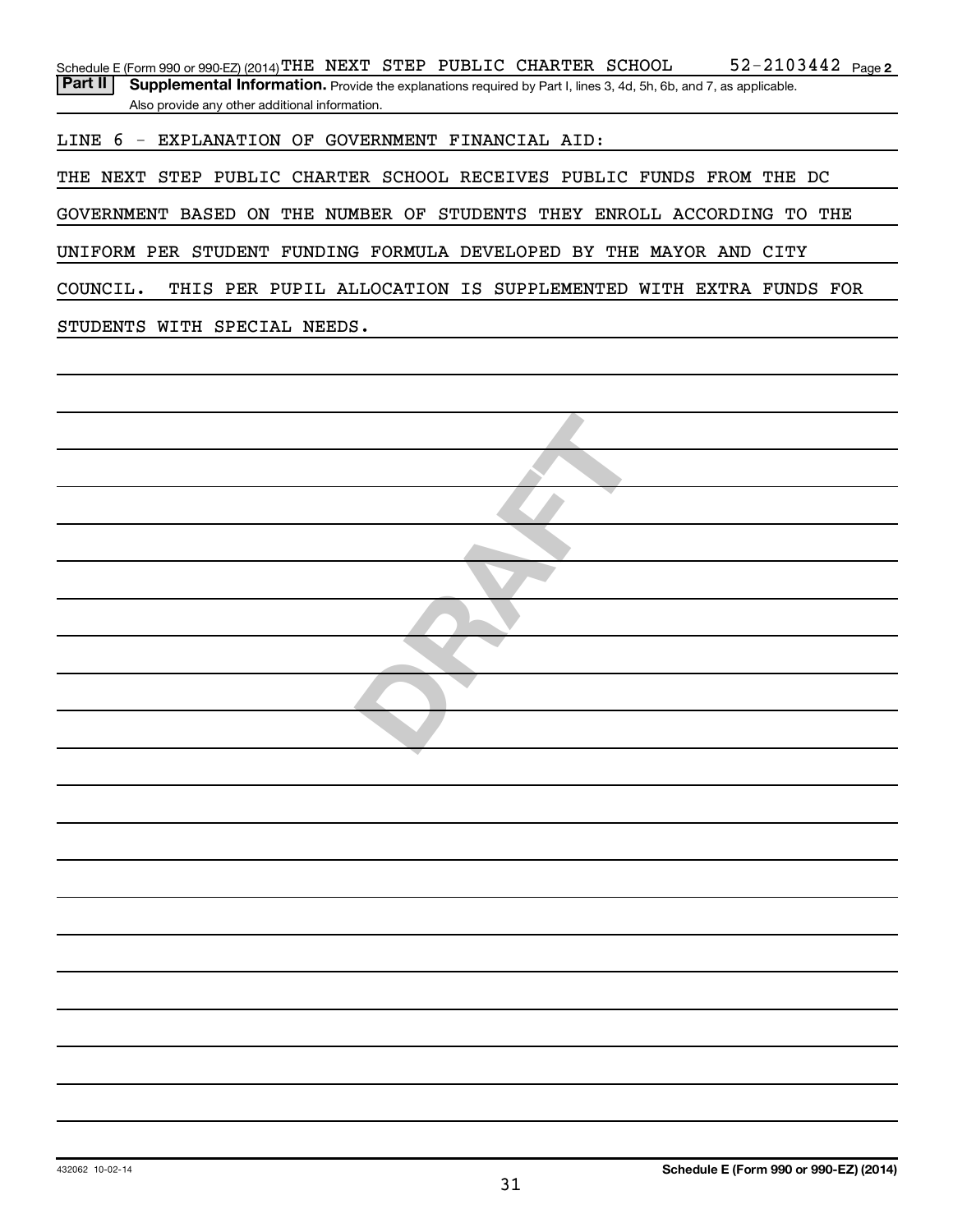Part II | Supplemental Information. Provide the explanations required by Part I, lines 3, 4d, 5h, 6b, and 7, as applicable. Also provide any other additional information.

LINE 6 - EXPLANATION OF GOVERNMENT FINANCIAL AID:

THE NEXT STEP PUBLIC CHARTER SCHOOL RECEIVES PUBLIC FUNDS FROM THE DC

GOVERNMENT BASED ON THE NUMBER OF STUDENTS THEY ENROLL ACCORDING TO THE

UNIFORM PER STUDENT FUNDING FORMULA DEVELOPED BY THE MAYOR AND CITY

COUNCIL. THIS PER PUPIL ALLOCATION IS SUPPLEMENTED WITH EXTRA FUNDS FOR

STUDENTS WITH SPECIAL NEEDS.

**DRAFT**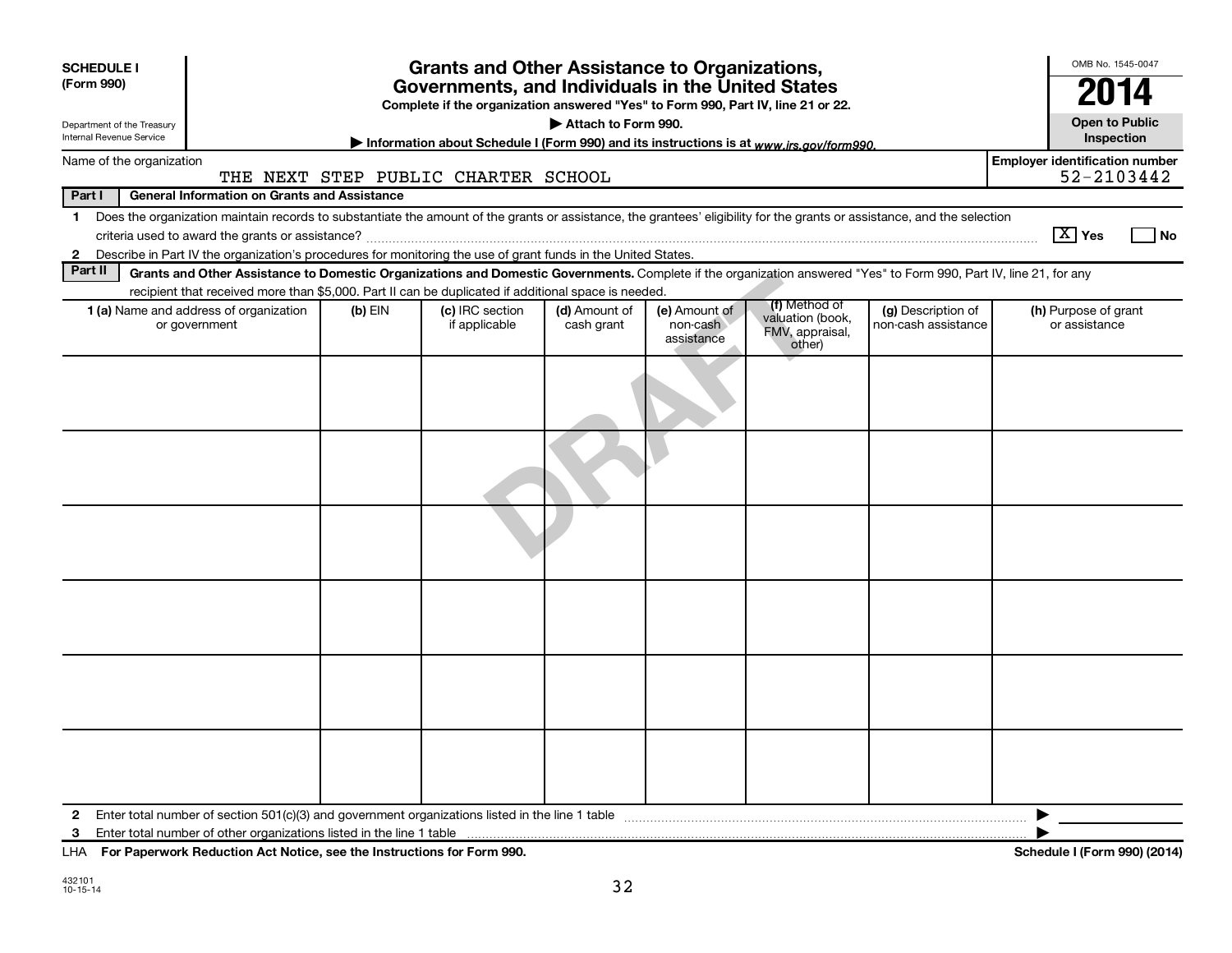| <b>SCHEDULE I</b><br>(Form 990)<br>Department of the Treasury<br>Internal Revenue Service |                                                                                                                                                                                                                                                                                           |           | <b>Grants and Other Assistance to Organizations,</b><br>Governments, and Individuals in the United States<br>Complete if the organization answered "Yes" to Form 990, Part IV, line 21 or 22.<br>Information about Schedule I (Form 990) and its instructions is at www.irs.gov/form990. | Attach to Form 990.         |                                         |                                               |                                           | OMB No. 1545-0047<br>2014<br><b>Open to Public</b><br>Inspection |
|-------------------------------------------------------------------------------------------|-------------------------------------------------------------------------------------------------------------------------------------------------------------------------------------------------------------------------------------------------------------------------------------------|-----------|------------------------------------------------------------------------------------------------------------------------------------------------------------------------------------------------------------------------------------------------------------------------------------------|-----------------------------|-----------------------------------------|-----------------------------------------------|-------------------------------------------|------------------------------------------------------------------|
| Name of the organization                                                                  |                                                                                                                                                                                                                                                                                           |           |                                                                                                                                                                                                                                                                                          |                             |                                         |                                               |                                           | <b>Employer identification number</b>                            |
|                                                                                           |                                                                                                                                                                                                                                                                                           |           | THE NEXT STEP PUBLIC CHARTER SCHOOL                                                                                                                                                                                                                                                      |                             |                                         |                                               |                                           | 52-2103442                                                       |
| Part I                                                                                    | <b>General Information on Grants and Assistance</b>                                                                                                                                                                                                                                       |           |                                                                                                                                                                                                                                                                                          |                             |                                         |                                               |                                           |                                                                  |
| $\mathbf 1$<br>$\mathbf{2}$                                                               | Does the organization maintain records to substantiate the amount of the grants or assistance, the grantees' eligibility for the grants or assistance, and the selection<br>Describe in Part IV the organization's procedures for monitoring the use of grant funds in the United States. |           |                                                                                                                                                                                                                                                                                          |                             |                                         |                                               |                                           | $\boxed{\text{X}}$ Yes<br>No                                     |
| Part II                                                                                   | Grants and Other Assistance to Domestic Organizations and Domestic Governments. Complete if the organization answered "Yes" to Form 990, Part IV, line 21, for any                                                                                                                        |           |                                                                                                                                                                                                                                                                                          |                             |                                         |                                               |                                           |                                                                  |
|                                                                                           | recipient that received more than \$5,000. Part II can be duplicated if additional space is needed.                                                                                                                                                                                       |           |                                                                                                                                                                                                                                                                                          |                             |                                         | (f) Method of                                 |                                           |                                                                  |
|                                                                                           | 1 (a) Name and address of organization<br>or government                                                                                                                                                                                                                                   | $(b)$ EIN | (c) IRC section<br>if applicable                                                                                                                                                                                                                                                         | (d) Amount of<br>cash grant | (e) Amount of<br>non-cash<br>assistance | valuation (book,<br>FMV, appraisal,<br>other) | (g) Description of<br>non-cash assistance | (h) Purpose of grant<br>or assistance                            |
|                                                                                           |                                                                                                                                                                                                                                                                                           |           |                                                                                                                                                                                                                                                                                          |                             |                                         |                                               |                                           |                                                                  |
|                                                                                           |                                                                                                                                                                                                                                                                                           |           |                                                                                                                                                                                                                                                                                          |                             |                                         |                                               |                                           |                                                                  |
|                                                                                           |                                                                                                                                                                                                                                                                                           |           |                                                                                                                                                                                                                                                                                          |                             |                                         |                                               |                                           |                                                                  |
|                                                                                           |                                                                                                                                                                                                                                                                                           |           |                                                                                                                                                                                                                                                                                          |                             |                                         |                                               |                                           |                                                                  |
|                                                                                           |                                                                                                                                                                                                                                                                                           |           |                                                                                                                                                                                                                                                                                          |                             |                                         |                                               |                                           |                                                                  |
|                                                                                           |                                                                                                                                                                                                                                                                                           |           |                                                                                                                                                                                                                                                                                          |                             |                                         |                                               |                                           |                                                                  |
| 2<br>3                                                                                    |                                                                                                                                                                                                                                                                                           |           |                                                                                                                                                                                                                                                                                          |                             |                                         |                                               |                                           | ▶                                                                |

**For Paperwork Reduction Act Notice, see the Instructions for Form 990. Schedule I (Form 990) (2014)** LHA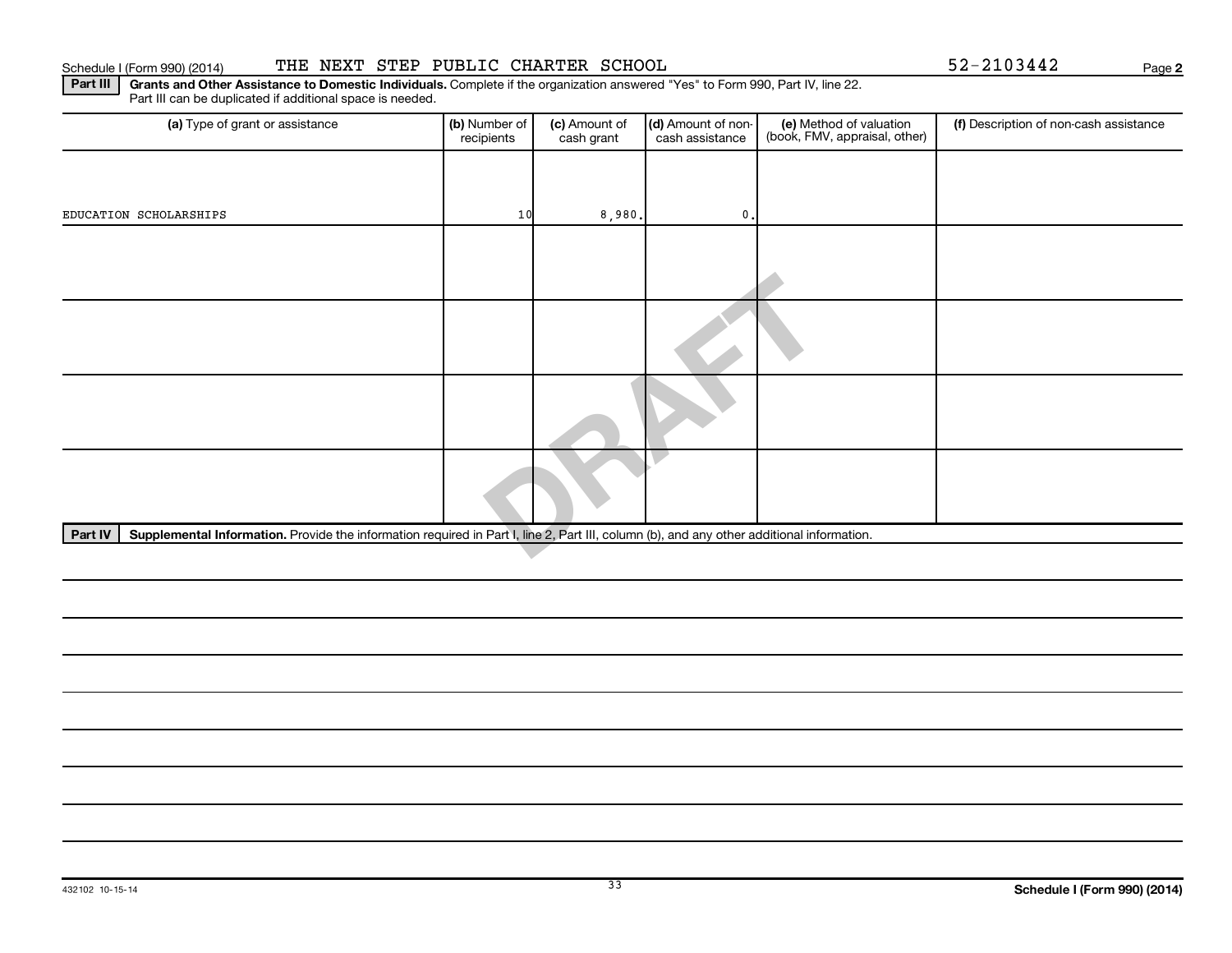#### Schedule I (Form 990) (2014) THE NEXT STEP PUBLIC CHARTER SCHOOL  $52-2103442$  Page

**2**

Part III | Grants and Other Assistance to Domestic Individuals. Complete if the organization answered "Yes" to Form 990, Part IV, line 22. Part III can be duplicated if additional space is needed.

| (a) Type of grant or assistance                                                                                                                      | (b) Number of<br>recipients | (c) Amount of<br>cash grant | (d) Amount of non-<br>cash assistance | (e) Method of valuation<br>(book, FMV, appraisal, other) | (f) Description of non-cash assistance |  |  |  |
|------------------------------------------------------------------------------------------------------------------------------------------------------|-----------------------------|-----------------------------|---------------------------------------|----------------------------------------------------------|----------------------------------------|--|--|--|
|                                                                                                                                                      |                             |                             |                                       |                                                          |                                        |  |  |  |
| EDUCATION SCHOLARSHIPS                                                                                                                               | 10                          | 8,980.                      | $\mathbf{0}$ .                        |                                                          |                                        |  |  |  |
|                                                                                                                                                      |                             |                             |                                       |                                                          |                                        |  |  |  |
|                                                                                                                                                      |                             |                             |                                       |                                                          |                                        |  |  |  |
|                                                                                                                                                      |                             |                             |                                       |                                                          |                                        |  |  |  |
|                                                                                                                                                      |                             |                             |                                       |                                                          |                                        |  |  |  |
|                                                                                                                                                      |                             |                             |                                       |                                                          |                                        |  |  |  |
| Supplemental Information. Provide the information required in Part I, line 2, Part III, column (b), and any other additional information.<br>Part IV |                             |                             |                                       |                                                          |                                        |  |  |  |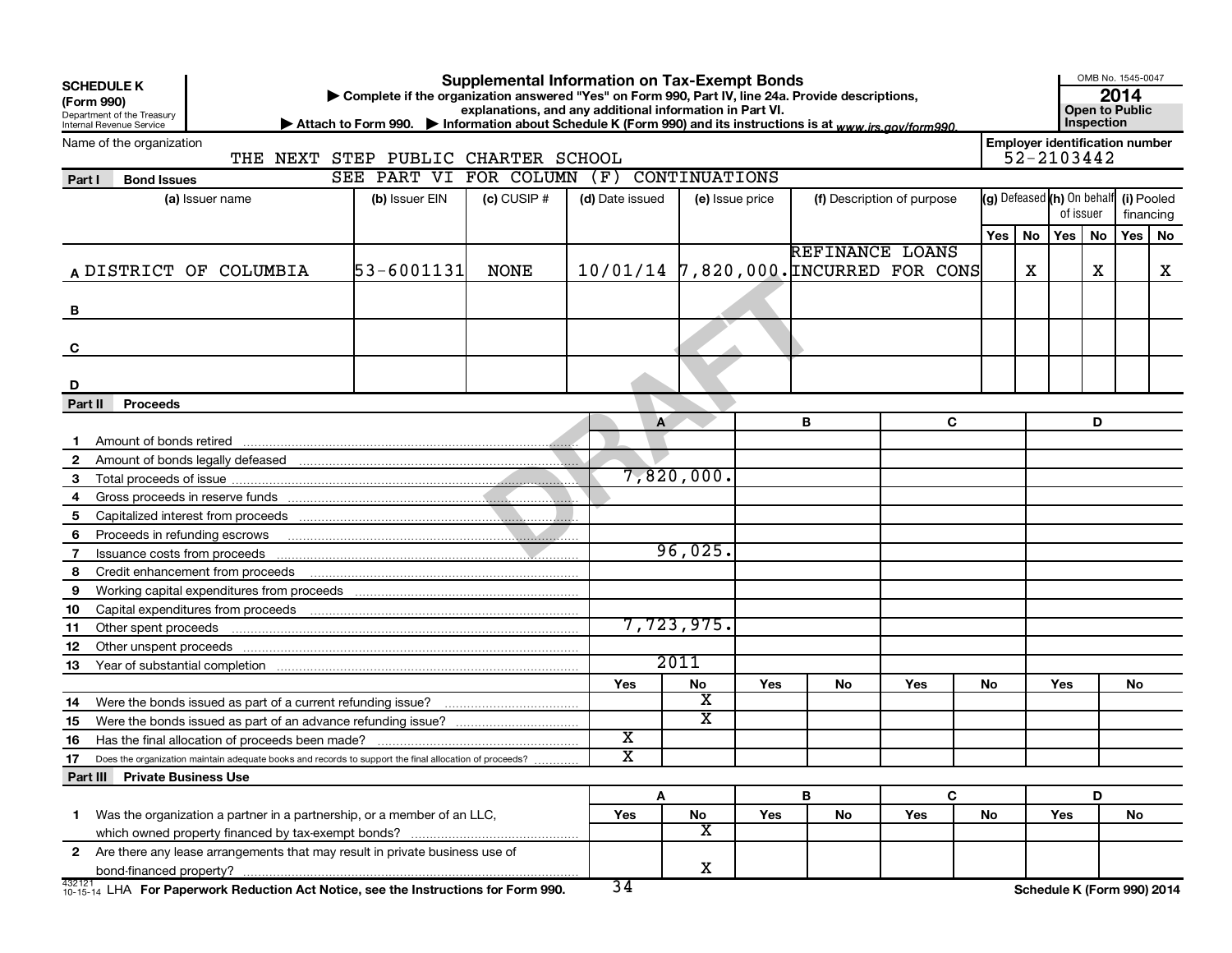| <b>Supplemental Information on Tax-Exempt Bonds</b><br><b>SCHEDULE K</b><br>Complete if the organization answered "Yes" on Form 990, Part IV, line 24a. Provide descriptions,<br>(Form 990)<br>explanations, and any additional information in Part VI.<br>Department of the Treasury |                                                                                                                                                                                                                                      |                                          |                            |                 |                         |                 |                                       |     | OMB No. 1545-0047<br>2014<br><b>Open to Public</b> |                            |            |    |           |   |
|---------------------------------------------------------------------------------------------------------------------------------------------------------------------------------------------------------------------------------------------------------------------------------------|--------------------------------------------------------------------------------------------------------------------------------------------------------------------------------------------------------------------------------------|------------------------------------------|----------------------------|-----------------|-------------------------|-----------------|---------------------------------------|-----|----------------------------------------------------|----------------------------|------------|----|-----------|---|
| Inspection<br>▶ Attach to Form 990. ▶ Information about Schedule K (Form 990) and its instructions is at www.irs.gov/form990.<br>Internal Revenue Service<br><b>Employer identification number</b><br>Name of the organization<br>52-2103442<br>THE NEXT STEP PUBLIC CHARTER SCHOOL   |                                                                                                                                                                                                                                      |                                          |                            |                 |                         |                 |                                       |     |                                                    |                            |            |    |           |   |
| Part I                                                                                                                                                                                                                                                                                | <b>Bond Issues</b>                                                                                                                                                                                                                   | SEE PART VI FOR COLUMN (F) CONTINUATIONS |                            |                 |                         |                 |                                       |     |                                                    |                            |            |    |           |   |
|                                                                                                                                                                                                                                                                                       | (a) Issuer name                                                                                                                                                                                                                      | (b) Issuer EIN                           | $(c)$ CUSIP $#$            | (d) Date issued |                         | (e) Issue price | (f) Description of purpose            |     | (g) Defeased (h) On behalf (i) Pooled<br>of issuer |                            |            |    | financing |   |
|                                                                                                                                                                                                                                                                                       |                                                                                                                                                                                                                                      |                                          |                            |                 |                         |                 |                                       |     | Yes   No                                           |                            | $Yes \mid$ | No | Yes   No  |   |
|                                                                                                                                                                                                                                                                                       |                                                                                                                                                                                                                                      |                                          |                            |                 |                         |                 | REFINANCE LOANS                       |     |                                                    |                            |            |    |           |   |
|                                                                                                                                                                                                                                                                                       | A DISTRICT OF COLUMBIA                                                                                                                                                                                                               | 53-6001131                               | <b>NONE</b>                |                 |                         |                 | 10/01/14 7,820,000. INCURRED FOR CONS |     |                                                    | х                          |            | X  |           | X |
| В                                                                                                                                                                                                                                                                                     |                                                                                                                                                                                                                                      |                                          |                            |                 |                         |                 |                                       |     |                                                    |                            |            |    |           |   |
| C                                                                                                                                                                                                                                                                                     |                                                                                                                                                                                                                                      |                                          |                            |                 |                         |                 |                                       |     |                                                    |                            |            |    |           |   |
| D                                                                                                                                                                                                                                                                                     |                                                                                                                                                                                                                                      |                                          |                            |                 |                         |                 |                                       |     |                                                    |                            |            |    |           |   |
| Part II                                                                                                                                                                                                                                                                               | <b>Proceeds</b>                                                                                                                                                                                                                      |                                          |                            |                 |                         |                 |                                       |     |                                                    |                            |            |    |           |   |
|                                                                                                                                                                                                                                                                                       |                                                                                                                                                                                                                                      |                                          |                            | A               |                         |                 | B                                     | C   |                                                    |                            |            | D  |           |   |
| $\mathbf{1}$                                                                                                                                                                                                                                                                          |                                                                                                                                                                                                                                      |                                          |                            |                 |                         |                 |                                       |     |                                                    |                            |            |    |           |   |
| $\overline{2}$                                                                                                                                                                                                                                                                        |                                                                                                                                                                                                                                      |                                          |                            |                 |                         |                 |                                       |     |                                                    |                            |            |    |           |   |
| 3                                                                                                                                                                                                                                                                                     |                                                                                                                                                                                                                                      |                                          |                            |                 | 7,820,000.              |                 |                                       |     |                                                    |                            |            |    |           |   |
| 4                                                                                                                                                                                                                                                                                     |                                                                                                                                                                                                                                      |                                          |                            |                 |                         |                 |                                       |     |                                                    |                            |            |    |           |   |
| 5                                                                                                                                                                                                                                                                                     |                                                                                                                                                                                                                                      |                                          |                            |                 |                         |                 |                                       |     |                                                    |                            |            |    |           |   |
| 6                                                                                                                                                                                                                                                                                     | Proceeds in refunding escrows <b>contained and the contact of the contact of the contact of the contact of the contact of the contact of the contact of the contact of the contact of the contact of the contact of the contact </b> |                                          |                            |                 |                         |                 |                                       |     |                                                    |                            |            |    |           |   |
| $\mathbf{7}$                                                                                                                                                                                                                                                                          |                                                                                                                                                                                                                                      |                                          |                            |                 | 96,025.                 |                 |                                       |     |                                                    |                            |            |    |           |   |
| 8                                                                                                                                                                                                                                                                                     | Credit enhancement from proceeds                                                                                                                                                                                                     |                                          |                            |                 |                         |                 |                                       |     |                                                    |                            |            |    |           |   |
| 9                                                                                                                                                                                                                                                                                     |                                                                                                                                                                                                                                      |                                          |                            |                 |                         |                 |                                       |     |                                                    |                            |            |    |           |   |
| 10                                                                                                                                                                                                                                                                                    |                                                                                                                                                                                                                                      |                                          |                            |                 |                         |                 |                                       |     |                                                    |                            |            |    |           |   |
| 11                                                                                                                                                                                                                                                                                    | Other spent proceeds                                                                                                                                                                                                                 |                                          |                            |                 | 7,723,975.              |                 |                                       |     |                                                    |                            |            |    |           |   |
| 12                                                                                                                                                                                                                                                                                    |                                                                                                                                                                                                                                      |                                          |                            |                 |                         |                 |                                       |     |                                                    |                            |            |    |           |   |
| 13                                                                                                                                                                                                                                                                                    |                                                                                                                                                                                                                                      |                                          |                            |                 | 2011                    |                 |                                       |     |                                                    |                            |            |    |           |   |
|                                                                                                                                                                                                                                                                                       |                                                                                                                                                                                                                                      |                                          |                            | Yes             | No                      | Yes             | No                                    | Yes | No                                                 |                            | Yes        |    | No        |   |
| 14                                                                                                                                                                                                                                                                                    | Were the bonds issued as part of a current refunding issue?                                                                                                                                                                          |                                          |                            |                 | x                       |                 |                                       |     |                                                    |                            |            |    |           |   |
| 15                                                                                                                                                                                                                                                                                    |                                                                                                                                                                                                                                      |                                          |                            |                 | $\overline{\texttt{x}}$ |                 |                                       |     |                                                    |                            |            |    |           |   |
| 16                                                                                                                                                                                                                                                                                    |                                                                                                                                                                                                                                      |                                          | х<br>$\overline{\text{x}}$ |                 |                         |                 |                                       |     |                                                    |                            |            |    |           |   |
| 17<br>Does the organization maintain adequate books and records to support the final allocation of proceeds?                                                                                                                                                                          |                                                                                                                                                                                                                                      |                                          |                            |                 |                         |                 |                                       |     |                                                    |                            |            |    |           |   |
|                                                                                                                                                                                                                                                                                       | Part III Private Business Use                                                                                                                                                                                                        |                                          |                            |                 |                         |                 |                                       |     |                                                    |                            |            |    |           |   |
|                                                                                                                                                                                                                                                                                       |                                                                                                                                                                                                                                      |                                          |                            | Α               |                         |                 | B                                     | C   |                                                    |                            |            | D  |           |   |
| $\mathbf 1$                                                                                                                                                                                                                                                                           | Was the organization a partner in a partnership, or a member of an LLC,                                                                                                                                                              |                                          |                            | Yes             | No                      | Yes             | No                                    | Yes | No                                                 |                            | Yes        |    | No        |   |
|                                                                                                                                                                                                                                                                                       |                                                                                                                                                                                                                                      |                                          |                            |                 | х                       |                 |                                       |     |                                                    |                            |            |    |           |   |
| 2 Are there any lease arrangements that may result in private business use of                                                                                                                                                                                                         |                                                                                                                                                                                                                                      |                                          |                            |                 |                         |                 |                                       |     |                                                    |                            |            |    |           |   |
|                                                                                                                                                                                                                                                                                       |                                                                                                                                                                                                                                      |                                          |                            |                 | x                       |                 |                                       |     |                                                    |                            |            |    |           |   |
|                                                                                                                                                                                                                                                                                       | 432121<br>10-15-14 LHA For Paperwork Reduction Act Notice, see the Instructions for Form 990.                                                                                                                                        |                                          |                            | 34              |                         |                 |                                       |     |                                                    | Schedule K (Form 990) 2014 |            |    |           |   |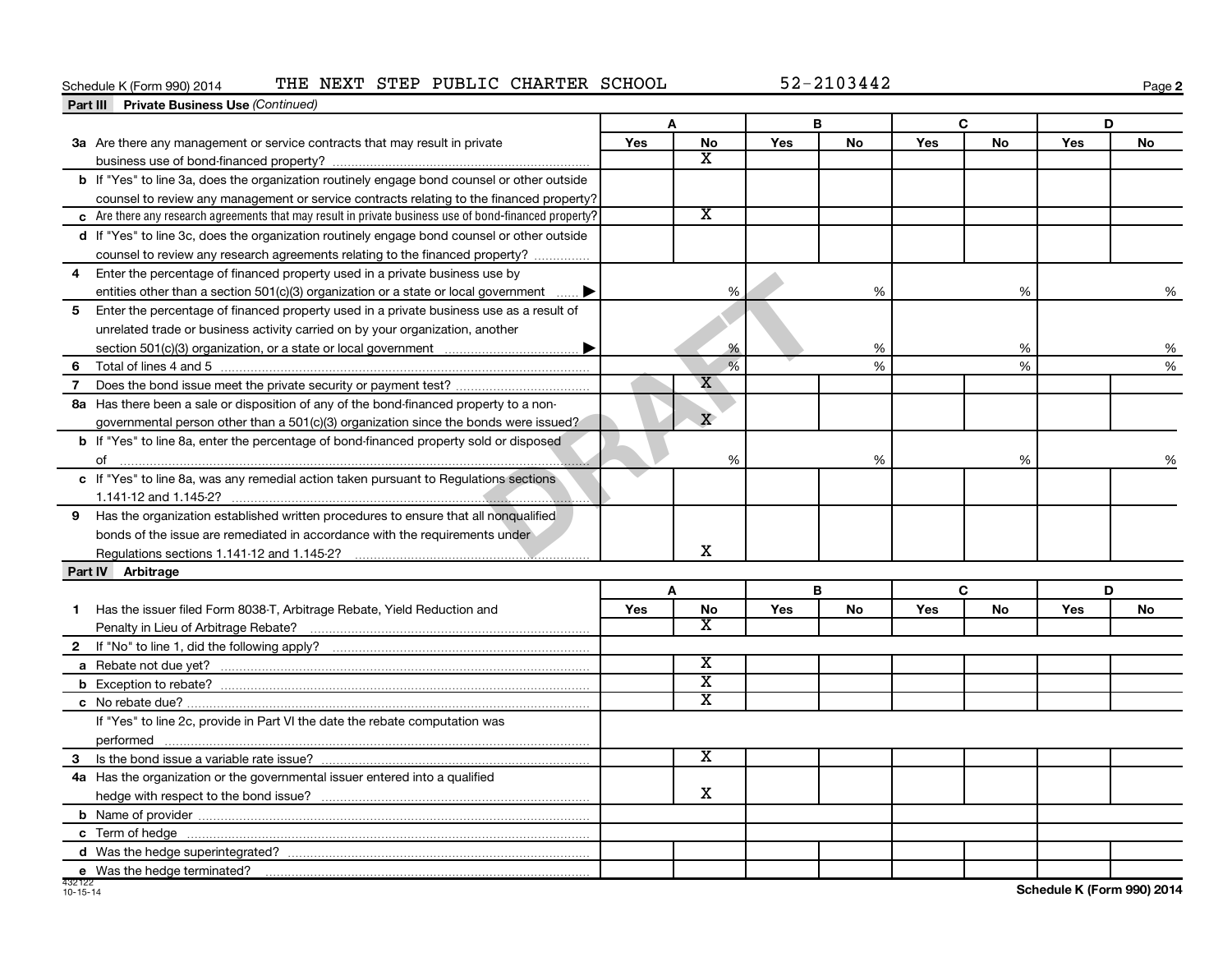#### Schedule K (Form 990) 2014 THE NEXT STEP PUBLIC CHARTER SCHOOL 52-2103442

**2**

| <b>Part III</b> Private Business Use (Continued)                                                       |            |                             |            |           |     |           |            |               |
|--------------------------------------------------------------------------------------------------------|------------|-----------------------------|------------|-----------|-----|-----------|------------|---------------|
|                                                                                                        |            | A                           |            | В         | C   |           |            | D             |
| 3a Are there any management or service contracts that may result in private                            | <b>Yes</b> | <b>No</b>                   | Yes        | <b>No</b> | Yes | <b>No</b> | <b>Yes</b> | <b>No</b>     |
|                                                                                                        |            | $\overline{\mathbf{X}}$     |            |           |     |           |            |               |
| b If "Yes" to line 3a, does the organization routinely engage bond counsel or other outside            |            |                             |            |           |     |           |            |               |
| counsel to review any management or service contracts relating to the financed property?               |            |                             |            |           |     |           |            |               |
| c Are there any research agreements that may result in private business use of bond-financed property? |            | $\overline{\texttt{x}}$     |            |           |     |           |            |               |
| d If "Yes" to line 3c, does the organization routinely engage bond counsel or other outside            |            |                             |            |           |     |           |            |               |
| counsel to review any research agreements relating to the financed property?                           |            |                             |            |           |     |           |            |               |
| Enter the percentage of financed property used in a private business use by<br>4                       |            |                             |            |           |     |           |            |               |
| entities other than a section 501(c)(3) organization or a state or local government                    |            | %                           |            | %         |     | %         |            | %             |
| 5 Enter the percentage of financed property used in a private business use as a result of              |            |                             |            |           |     |           |            |               |
| unrelated trade or business activity carried on by your organization, another                          |            |                             |            |           |     |           |            |               |
|                                                                                                        |            | %                           |            | %         |     | %         |            | %             |
| 6                                                                                                      |            | %                           |            | %         |     | %         |            | %             |
| $\overline{7}$                                                                                         |            | x                           |            |           |     |           |            |               |
| 8a Has there been a sale or disposition of any of the bond-financed property to a non-                 |            |                             |            |           |     |           |            |               |
| governmental person other than a $501(c)(3)$ organization since the bonds were issued?                 |            | $\overline{X}$              |            |           |     |           |            |               |
| <b>b</b> If "Yes" to line 8a, enter the percentage of bond-financed property sold or disposed          |            |                             |            |           |     |           |            |               |
|                                                                                                        |            | %                           |            | $\%$      |     | %         |            | $\frac{0}{6}$ |
| c If "Yes" to line 8a, was any remedial action taken pursuant to Regulations sections                  |            |                             |            |           |     |           |            |               |
|                                                                                                        |            |                             |            |           |     |           |            |               |
| 9 Has the organization established written procedures to ensure that all nonqualified                  |            |                             |            |           |     |           |            |               |
| bonds of the issue are remediated in accordance with the requirements under                            |            |                             |            |           |     |           |            |               |
|                                                                                                        |            | X                           |            |           |     |           |            |               |
| Part IV Arbitrage                                                                                      |            |                             |            |           |     |           |            |               |
|                                                                                                        |            | A                           |            | B         |     | C         |            | D             |
| Has the issuer filed Form 8038-T, Arbitrage Rebate, Yield Reduction and<br>1                           | Yes        | <b>No</b>                   | <b>Yes</b> | <b>No</b> | Yes | <b>No</b> | Yes        | <b>No</b>     |
|                                                                                                        |            | X                           |            |           |     |           |            |               |
|                                                                                                        |            |                             |            |           |     |           |            |               |
|                                                                                                        |            | $\overline{\textbf{x}}$     |            |           |     |           |            |               |
|                                                                                                        |            | $\overline{\mathtt{x}}$     |            |           |     |           |            |               |
|                                                                                                        |            | $\overline{\mathbf{X}}$     |            |           |     |           |            |               |
| If "Yes" to line 2c, provide in Part VI the date the rebate computation was                            |            |                             |            |           |     |           |            |               |
|                                                                                                        |            |                             |            |           |     |           |            |               |
|                                                                                                        |            | $\overline{\textnormal{x}}$ |            |           |     |           |            |               |
| 4a Has the organization or the governmental issuer entered into a qualified                            |            |                             |            |           |     |           |            |               |
|                                                                                                        |            | x                           |            |           |     |           |            |               |
|                                                                                                        |            |                             |            |           |     |           |            |               |
|                                                                                                        |            |                             |            |           |     |           |            |               |
|                                                                                                        |            |                             |            |           |     |           |            |               |
|                                                                                                        |            |                             |            |           |     |           |            |               |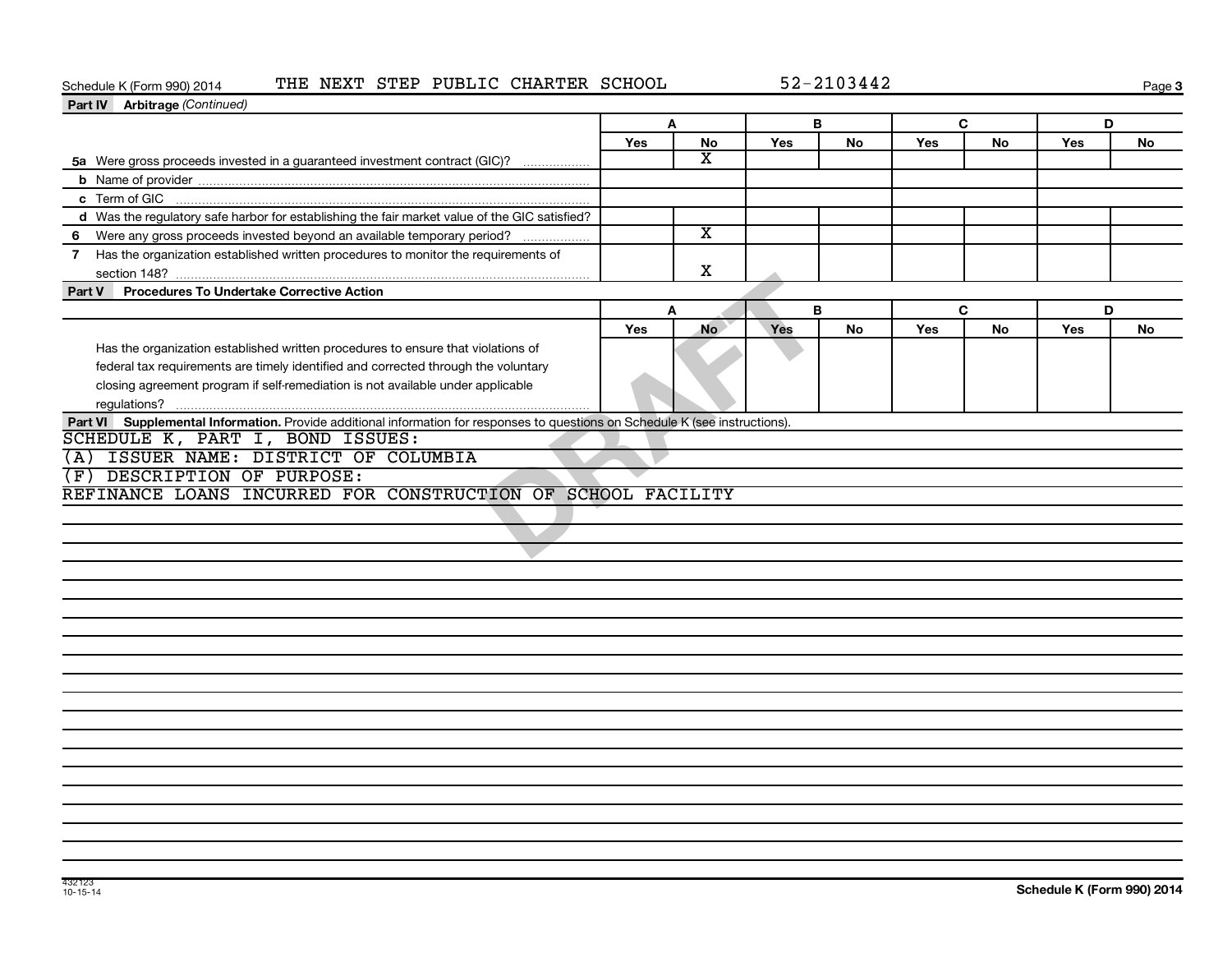### Schedule K (Form 990) 2014 THE NEXT STEP PUBLIC CHARTER SCHOOL 52-2103442

**3**

| Part IV Arbitrage (Continued)                                                                                                                                                                                                                             |     |                         |     |    |     |           |     |           |
|-----------------------------------------------------------------------------------------------------------------------------------------------------------------------------------------------------------------------------------------------------------|-----|-------------------------|-----|----|-----|-----------|-----|-----------|
|                                                                                                                                                                                                                                                           | A   |                         | B   |    | C   |           | D   |           |
|                                                                                                                                                                                                                                                           | Yes | No                      | Yes | No | Yes | No        | Yes | No        |
| 5a Were gross proceeds invested in a guaranteed investment contract (GIC)?                                                                                                                                                                                |     | $\overline{\texttt{x}}$ |     |    |     |           |     |           |
|                                                                                                                                                                                                                                                           |     |                         |     |    |     |           |     |           |
|                                                                                                                                                                                                                                                           |     |                         |     |    |     |           |     |           |
| d Was the regulatory safe harbor for establishing the fair market value of the GIC satisfied?                                                                                                                                                             |     |                         |     |    |     |           |     |           |
| 6 Were any gross proceeds invested beyond an available temporary period?                                                                                                                                                                                  |     | $\overline{\texttt{x}}$ |     |    |     |           |     |           |
| 7 Has the organization established written procedures to monitor the requirements of                                                                                                                                                                      |     | X                       |     |    |     |           |     |           |
| <b>Procedures To Undertake Corrective Action</b><br>Part V                                                                                                                                                                                                |     |                         |     |    |     |           |     |           |
|                                                                                                                                                                                                                                                           |     | A                       |     | B  |     | C         | D   |           |
|                                                                                                                                                                                                                                                           | Yes | <b>No</b>               | Yes | No | Yes | <b>No</b> | Yes | <b>No</b> |
| Has the organization established written procedures to ensure that violations of<br>federal tax requirements are timely identified and corrected through the voluntary<br>closing agreement program if self-remediation is not available under applicable |     |                         |     |    |     |           |     |           |
| Part VI Supplemental Information. Provide additional information for responses to questions on Schedule K (see instructions).                                                                                                                             |     |                         |     |    |     |           |     |           |
| SCHEDULE K, PART I, BOND ISSUES:                                                                                                                                                                                                                          |     |                         |     |    |     |           |     |           |
| (A) ISSUER NAME: DISTRICT OF COLUMBIA                                                                                                                                                                                                                     |     |                         |     |    |     |           |     |           |
| (F) DESCRIPTION OF PURPOSE:                                                                                                                                                                                                                               |     |                         |     |    |     |           |     |           |
| REFINANCE LOANS INCURRED FOR CONSTRUCTION OF SCHOOL FACILITY                                                                                                                                                                                              |     |                         |     |    |     |           |     |           |
|                                                                                                                                                                                                                                                           |     |                         |     |    |     |           |     |           |
|                                                                                                                                                                                                                                                           |     |                         |     |    |     |           |     |           |
|                                                                                                                                                                                                                                                           |     |                         |     |    |     |           |     |           |
|                                                                                                                                                                                                                                                           |     |                         |     |    |     |           |     |           |
|                                                                                                                                                                                                                                                           |     |                         |     |    |     |           |     |           |
|                                                                                                                                                                                                                                                           |     |                         |     |    |     |           |     |           |
|                                                                                                                                                                                                                                                           |     |                         |     |    |     |           |     |           |
|                                                                                                                                                                                                                                                           |     |                         |     |    |     |           |     |           |
|                                                                                                                                                                                                                                                           |     |                         |     |    |     |           |     |           |
|                                                                                                                                                                                                                                                           |     |                         |     |    |     |           |     |           |
|                                                                                                                                                                                                                                                           |     |                         |     |    |     |           |     |           |
|                                                                                                                                                                                                                                                           |     |                         |     |    |     |           |     |           |
|                                                                                                                                                                                                                                                           |     |                         |     |    |     |           |     |           |
|                                                                                                                                                                                                                                                           |     |                         |     |    |     |           |     |           |
|                                                                                                                                                                                                                                                           |     |                         |     |    |     |           |     |           |
|                                                                                                                                                                                                                                                           |     |                         |     |    |     |           |     |           |
|                                                                                                                                                                                                                                                           |     |                         |     |    |     |           |     |           |
|                                                                                                                                                                                                                                                           |     |                         |     |    |     |           |     |           |
|                                                                                                                                                                                                                                                           |     |                         |     |    |     |           |     |           |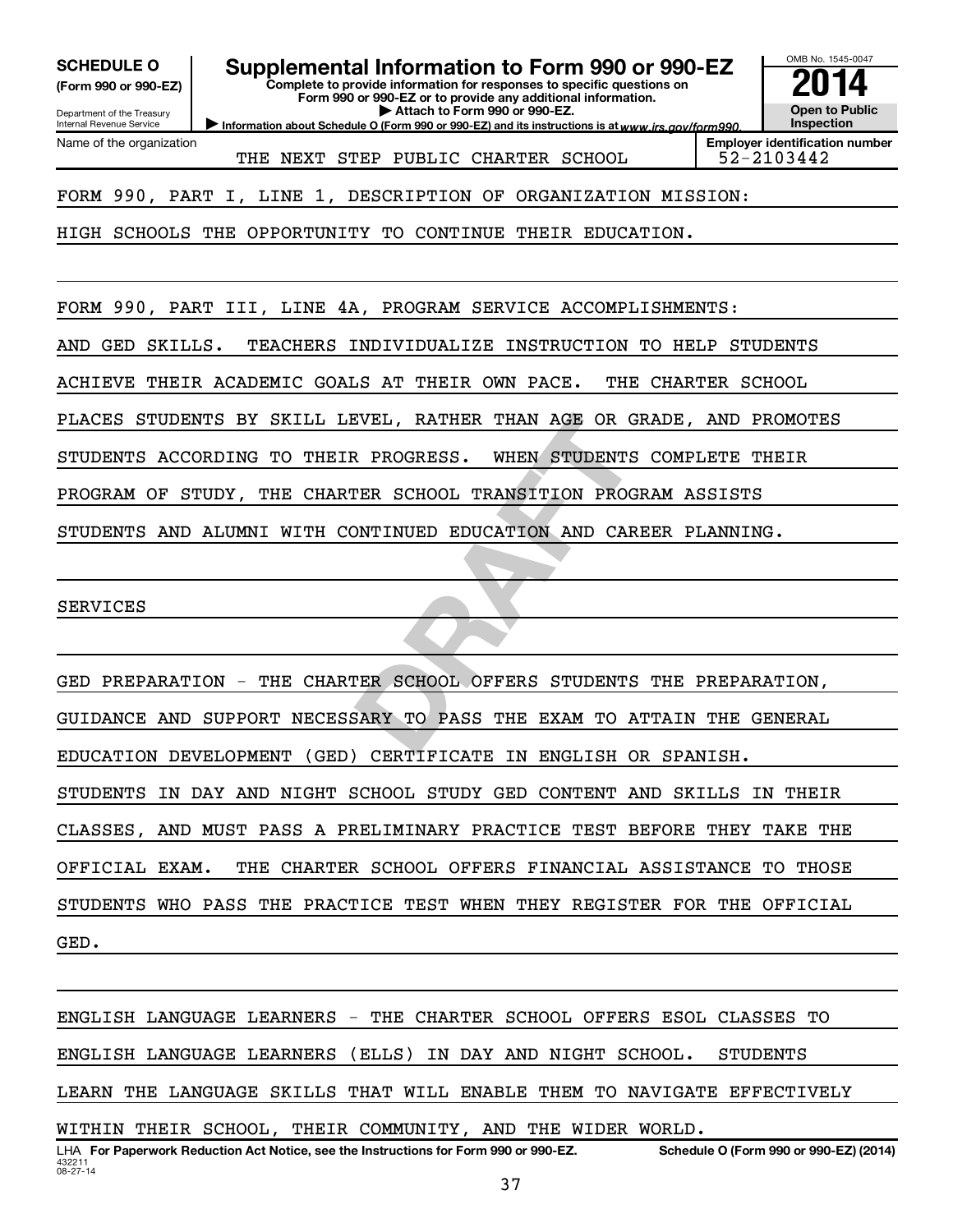**(Form 990 or 990-EZ)**

Department of the Treasury Internal Revenue Service

Name of the organization

**Complete to provide information for responses to specific questions on Form 990 or 990-EZ or to provide any additional information. | Attach to Form 990 or 990-EZ.** SCHEDULE O **Supplemental Information to Form 990 or 990-EZ** 2014<br>(Form 990 or 990-EZ) **2014** 

Information about Schedule O (Form 990 or 990-EZ) and its instructions is at www.irs.gov/form990.

OMB No. 1545-0047 **Open to Public Inspection**

THE NEXT STEP PUBLIC CHARTER SCHOOL 52-2103442

**Employer identification number**

FORM 990, PART I, LINE 1, DESCRIPTION OF ORGANIZATION MISSION:

HIGH SCHOOLS THE OPPORTUNITY TO CONTINUE THEIR EDUCATION.

FORM 990, PART III, LINE 4A, PROGRAM SERVICE ACCOMPLISHMENTS:

AND GED SKILLS. TEACHERS INDIVIDUALIZE INSTRUCTION TO HELP STUDENTS

ACHIEVE THEIR ACADEMIC GOALS AT THEIR OWN PACE. THE CHARTER SCHOOL

PLACES STUDENTS BY SKILL LEVEL, RATHER THAN AGE OR GRADE, AND PROMOTES

STUDENTS ACCORDING TO THEIR PROGRESS. WHEN STUDENTS COMPLETE THEIR

PROGRAM OF STUDY, THE CHARTER SCHOOL TRANSITION PROGRAM ASSISTS

STUDENTS AND ALUMNI WITH CONTINUED EDUCATION AND CAREER PLANNING.

SERVICES

EVEL, RATHER THAN AGE OR GRADE<br>
REAR SCHOOL TRANSITION PROGRAM<br>
DNTINUED EDUCATION AND CAREER<br>
TER SCHOOL OFFERS STUDENTS THE<br>
BARY TO PASS THE EXAM TO ATTAI GED PREPARATION - THE CHARTER SCHOOL OFFERS STUDENTS THE PREPARATION, GUIDANCE AND SUPPORT NECESSARY TO PASS THE EXAM TO ATTAIN THE GENERAL EDUCATION DEVELOPMENT (GED) CERTIFICATE IN ENGLISH OR SPANISH. STUDENTS IN DAY AND NIGHT SCHOOL STUDY GED CONTENT AND SKILLS IN THEIR CLASSES, AND MUST PASS A PRELIMINARY PRACTICE TEST BEFORE THEY TAKE THE OFFICIAL EXAM. THE CHARTER SCHOOL OFFERS FINANCIAL ASSISTANCE TO THOSE STUDENTS WHO PASS THE PRACTICE TEST WHEN THEY REGISTER FOR THE OFFICIAL GED.

432211 08-27-14 LHA For Paperwork Reduction Act Notice, see the Instructions for Form 990 or 990-EZ. Schedule O (Form 990 or 990-EZ) (2014) ENGLISH LANGUAGE LEARNERS - THE CHARTER SCHOOL OFFERS ESOL CLASSES TO ENGLISH LANGUAGE LEARNERS (ELLS) IN DAY AND NIGHT SCHOOL. STUDENTS LEARN THE LANGUAGE SKILLS THAT WILL ENABLE THEM TO NAVIGATE EFFECTIVELY WITHIN THEIR SCHOOL, THEIR COMMUNITY, AND THE WIDER WORLD.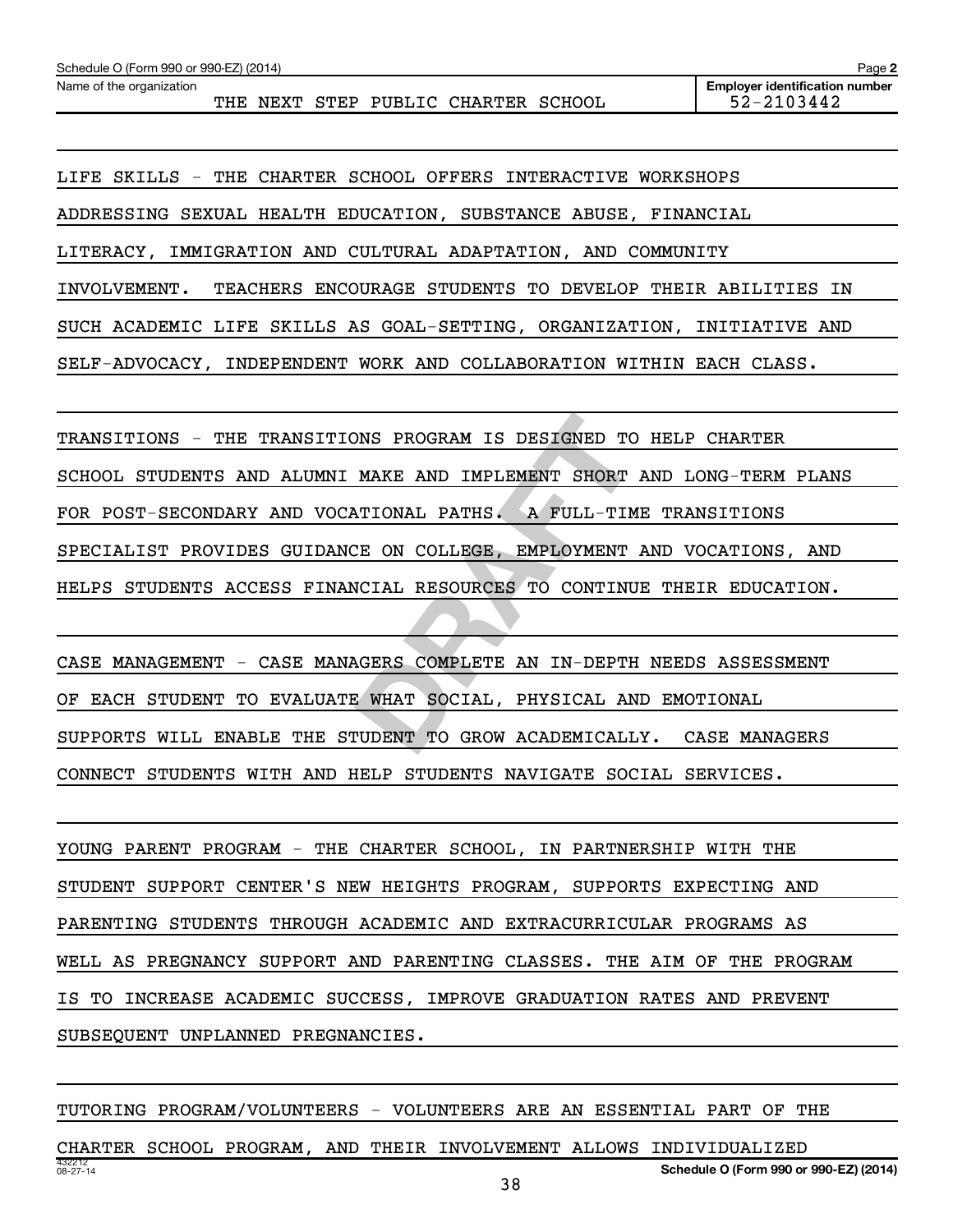THE NEXT STEP PUBLIC CHARTER SCHOOL 52-2103442

LIFE SKILLS - THE CHARTER SCHOOL OFFERS INTERACTIVE WORKSHOPS ADDRESSING SEXUAL HEALTH EDUCATION, SUBSTANCE ABUSE, FINANCIAL LITERACY, IMMIGRATION AND CULTURAL ADAPTATION, AND COMMUNITY INVOLVEMENT. TEACHERS ENCOURAGE STUDENTS TO DEVELOP THEIR ABILITIES IN SUCH ACADEMIC LIFE SKILLS AS GOAL-SETTING, ORGANIZATION, INITIATIVE AND SELF-ADVOCACY, INDEPENDENT WORK AND COLLABORATION WITHIN EACH CLASS.

NOT PROGRAM IS DESIGNED TO HEL<br>
MAKE AND IMPLEMENT SHORT AND<br>
NTIONAL PATHS. A FULL-TIME TR<br>
CE ON COLLEGE, EMPLOYMENT AND<br>
NCIAL RESOURCES TO CONTINUE TH<br>
NGERS COMPLETE AN IN-DEPTH NEE<br>
S WHAT SOCIAL, PHYSICAL AND EM<br>
TU TRANSITIONS - THE TRANSITIONS PROGRAM IS DESIGNED TO HELP CHARTER SCHOOL STUDENTS AND ALUMNI MAKE AND IMPLEMENT SHORT AND LONG-TERM PLANS FOR POST-SECONDARY AND VOCATIONAL PATHS. A FULL-TIME TRANSITIONS SPECIALIST PROVIDES GUIDANCE ON COLLEGE, EMPLOYMENT AND VOCATIONS, AND HELPS STUDENTS ACCESS FINANCIAL RESOURCES TO CONTINUE THEIR EDUCATION.

CASE MANAGEMENT - CASE MANAGERS COMPLETE AN IN-DEPTH NEEDS ASSESSMENT OF EACH STUDENT TO EVALUATE WHAT SOCIAL, PHYSICAL AND EMOTIONAL SUPPORTS WILL ENABLE THE STUDENT TO GROW ACADEMICALLY. CASE MANAGERS CONNECT STUDENTS WITH AND HELP STUDENTS NAVIGATE SOCIAL SERVICES.

YOUNG PARENT PROGRAM - THE CHARTER SCHOOL, IN PARTNERSHIP WITH THE STUDENT SUPPORT CENTER'S NEW HEIGHTS PROGRAM, SUPPORTS EXPECTING AND PARENTING STUDENTS THROUGH ACADEMIC AND EXTRACURRICULAR PROGRAMS AS WELL AS PREGNANCY SUPPORT AND PARENTING CLASSES. THE AIM OF THE PROGRAM IS TO INCREASE ACADEMIC SUCCESS, IMPROVE GRADUATION RATES AND PREVENT SUBSEQUENT UNPLANNED PREGNANCIES.

432212 08-27-14 **Schedule O (Form 990 or 990-EZ) (2014)** TUTORING PROGRAM/VOLUNTEERS - VOLUNTEERS ARE AN ESSENTIAL PART OF THE CHARTER SCHOOL PROGRAM, AND THEIR INVOLVEMENT ALLOWS INDIVIDUALIZED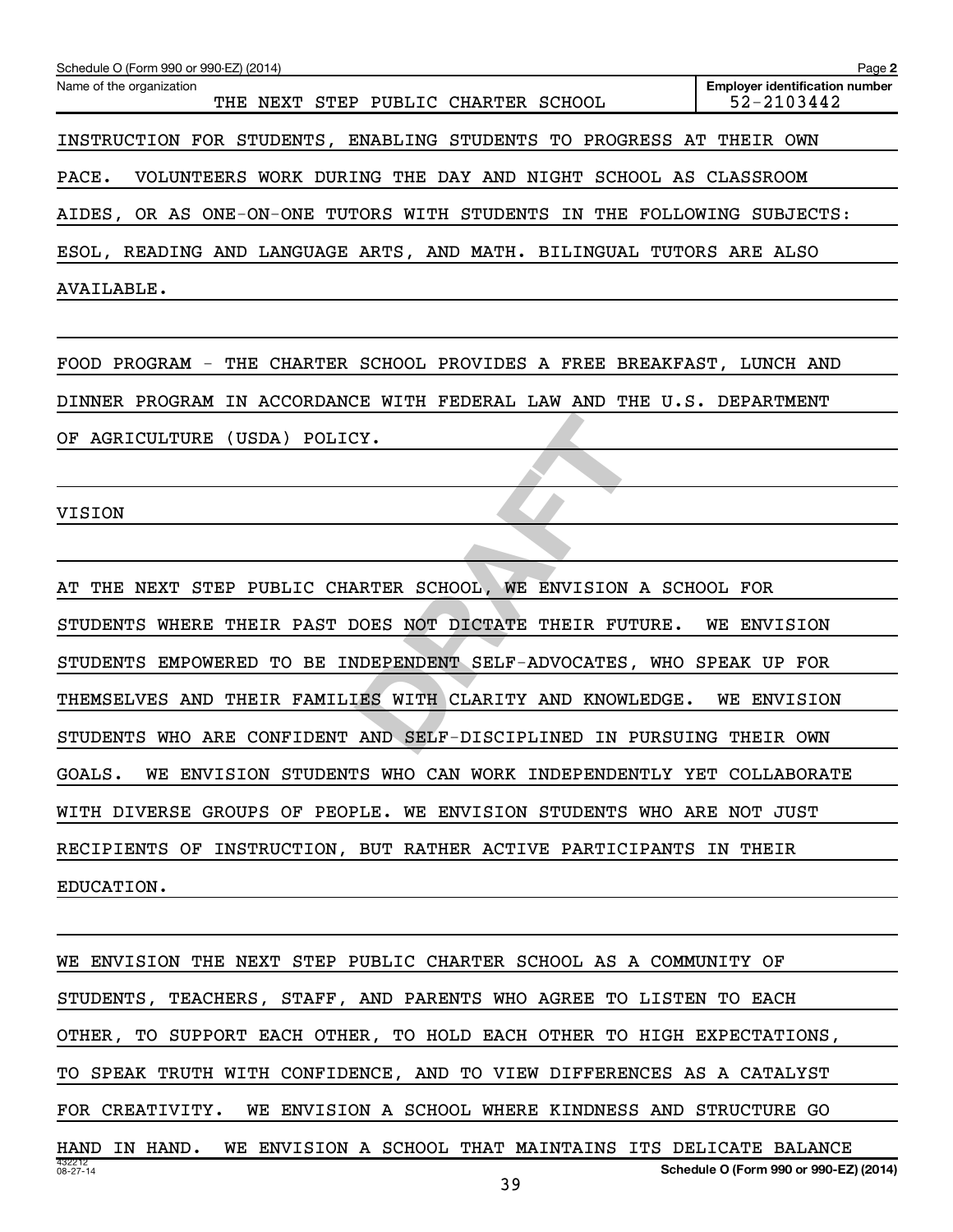| Schedule O (Form 990 or 990-EZ) (2014)                                  | Page 2                                              |
|-------------------------------------------------------------------------|-----------------------------------------------------|
| Name of the organization<br>THE NEXT STEP PUBLIC CHARTER SCHOOL         | <b>Employer identification number</b><br>52-2103442 |
| INSTRUCTION FOR STUDENTS, ENABLING STUDENTS TO PROGRESS AT THEIR OWN    |                                                     |
| PACE.<br>VOLUNTEERS WORK DURING THE DAY AND NIGHT SCHOOL AS CLASSROOM   |                                                     |
| AIDES, OR AS ONE-ON-ONE TUTORS WITH STUDENTS IN THE FOLLOWING SUBJECTS: |                                                     |
| ESOL, READING AND LANGUAGE ARTS, AND MATH. BILINGUAL TUTORS ARE ALSO    |                                                     |
| AVAILABLE.                                                              |                                                     |
|                                                                         |                                                     |
| FOOD PROGRAM - THE CHARTER SCHOOL PROVIDES A FREE BREAKFAST, LUNCH AND  |                                                     |
| DINNER PROGRAM IN ACCORDANCE WITH FEDERAL LAW AND THE U.S. DEPARTMENT   |                                                     |
| AGRICULTURE (USDA) POLICY.<br>OF                                        |                                                     |
|                                                                         |                                                     |
| <b>VISION</b>                                                           |                                                     |
|                                                                         |                                                     |
| THE NEXT STEP PUBLIC CHARTER SCHOOL, WE ENVISION A SCHOOL FOR           |                                                     |
| STUDENTS WHERE THEIR PAST DOES NOT DICTATE THEIR FUTURE.                | WE ENVISION                                         |
| STUDENTS EMPOWERED TO BE INDEPENDENT SELF-ADVOCATES, WHO SPEAK UP FOR   |                                                     |
| THEMSELVES AND THEIR FAMILIES WITH CLARITY AND KNOWLEDGE.               | WE ENVISION                                         |
| STUDENTS WHO ARE CONFIDENT AND SELF-DISCIPLINED IN PURSUING THEIR OWN   |                                                     |

STUDENTS WHERE THEIR PAST DOES NOT DICTATE THEIR FUTURE. WE ENVISION STUDENTS EMPOWERED TO BE INDEPENDENT SELF-ADVOCATES, WHO SPEAK UP FOR THEMSELVES AND THEIR FAMILIES WITH CLARITY AND KNOWLEDGE. WE ENVISION STUDENTS WHO ARE CONFIDENT AND SELF-DISCIPLINED IN PURSUING THEIR OWN GOALS. WE ENVISION STUDENTS WHO CAN WORK INDEPENDENTLY YET COLLABORATE WITH DIVERSE GROUPS OF PEOPLE. WE ENVISION STUDENTS WHO ARE NOT JUST RECIPIENTS OF INSTRUCTION, BUT RATHER ACTIVE PARTICIPANTS IN THEIR EDUCATION.

432212 08-27-14 **Schedule O (Form 990 or 990-EZ) (2014)** WE ENVISION THE NEXT STEP PUBLIC CHARTER SCHOOL AS A COMMUNITY OF STUDENTS, TEACHERS, STAFF, AND PARENTS WHO AGREE TO LISTEN TO EACH OTHER, TO SUPPORT EACH OTHER, TO HOLD EACH OTHER TO HIGH EXPECTATIONS, TO SPEAK TRUTH WITH CONFIDENCE, AND TO VIEW DIFFERENCES AS A CATALYST FOR CREATIVITY. WE ENVISION A SCHOOL WHERE KINDNESS AND STRUCTURE GO HAND IN HAND. WE ENVISION A SCHOOL THAT MAINTAINS ITS DELICATE BALANCE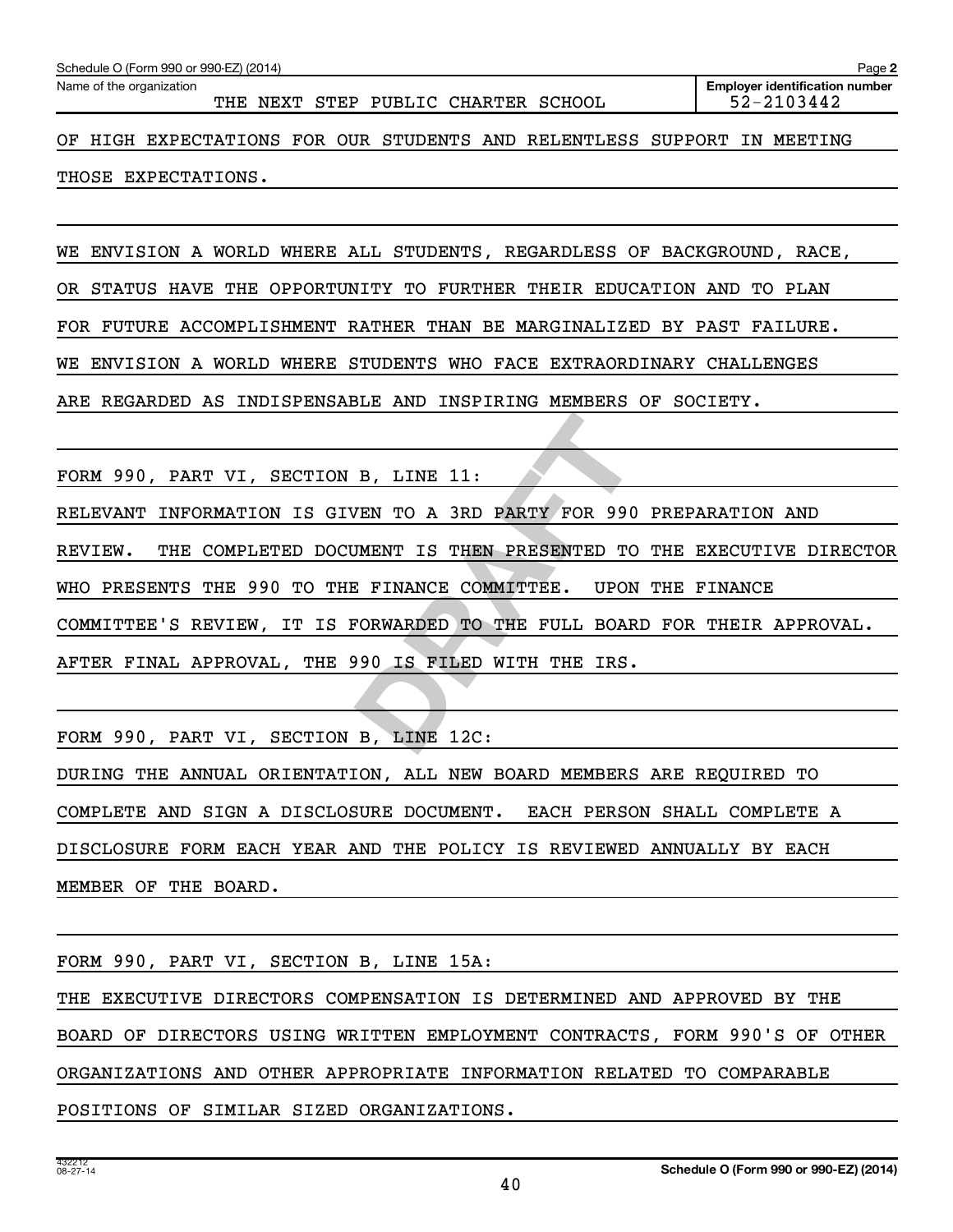| Schedule O (Form 990 or 990-EZ) (2014)<br>Page 2                        |  |  |                                     |  |  |  |                                                     |
|-------------------------------------------------------------------------|--|--|-------------------------------------|--|--|--|-----------------------------------------------------|
| Name of the organization                                                |  |  | THE NEXT STEP PUBLIC CHARTER SCHOOL |  |  |  | <b>Employer identification number</b><br>52-2103442 |
| OF HIGH EXPECTATIONS FOR OUR STUDENTS AND RELENTLESS SUPPORT IN MEETING |  |  |                                     |  |  |  |                                                     |

THOSE EXPECTATIONS.

WE ENVISION A WORLD WHERE ALL STUDENTS, REGARDLESS OF BACKGROUND, RACE,

OR STATUS HAVE THE OPPORTUNITY TO FURTHER THEIR EDUCATION AND TO PLAN

FOR FUTURE ACCOMPLISHMENT RATHER THAN BE MARGINALIZED BY PAST FAILURE.

WE ENVISION A WORLD WHERE STUDENTS WHO FACE EXTRAORDINARY CHALLENGES

ARE REGARDED AS INDISPENSABLE AND INSPIRING MEMBERS OF SOCIETY.

FORM 990, PART VI, SECTION B, LINE 11:

RELEVANT INFORMATION IS GIVEN TO A 3RD PARTY FOR 990 PREPARATION AND

B, LINE 11:<br>
VEN TO A 3RD PARTY FOR 990 PRE<br>
<u>UMENT IS THEN PRESENTED TO THE<br>
E FINANCE COMMITTEE. UPON THE<br>
FORWARDED TO THE FULL BOARD FO<br>
P90 IS FILED WITH THE IRS.<br>
B, LINE 12C:</u> REVIEW. THE COMPLETED DOCUMENT IS THEN PRESENTED TO THE EXECUTIVE DIRECTOR

WHO PRESENTS THE 990 TO THE FINANCE COMMITTEE. UPON THE FINANCE

COMMITTEE'S REVIEW, IT IS FORWARDED TO THE FULL BOARD FOR THEIR APPROVAL.

AFTER FINAL APPROVAL, THE 990 IS FILED WITH THE IRS.

FORM 990, PART VI, SECTION B, LINE 12C:

DURING THE ANNUAL ORIENTATION, ALL NEW BOARD MEMBERS ARE REQUIRED TO COMPLETE AND SIGN A DISCLOSURE DOCUMENT. EACH PERSON SHALL COMPLETE A DISCLOSURE FORM EACH YEAR AND THE POLICY IS REVIEWED ANNUALLY BY EACH MEMBER OF THE BOARD.

FORM 990, PART VI, SECTION B, LINE 15A: THE EXECUTIVE DIRECTORS COMPENSATION IS DETERMINED AND APPROVED BY THE BOARD OF DIRECTORS USING WRITTEN EMPLOYMENT CONTRACTS, FORM 990'S OF OTHER ORGANIZATIONS AND OTHER APPROPRIATE INFORMATION RELATED TO COMPARABLE POSITIONS OF SIMILAR SIZED ORGANIZATIONS.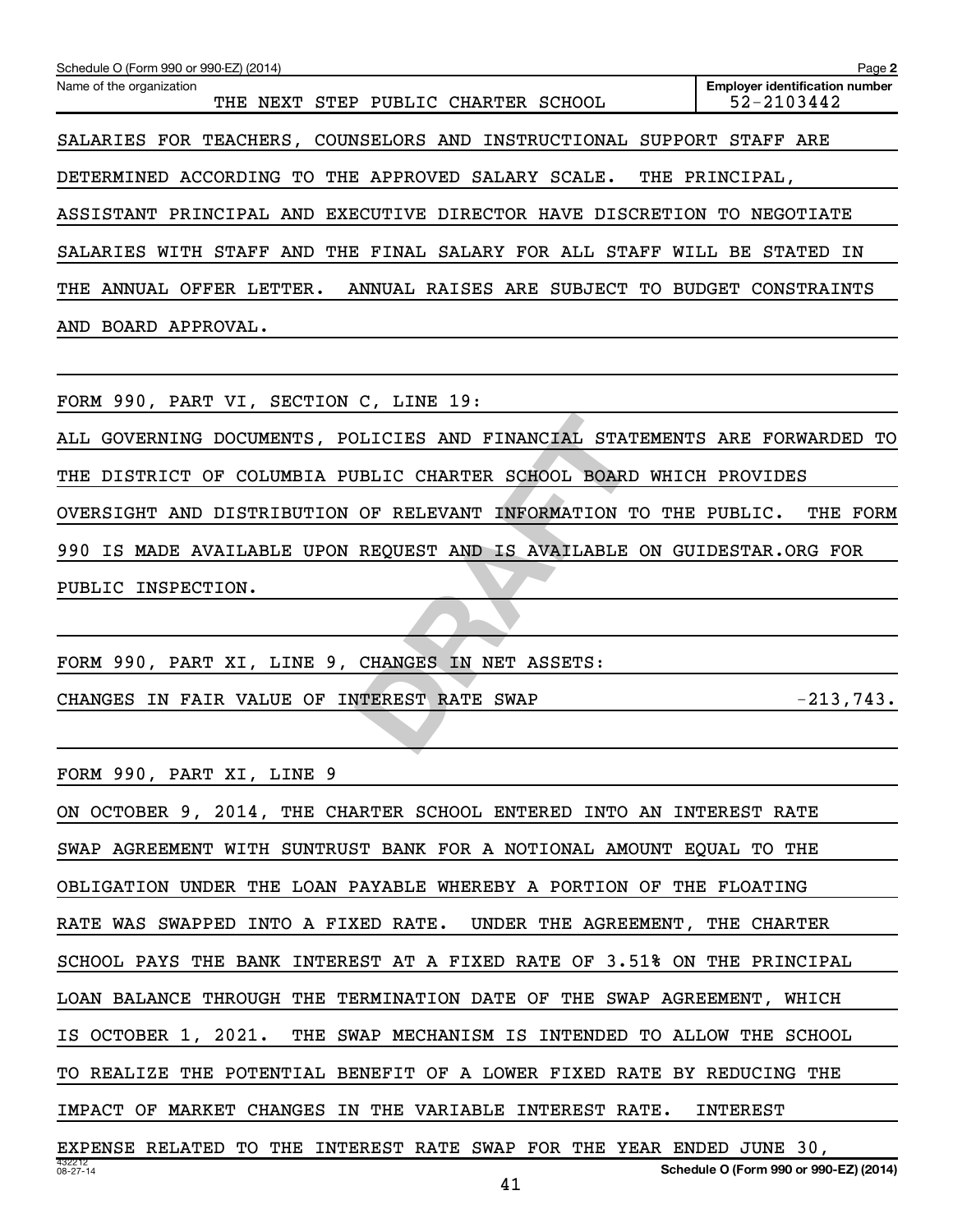| Schedule O (Form 990 or 990-EZ) (2014)                                         | Page 2                                                  |
|--------------------------------------------------------------------------------|---------------------------------------------------------|
| Name of the organization<br>NEXT STEP PUBLIC CHARTER SCHOOL<br>THE             | <b>Employer identification number</b><br>$52 - 2103442$ |
| SALARIES FOR TEACHERS, COUNSELORS AND INSTRUCTIONAL SUPPORT STAFF ARE          |                                                         |
| DETERMINED ACCORDING TO THE APPROVED SALARY SCALE.                             | THE PRINCIPAL,                                          |
| PRINCIPAL AND EXECUTIVE<br>DIRECTOR HAVE DISCRETION TO<br>ASSISTANT            | NEGOTIATE                                               |
| THE<br>FINAL SALARY FOR ALL STAFF<br>SALARIES WITH STAFF<br>AND                | WILL<br>BE<br>STATED<br>ΙN                              |
| ANNUAL OFFER LETTER.<br>ANNUAL RAISES ARE SUBJECT TO BUDGET CONSTRAINTS<br>THE |                                                         |
| AND BOARD APPROVAL.                                                            |                                                         |
|                                                                                |                                                         |
| FORM 990, PART VI, SECTION C, LINE 19:                                         |                                                         |
|                                                                                |                                                         |

DLICIES AND FINANCIAL STATEMEN<br>
JBLIC CHARTER SCHOOL BOARD WHI<br>
OF RELEVANT INFORMATION TO TH<br>
REQUEST AND IS AVAILABLE ON G<br>
CHANGES IN NET ASSETS:<br>
TTEREST RATE SWAP ALL GOVERNING DOCUMENTS, POLICIES AND FINANCIAL STATEMENTS ARE FORWARDED TO THE DISTRICT OF COLUMBIA PUBLIC CHARTER SCHOOL BOARD WHICH PROVIDES OVERSIGHT AND DISTRIBUTION OF RELEVANT INFORMATION TO THE PUBLIC. THE FORM 990 IS MADE AVAILABLE UPON REQUEST AND IS AVAILABLE ON GUIDESTAR.ORG FOR PUBLIC INSPECTION.

FORM 990, PART XI, LINE 9, CHANGES IN NET ASSETS:

CHANGES IN FAIR VALUE OF INTEREST RATE SWAP  $-213,743$ .

FORM 990, PART XI, LINE 9

432212 08-27-14 **Schedule O (Form 990 or 990-EZ) (2014)** ON OCTOBER 9, 2014, THE CHARTER SCHOOL ENTERED INTO AN INTEREST RATE SWAP AGREEMENT WITH SUNTRUST BANK FOR A NOTIONAL AMOUNT EQUAL TO THE OBLIGATION UNDER THE LOAN PAYABLE WHEREBY A PORTION OF THE FLOATING RATE WAS SWAPPED INTO A FIXED RATE. UNDER THE AGREEMENT, THE CHARTER SCHOOL PAYS THE BANK INTEREST AT A FIXED RATE OF 3.51% ON THE PRINCIPAL LOAN BALANCE THROUGH THE TERMINATION DATE OF THE SWAP AGREEMENT, WHICH IS OCTOBER 1, 2021. THE SWAP MECHANISM IS INTENDED TO ALLOW THE SCHOOL TO REALIZE THE POTENTIAL BENEFIT OF A LOWER FIXED RATE BY REDUCING THE IMPACT OF MARKET CHANGES IN THE VARIABLE INTEREST RATE. INTEREST EXPENSE RELATED TO THE INTEREST RATE SWAP FOR THE YEAR ENDED JUNE 30,